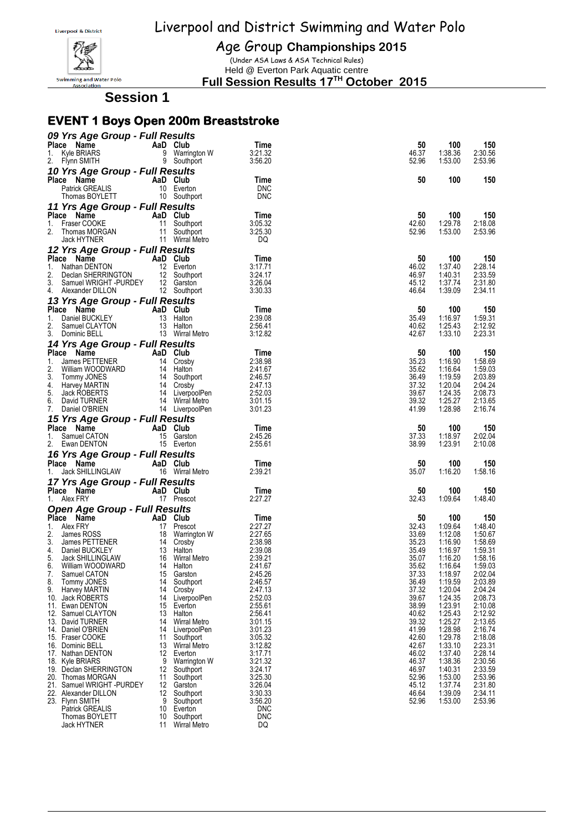

Age Group **Championships 2015**

(Under ASA Laws & ASA Technical Rules) Held @ Everton Park Aquatic centre

**Full Session Results 17 TH October 2015**

**Session 1**

#### **EVENT 1 Boys Open 200m Breaststroke**

| 09 Yrs Age Group - Full Results                                                                                                                                |          |                                                                                                        |                    |                |                    |                    |
|----------------------------------------------------------------------------------------------------------------------------------------------------------------|----------|--------------------------------------------------------------------------------------------------------|--------------------|----------------|--------------------|--------------------|
| Place Name                                                                                                                                                     |          | AaD Club                                                                                               | Time               | 50             | 100                | 150                |
| Kyle BRIARS<br>1.                                                                                                                                              |          | 9 Warrington W                                                                                         | 3:21.32            | 46.37          | 1:38.36            | 2:30.56            |
| 2.<br>Flynn SMITH                                                                                                                                              |          | 9 Southport                                                                                            | 3:56.20            | 52.96          | 1:53.00            | 2:53.96            |
| 10 Yrs Age Group - Full Results                                                                                                                                |          |                                                                                                        |                    |                |                    |                    |
| Place Name                                                                                                                                                     |          | AaD Club                                                                                               | Time               | 50             | 100                | 150                |
| <b>Patrick GREALIS</b>                                                                                                                                         |          | 10 Everton                                                                                             | <b>DNC</b>         |                |                    |                    |
| Thomas BOYLETT                                                                                                                                                 |          | 10 Southport                                                                                           | <b>DNC</b>         |                |                    |                    |
| 11 Yrs Age Group - Full Results                                                                                                                                |          |                                                                                                        |                    |                |                    |                    |
| Place Name                                                                                                                                                     |          |                                                                                                        | Time               | 50             | 100                | 150                |
| 1. Fraser COOKE                                                                                                                                                |          |                                                                                                        | 3:05.32            | 42.60          | 1:29.78            | 2:18.08            |
| 2.                                                                                                                                                             |          |                                                                                                        | 3:25.30            | 52.96          | 1:53.00            | 2:53.96            |
| <b>Yrs Age Order Mad Club</b><br>Fraser COOKE 11 Southport<br>Thomas MORGAN 11 Southport<br>Thomas MORGAN 11 Wirral Metro<br>All Wirral Metro<br>The Cookie    |          |                                                                                                        | DQ                 |                |                    |                    |
| 12 Yrs Age Group - Full Results                                                                                                                                |          |                                                                                                        |                    |                |                    |                    |
| $\begin{bmatrix} 1 & \text{Natine} \\ 2 & \text{Dachen} \end{bmatrix}$                                                                                         | AaD Club |                                                                                                        | Time               | 50             | 100                | 150                |
| Nathan DENTON<br>Declan SHERRINGTON<br>Samuel WRIGHT -PURDEY<br>12 Garston<br>12 Garston                                                                       |          |                                                                                                        | 3:17.71            | 46.02          | 1:37.40            | 2:28.14            |
| 2.                                                                                                                                                             |          |                                                                                                        | 3:24.17            | 46.97          | 1:40.31            | 2:33.59            |
| 3.                                                                                                                                                             |          | 12 Southport                                                                                           | 3:26.04<br>3:30.33 | 45.12<br>46.64 | 1:37.74<br>1:39.09 | 2:31.80<br>2:34.11 |
| 4. Alexander DILLON                                                                                                                                            |          |                                                                                                        |                    |                |                    |                    |
| 13 Yrs Age Group - Full Results                                                                                                                                |          |                                                                                                        |                    |                |                    |                    |
| Place Name<br>EY<br>EX 13 Halton                                                                                                                               |          |                                                                                                        | Time               | 50             | 100                | 150                |
| Daniel BUCKLEY<br>1.<br>2.                                                                                                                                     |          |                                                                                                        | 2:39.08            | 35.49          | 1:16.97<br>1:25.43 | 1:59.31<br>2:12.92 |
| Samuel CLAYTON<br>3.<br>Dominic BELL                                                                                                                           |          | 13 Halton<br>13 Wirral Metro                                                                           | 2:56.41<br>3:12.82 | 40.62<br>42.67 | 1:33.10            | 2:23.31            |
|                                                                                                                                                                |          |                                                                                                        |                    |                |                    |                    |
| 14 Yrs Age Group - Full Results                                                                                                                                |          |                                                                                                        |                    |                |                    |                    |
| Place Name                                                                                                                                                     | AaD Club |                                                                                                        | Time               | 50             | 100                | 150                |
| 1.<br>James PETTENER<br>2.<br>William WOODWARD                                                                                                                 |          | 14 Crosby                                                                                              | 2:38.98<br>2:41.67 | 35.23<br>35.62 | 1:16.90<br>1:16.64 | 1:58.69<br>1:59.03 |
| 3.<br>Tommy JONES                                                                                                                                              |          | NRD<br>14 Halton<br>14 Southport<br>14 Crosby<br>14 Wirral Metro<br>14 Wirral Metro<br>14 LiverpoolPen | 2:46.57            | 36.49          | 1:19.59            | 2:03.89            |
| 4.<br>Harvey MARTIN                                                                                                                                            |          |                                                                                                        | 2:47.13            | 37.32          | 1:20.04            | 2:04.24            |
| 5.<br>Jack ROBERTS                                                                                                                                             |          |                                                                                                        | 2:52.03            | 39.67          | 1:24.35            | 2:08.73            |
| 6.<br>David TURNER                                                                                                                                             |          |                                                                                                        | 3:01.15            | 39.32          | 1:25.27            | 2:13.65            |
| 7.<br>Daniel O'BRIEN                                                                                                                                           |          | 14 LiverpoolPen                                                                                        | 3:01.23            | 41.99          | 1:28.98            | 2:16.74            |
| 15 Yrs Age Group - Full Results                                                                                                                                |          |                                                                                                        |                    |                |                    |                    |
| Place Name                                                                                                                                                     |          | AaD Club                                                                                               | Time               | 50             | 100                | 150                |
| Samuel CATON<br>1.                                                                                                                                             |          | 15 Garston                                                                                             | 2:45.26            | 37.33          | 1:18.97            | 2:02.04            |
| 2.<br>Ewan DENTON                                                                                                                                              |          | 15 Everton                                                                                             | 2:55.61            | 38.99          | 1:23.91            | 2:10.08            |
| 16 Yrs Age Group - Full Results                                                                                                                                |          |                                                                                                        |                    |                |                    |                    |
| Place Name                                                                                                                                                     |          | AaD Club                                                                                               | Time               | 50             | 100                | 150                |
| Jack SHILLINGLAW<br>1.                                                                                                                                         |          | 16 Wirral Metro                                                                                        | 2:39.21            | 35.07          | 1:16.20            | 1:58.16            |
| 17 Yrs Age Group - Full Results                                                                                                                                |          |                                                                                                        |                    |                |                    |                    |
| Place Name                                                                                                                                                     |          | AaD Club                                                                                               | Time               | 50             | 100                | 150                |
| 1. Alex FRY                                                                                                                                                    |          | 17 Prescot                                                                                             | 2:27.27            | 32.43          | 1:09.64            | 1:48.40            |
| <b>Open Age Group - Full Results</b>                                                                                                                           |          |                                                                                                        |                    |                |                    |                    |
| Place Name<br>COMPLETE COMPLETE ADD Club<br>And Club<br>Alex FRY 17 Prescot<br>James ROSS 18 Warrington W<br>James PETTENER 14 Crosby<br>COMPLETENCE 13 Halton |          |                                                                                                        | Time               | 50             | 100                | 150                |
| 1.<br>Alex FRY                                                                                                                                                 |          |                                                                                                        | 2:27.27            | 32.43          | 1:09.64            | 1:48.40            |
| 2.                                                                                                                                                             |          |                                                                                                        | 2:27.65            | 33.69          | 1:12.08            | 1:50.67            |
| 3.                                                                                                                                                             |          |                                                                                                        | 2:38.98            | 35.23          | 1:16.90            | 1:58.69            |
| 4. Daniel BUCKLEY                                                                                                                                              |          | 13 Halton                                                                                              | 2:39.08            | 35.49          | 1:16.97            | 1:59.31            |
| 5.<br>Jack SHILLINGLAW                                                                                                                                         |          | 16 Wirral Metro                                                                                        | 2:39.21            | 35.07          | 1:16.20            | 1:58.16            |
| 6.<br>William WOODWARD                                                                                                                                         |          | 14 Halton                                                                                              | 2:41.67            | 35.62          | 1:16.64            | 1:59.03            |
| Samuel CATON<br>7.                                                                                                                                             |          | 15 Garston                                                                                             | 2:45.26            | 37.33          | 1:18.97            | 2:02.04            |
| Tommy JONES<br>8.                                                                                                                                              | 14       | Southport                                                                                              | 2:46.57            | 36.49          | 1:19.59            | 2:03.89            |
| Harvey MARTIN<br>9.                                                                                                                                            | 14       | Crosby                                                                                                 | 2:47.13            | 37.32          | 1:20.04            | 2:04.24            |
| 10. Jack ROBERTS                                                                                                                                               | 14       | LiverpoolPen                                                                                           | 2:52.03            | 39.67          | 1:24.35            | 2:08.73            |
| 11. Ewan DENTON                                                                                                                                                | 15       | Everton                                                                                                | 2:55.61<br>2:56.41 | 38.99<br>40.62 | 1:23.91<br>1:25.43 | 2:10.08            |
| 12. Samuel CLAYTON<br>13. David TURNER                                                                                                                         | 13<br>14 | Halton<br><b>Wirral Metro</b>                                                                          | 3:01.15            | 39.32          | 1:25.27            | 2:12.92<br>2:13.65 |
| 14. Daniel O'BRIEN                                                                                                                                             | 14       | LiverpoolPen                                                                                           | 3:01.23            | 41.99          | 1:28.98            | 2:16.74            |
| 15. Fraser COOKE                                                                                                                                               | 11       | Southport                                                                                              | 3:05.32            | 42.60          | 1:29.78            | 2:18.08            |
| 16. Dominic BELL                                                                                                                                               |          | 13 Wirral Metro                                                                                        | 3:12.82            | 42.67          | 1:33.10            | 2:23.31            |
| 17. Nathan DENTON                                                                                                                                              | 12       | Everton                                                                                                | 3:17.71            | 46.02          | 1:37.40            | 2:28.14            |
| 18. Kyle BRIARS                                                                                                                                                | 9        | Warrington W                                                                                           | 3:21.32            | 46.37          | 1:38.36            | 2:30.56            |
| 19. Declan SHERRINGTON                                                                                                                                         | 12       | Southport                                                                                              | 3:24.17            | 46.97          | 1:40.31            | 2:33.59            |
| 20. Thomas MORGAN                                                                                                                                              | 11       | Southport                                                                                              | 3:25.30            | 52.96          | 1:53.00            | 2:53.96            |
| 21. Samuel WRIGHT -PURDEY                                                                                                                                      | 12       | Garston                                                                                                | 3:26.04            | 45.12          | 1:37.74            | 2:31.80            |
| 22. Alexander DILLON                                                                                                                                           | 12       | Southport                                                                                              | 3:30.33            | 46.64          | 1:39.09            | 2:34.11            |
| 23. Flynn SMITH                                                                                                                                                | 9        | Southport                                                                                              | 3:56.20            | 52.96          | 1:53.00            | 2:53.96            |
| <b>Patrick GREALIS</b>                                                                                                                                         | 10       | Everton                                                                                                | DNC                |                |                    |                    |
| Thomas BOYLETT                                                                                                                                                 | 10<br>11 | Southport                                                                                              | DNC<br>DQ          |                |                    |                    |
| Jack HYTNER                                                                                                                                                    |          | <b>Wirral Metro</b>                                                                                    |                    |                |                    |                    |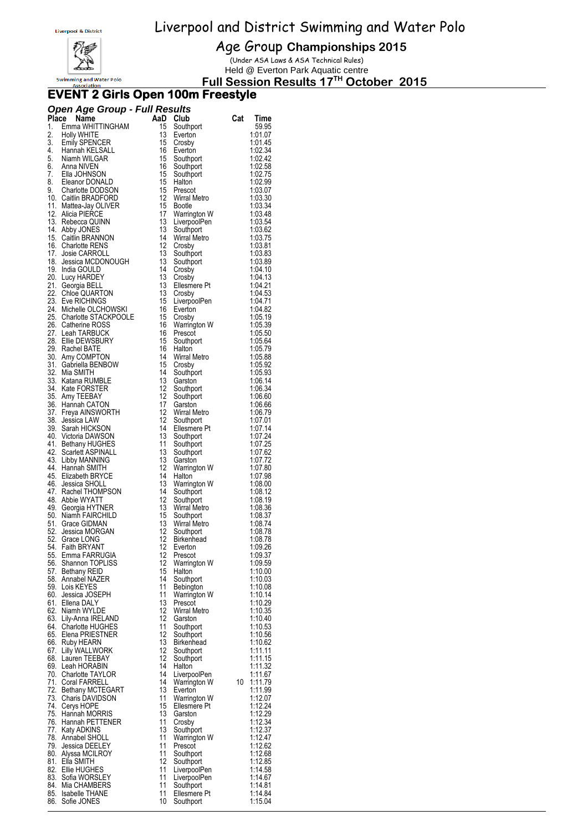

Age Group **Championships 2015**

(Under ASA Laws & ASA Technical Rules) Held @ Everton Park Aquatic centre

**Full Session Results 17 TH October 2015**

#### **EVENT 2 Girls Open 100m Freestyle**

| <b>Open Age Group - Full Results</b> |  |
|--------------------------------------|--|
|--------------------------------------|--|

|     | Open Age Oroup - Tun Results<br>Place Name                                                                                                                                       | AaD Club         |                              | Cat | Time               |
|-----|----------------------------------------------------------------------------------------------------------------------------------------------------------------------------------|------------------|------------------------------|-----|--------------------|
| 1.  | Emma WHITTINGHAM                                                                                                                                                                 |                  | 15 Southport                 |     | 59.95              |
| 2.  | Holly WHITE                                                                                                                                                                      | 13               | Everton                      |     | 1:01.07            |
|     |                                                                                                                                                                                  | 15               | Crosby                       |     | 1:01.45            |
|     |                                                                                                                                                                                  | 16               | Everton                      |     | 1:02.34            |
|     |                                                                                                                                                                                  | 15               | Southport                    |     | 1:02.42            |
|     | 2. Form with<br>1. Hannah KELSALL<br>4. Hannah KELSALL<br>5. Niamh WILGAR<br>6. Anna NIVEN<br>7. Ella JOHNSON<br>8. Eleanor DONALD<br>9. Charlotte DODSON<br>9. Charlotte DODSON | 16               | Southport                    |     | 1:02.58            |
|     |                                                                                                                                                                                  | 15<br>15         | Southport<br>Halton          |     | 1:02.75<br>1:02.99 |
|     |                                                                                                                                                                                  | 15               | Prescot                      |     | 1:03.07            |
|     | 10. Caitlin BRADFORD                                                                                                                                                             | 12               | Wirral Metro                 |     | 1:03.30            |
|     | 11. Mattea-Jay OLIVER                                                                                                                                                            | 15               | Bootle                       |     | 1:03.34            |
|     | 12. Alicia PIERCE                                                                                                                                                                | 17               | Warrington W                 |     | 1:03.48            |
|     | 13. Rebecca QUINN                                                                                                                                                                | 13               | LiverpoolPen                 |     | 1:03.54            |
|     | 14. Abby JONES                                                                                                                                                                   | 13<br>14         | Southport                    |     | 1:03.62            |
|     | 15. Caitlin BRANNON<br>16. Charlotte RENS                                                                                                                                        | 12               | Wirral Metro<br>Crosby       |     | 1:03.75<br>1:03.81 |
|     | 17. Josie CARROLL                                                                                                                                                                | 13               | Southport                    |     | 1:03.83            |
|     | 18. Jessica MCDONOUGH                                                                                                                                                            | 13               | Southport                    |     | 1:03.89            |
|     | 19. India GOULD                                                                                                                                                                  | 14               | Crosby                       |     | 1:04.10            |
|     | 20. Lucy HARDEY                                                                                                                                                                  | 13               | Crosby                       |     | 1:04.13            |
|     | 21. Georgia BELL                                                                                                                                                                 | 13               | Ellesmere Pt                 |     | 1:04.21            |
|     | 22. Chloe QUARTON                                                                                                                                                                | 13               | Crosby                       |     | 1:04.53            |
|     | 23. Eve RICHINGS<br>24. Michelle OLCHOWSKI                                                                                                                                       | 15<br>16         | LiverpoolPen<br>Everton      |     | 1:04.71<br>1:04.82 |
|     | 25. Charlotte STACKPOOLE<br>26. Catherine POSS                                                                                                                                   | 15               | Crosby                       |     | 1:05.19            |
|     | 26. Catherine ROSS                                                                                                                                                               | 16               | Warrington W                 |     | 1:05.39            |
|     | 27. Leah TARBUCK                                                                                                                                                                 | 16               | Prescot                      |     | 1:05.50            |
|     | 28. Ellie DEWSBURY                                                                                                                                                               | 15               | Southport                    |     | 1:05.64            |
|     | 29. Rachel BATE                                                                                                                                                                  | 16               | Halton                       |     | 1:05.79            |
|     | 30. Amy COMPTON                                                                                                                                                                  | 14               | Wirral Metro                 |     | 1:05.88            |
|     | 31. Gabriella BENBOW<br>32. Mia SMITH                                                                                                                                            | 15<br>14         | Crosby                       |     | 1:05.92            |
|     | 33. Katana RUMBLE                                                                                                                                                                | 13               | Southport<br>Garston         |     | 1:05.93<br>1:06.14 |
|     | 34. Kate FORSTER                                                                                                                                                                 | 12               | Southport                    |     | 1:06.34            |
|     | 35. Amy TEEBAY                                                                                                                                                                   | 12               | Southport                    |     | 1:06.60            |
|     | 36. Hannah CATON                                                                                                                                                                 | 17               | Garston                      |     | 1:06.66            |
|     | 37. Freya AINSWORTH                                                                                                                                                              | 12               | Wirral Metro                 |     | 1:06.79            |
|     | 38. Jessica LAW                                                                                                                                                                  | 12               | Southport                    |     | 1:07.01            |
|     | 39. Sarah HICKSON<br>40. Victoria DAWSON                                                                                                                                         | 14<br>13         | Ellesmere Pt                 |     | 1:07.14            |
|     | 41. Bethany HUGHES                                                                                                                                                               | 11               | Southport<br>Southport       |     | 1:07.24<br>1:07.25 |
|     | 42. Scarlett ASPINALL                                                                                                                                                            | 13               | Southport                    |     | 1:07.62            |
|     | 43. Libby MANNING                                                                                                                                                                | 13               | Garston                      |     | 1:07.72            |
|     | 44. Hannah SMITH                                                                                                                                                                 | 12               | Warrington W                 |     | 1:07.80            |
|     | 45. Elizabeth BRYCE                                                                                                                                                              | 14               | Halton                       |     | 1:07.98            |
|     | 46. Jessica SHOLL                                                                                                                                                                | 13               | Warrington W                 |     | 1:08.00            |
|     | 47. Rachel THOMPSON<br>48. Abbie WYATT                                                                                                                                           | 14<br>12         | Southport<br>Southport       |     | 1:08.12<br>1:08.19 |
|     | 49. Georgia HYTNER                                                                                                                                                               | 13               | Wirral Metro                 |     | 1:08.36            |
|     | 50. Niamh FAIRCHILD                                                                                                                                                              | 15 <sup>15</sup> | Southport                    |     | 1:08.37            |
|     | 51. Grace GIDMAN                                                                                                                                                                 |                  | 13 Wirral Metro              |     | 1:08.74            |
|     | 52. Jessica MORGAN                                                                                                                                                               | 12 <sup>12</sup> | Southport                    |     | 1:08.78            |
|     | 52. Grace LONG                                                                                                                                                                   |                  | 12 Birkenhead                |     | 1:08.78            |
|     | 54. Faith BRYANT<br>55. Emma FARRUGIA                                                                                                                                            | 12               | Everton                      |     | 1:09.26            |
|     | 56. Shannon TOPLISS                                                                                                                                                              | 12.<br>12        | Prescot<br>Warrington W      |     | 1.09.37<br>1:09.59 |
|     | 57. Bethany REID                                                                                                                                                                 | 15               | Halton                       |     | 1:10.00            |
|     | 58. Annabel NAZER                                                                                                                                                                | 14               | Southport                    |     | 1:10.03            |
|     | 59. Lois KEYES                                                                                                                                                                   | 11               | Bebington                    |     | 1:10.08            |
|     | 60. Jessica JOSEPH                                                                                                                                                               | 11               | Warrington W                 |     | 1:10.14            |
|     | 61. Ellena DALY                                                                                                                                                                  | 13               | Prescot                      |     | 1:10.29            |
|     | 62. Niamh WYLDE<br>63. Lily-Anna IRELAND                                                                                                                                         | 12<br>12         | Wirral Metro                 |     | 1:10.35<br>1:10.40 |
|     | 64. Charlotte HUGHES                                                                                                                                                             | 11               | Garston<br>Southport         |     | 1:10.53            |
|     | 65. Elena PRIESTNER                                                                                                                                                              | 12               | Southport                    |     | 1:10.56            |
|     | 66. Ruby HEARN                                                                                                                                                                   | 13               | Birkenhead                   |     | 1:10.62            |
| 67. | Lilly WALLWORK                                                                                                                                                                   | 12               | Southport                    |     | 1:11.11            |
|     | 68. Lauren TEEBAY                                                                                                                                                                | 12               | Southport                    |     | 1:11.15            |
|     | 69. Leah HORABIN                                                                                                                                                                 | 14               | Halton                       |     | 1:11.32            |
|     | 70. Charlotte TAYLOR<br>71. Coral FARRELL                                                                                                                                        | 14<br>14         | LiverpoolPen<br>Warrington W | 10  | 1:11.67<br>1:11.79 |
|     | 72. Bethany MCTEGART                                                                                                                                                             | 13               | Everton                      |     | 1:11.99            |
|     | 73. Charis DAVIDSON                                                                                                                                                              | 11               | Warrington W                 |     | 1:12.07            |
|     | 74. Cerys HOPE                                                                                                                                                                   | 15               | Ellesmere Pt                 |     | 1:12.24            |
| 75. | Hannah MORRIS                                                                                                                                                                    | 13               | Garston                      |     | 1:12.29            |
|     | 76. Hannah PETTENER                                                                                                                                                              | 11               | Crosby                       |     | 1:12.34            |
|     | 77. Katy ADKINS                                                                                                                                                                  | 13               | Southport                    |     | 1:12.37            |
|     | 78. Annabel SHOLL<br>79. Jessica DEELEY                                                                                                                                          | 11<br>11         | Warrington W<br>Prescot      |     | 1:12.47<br>1:12.62 |
|     | 80. Alyssa MCILROY                                                                                                                                                               | 11               | Southport                    |     | 1:12.68            |
|     | 81.Ella SMITH                                                                                                                                                                    | 12               | Southport                    |     | 1:12.85            |
|     | 82. Ellie HUGHES                                                                                                                                                                 | 11               | LiverpoolPen                 |     | 1:14.58            |
|     | 83. Sofia WORSLEY                                                                                                                                                                | 11               | LiverpoolPen                 |     | 1:14.67            |
|     | 84. Mia CHAMBERS                                                                                                                                                                 | 11               | Southport                    |     | 1:14.81            |
|     | 85. Isabelle THANE                                                                                                                                                               | 11<br>10         | Ellesmere Pt                 |     | 1:14.84<br>1:15.04 |
|     | 86. Sofie JONES                                                                                                                                                                  |                  | Southport                    |     |                    |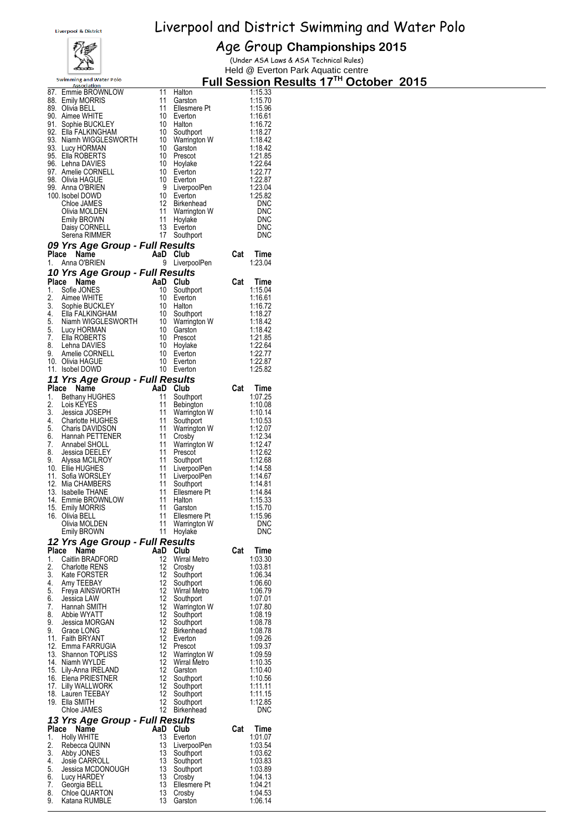# 穆

Age Group **Championships 2015** (Under ASA Laws & ASA Technical Rules)

Park Aquatic centre

|          | مختصكه                                      |          |                                 |     |                          | Held @ Everton Park Aquatic centre                 |  |  |
|----------|---------------------------------------------|----------|---------------------------------|-----|--------------------------|----------------------------------------------------|--|--|
|          | <b>Swimming and Water Polo</b>              |          |                                 |     |                          | Full Session Results 17 <sup>TH</sup> October 2015 |  |  |
| 87.      | <b>Association</b><br>Emmie BROWNLOW        | 11       | Halton                          |     | 1:15.33                  |                                                    |  |  |
|          | 88. Emily MORRIS                            | 11       | Garston                         |     | 1:15.70                  |                                                    |  |  |
|          | 89. Olivia BELL                             | 11       | Ellesmere Pt                    |     | 1:15.96                  |                                                    |  |  |
|          | 90. Aimee WHITE                             | 10       | Everton                         |     | 1:16.61                  |                                                    |  |  |
| 91.      | Sophie BUCKLEY                              | 10       | Halton                          |     | 1:16.72                  |                                                    |  |  |
|          | 92. Ella FALKINGHAM                         | 10       | Southport                       |     | 1:18.27                  |                                                    |  |  |
|          | 93. Niamh WIGGLESWORTH                      | 10       | Warrington W                    |     | 1:18.42                  |                                                    |  |  |
|          | 93. Lucy HORMAN<br>95. Ella ROBERTS         | 10<br>10 | Garston<br>Prescot              |     | 1:18.42<br>1.21.85       |                                                    |  |  |
|          | 96. Lehna DAVIES                            | 10       | Hoylake                         |     | 1:22.64                  |                                                    |  |  |
| 97.      | Amelie CORNELL                              | 10       | Everton                         |     | 1.22.77                  |                                                    |  |  |
|          | 98. Olivia HAGUE                            | 10       | Everton                         |     | 1:22.87                  |                                                    |  |  |
|          | 99. Anna O'BRIEN                            | 9        | LiverpoolPen                    |     | 1:23.04                  |                                                    |  |  |
|          | 100. Isobel DOWD                            | 10       | Everton                         |     | 1:25.82                  |                                                    |  |  |
|          | Chloe JAMES                                 | 12       | Birkenhead                      |     | <b>DNC</b>               |                                                    |  |  |
|          | Olivia MOLDEN                               | 11       | Warrington W                    |     | <b>DNC</b>               |                                                    |  |  |
|          | <b>Emily BROWN</b><br>Daisy CORNELL         | 11<br>13 | Hoylake<br>Everton              |     | <b>DNC</b><br><b>DNC</b> |                                                    |  |  |
|          | Serena RIMMER                               | 17       | Southport                       |     | <b>DNC</b>               |                                                    |  |  |
|          | 09 Yrs Age Group - Full Results             |          |                                 |     |                          |                                                    |  |  |
| Place    | Name                                        | AaD Club |                                 | Cat | Time                     |                                                    |  |  |
| 1.       | Anna O'BRIEN                                |          | 9 LiverpoolPen                  |     | 1:23.04                  |                                                    |  |  |
|          | 10 Yrs Age Group - Full Results             |          |                                 |     |                          |                                                    |  |  |
| Place    | Name                                        | AaD      | Club                            | Cat | Time                     |                                                    |  |  |
| 1.       | Sofie JONES                                 | 10       | Southport                       |     | 1:15.04                  |                                                    |  |  |
| 2.       | Aimee WHITE                                 | 10       | Everton                         |     | 1:16.61                  |                                                    |  |  |
| 3.       | Sophie BUCKLEY                              | 10       | Halton                          |     | 1:16.72                  |                                                    |  |  |
| 4.       | Ella FALKINGHAM                             | 10       | Southport                       |     | 1:18.27                  |                                                    |  |  |
| 5.       | Niamh WIGGLESWORTH                          | 10       | Warrington W                    |     | 1:18.42                  |                                                    |  |  |
| 5.       | Lucy HORMAN                                 | 10       | Garston                         |     | 1:18.42                  |                                                    |  |  |
| 7.<br>8. | Ella ROBERTS                                | 10<br>10 | Prescot                         |     | 1:21.85<br>1:22.64       |                                                    |  |  |
| 9.       | Lehna DAVIES<br>Amelie CORNELL              | 10       | Hoylake<br>Everton              |     | 1:22.77                  |                                                    |  |  |
|          | 10. Olivia HAGUE                            | 10       | Everton                         |     | 1:22.87                  |                                                    |  |  |
| 11.      | <b>Isobel DOWD</b>                          |          | 10 Everton                      |     | 1:25.82                  |                                                    |  |  |
|          | 11 Yrs Age Group - Full Results             |          |                                 |     |                          |                                                    |  |  |
| Place    | Name                                        | AaD      | Club                            | Cat | Time                     |                                                    |  |  |
| 1.       | <b>Bethany HUGHES</b>                       | 11       | Southport                       |     | 1:07.25                  |                                                    |  |  |
| 2.       | Lois KEYES                                  | 11       | Bebington                       |     | 1:10.08                  |                                                    |  |  |
| 3.       | Jessica JOSEPH                              | 11       | Warrington W                    |     | 1:10.14                  |                                                    |  |  |
| 4.       | <b>Charlotte HUGHES</b>                     | 11       | Southport                       |     | 1:10.53                  |                                                    |  |  |
| 5.<br>6. | <b>Charis DAVIDSON</b><br>Hannah PETTENER   | 11<br>11 | Warrington W<br>Crosby          |     | 1:12.07<br>1:12.34       |                                                    |  |  |
| 7.       | Annabel SHOLL                               | 11       | Warrington W                    |     | 1:12.47                  |                                                    |  |  |
| 8.       | <b>Jessica DEELEY</b>                       | 11       | Prescot                         |     | 1:12.62                  |                                                    |  |  |
| 9.       | Alyssa MCILROY                              | 11       | Southport                       |     | 1:12.68                  |                                                    |  |  |
|          | 10. Ellie HUGHES                            | 11       | LiverpoolPen                    |     | 1:14.58                  |                                                    |  |  |
| 11.      | Sofia WORSLEY                               | 11       | LiverpoolPen                    |     | 1:14.67                  |                                                    |  |  |
| 12.      | Mia CHAMBERS                                | 11       | Southport                       |     | 1:14.81                  |                                                    |  |  |
| 13.      | <b>Isabelle THANE</b><br>14. Emmie BROWNLOW | 11<br>11 | Ellesmere Pt<br>Halton          |     | 1:14.84<br>1:15.33       |                                                    |  |  |
|          | 15. Emily MORRIS                            | 11       | Garston                         |     | 1:15.70                  |                                                    |  |  |
|          | 16. Olivia BELL                             | 11       | Ellesmere Pt                    |     | 1:15.96                  |                                                    |  |  |
|          | Olivia MOLDEN                               |          | 11 Warrington W                 |     | <b>DNC</b>               |                                                    |  |  |
|          | <b>Emily BROWN</b>                          |          | 11 Hoylake                      |     | <b>DNC</b>               |                                                    |  |  |
|          | 12 Yrs Age Group - Full Results             |          |                                 |     |                          |                                                    |  |  |
| Place    | Name                                        | AaD Club |                                 | Cat | Time                     |                                                    |  |  |
| 1.       | Caitlin BRADFORD                            |          | 12 Wirral Metro                 |     | 1:03.30                  |                                                    |  |  |
| 2.       | <b>Charlotte RENS</b>                       |          | 12 Crosby                       |     | 1:03.81                  |                                                    |  |  |
| 3.       | Kate FORSTER                                | 12       | Southport                       |     | 1:06.34                  |                                                    |  |  |
| 4.<br>5. | Amy TEEBAY<br>Freya AINSWORTH               |          | 12 Southport<br>12 Wirral Metro |     | 1:06.60<br>1:06.79       |                                                    |  |  |
| 6.       | Jessica LAW                                 | 12       | Southport                       |     | 1:07.01                  |                                                    |  |  |
| 7.       | Hannah SMITH                                |          | 12 Warrington W                 |     | 1:07.80                  |                                                    |  |  |
| 8.       | Abbie WYATT                                 |          | 12 Southport                    |     | 1:08.19                  |                                                    |  |  |
| 9.       | Jessica MORGAN                              | 12       | Southport                       |     | 1:08.78                  |                                                    |  |  |
| 9.       | Grace LONG                                  | 12       | Birkenhead                      |     | 1:08.78                  |                                                    |  |  |
|          | 11. Faith BRYANT                            |          | 12 Everton                      |     | 1:09.26                  |                                                    |  |  |
|          | 12. Emma FARRUGIA<br>13. Shannon TOPLISS    |          | 12 Prescot<br>12 Warrington W   |     | 1:09.37<br>1:09.59       |                                                    |  |  |
|          | 14. Niamh WYLDE                             |          | 12 Wirral Metro                 |     | 1:10.35                  |                                                    |  |  |
|          | 15. Lily-Anna IRELAND                       |          | 12 Garston                      |     | 1:10.40                  |                                                    |  |  |
|          | 16. Elena PRIESTNER                         |          | 12 Southport                    |     | 1:10.56                  |                                                    |  |  |
|          | 17. Lilly WALLWORK                          |          | 12 Southport                    |     | 1:11.11                  |                                                    |  |  |
|          | 18. Lauren TEEBAY                           | 12       | Southport                       |     | 1:11.15                  |                                                    |  |  |
|          | 19. Ella SMITH<br>Chloe JAMES               | 12       | Southport<br>12 Birkenhead      |     | 1:12.85<br><b>DNC</b>    |                                                    |  |  |
|          |                                             |          |                                 |     |                          |                                                    |  |  |
|          | 13 Yrs Age Group - Full Results             |          |                                 |     | Time                     |                                                    |  |  |
| 1.       | Place Name<br><b>Holly WHITE</b>            | AaD Club | 13 Everton                      | Cat | 1:01.07                  |                                                    |  |  |
| 2.       | Rebecca QUINN                               |          | 13 LiverpoolPen                 |     | 1:03.54                  |                                                    |  |  |
| 3.       | Abby JONES                                  |          | 13 Southport                    |     | 1:03.62                  |                                                    |  |  |
| 4.       | Josie CARROLL                               |          | 13 Southport                    |     | 1:03.83                  |                                                    |  |  |
| 5.       | Jessica MCDONOUGH                           |          | 13 Southport                    |     | 1:03.89                  |                                                    |  |  |
| 6.       | Lucy HARDEY                                 |          | 13 Crosby                       |     | 1:04.13                  |                                                    |  |  |
| 7.<br>8. | Georgia BELL<br>Chloe QUARTON               | 13       | Ellesmere Pt<br>13 Crosby       |     | 1:04.21<br>1:04.53       |                                                    |  |  |
| 9.       | Katana RUMBLE                               |          | 13 Garston                      |     | 1:06.14                  |                                                    |  |  |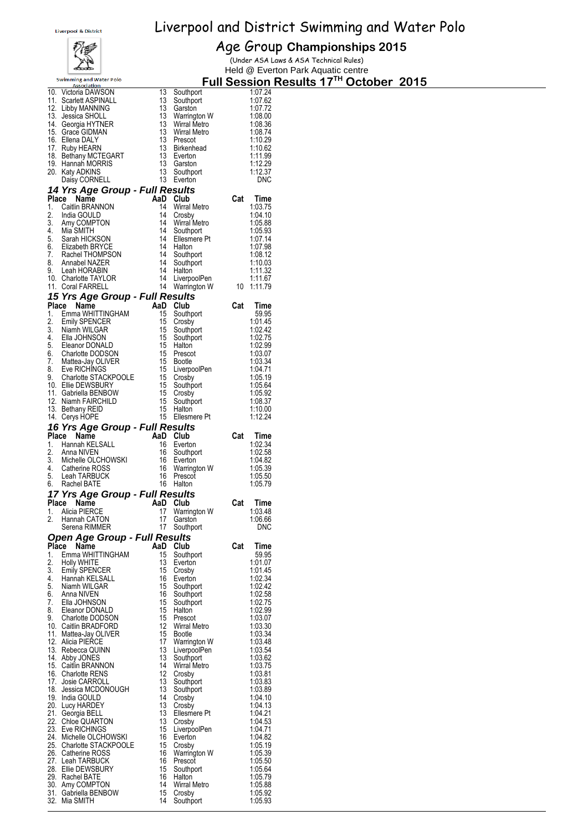

#### Age Group **Championships 2015**

(Under ASA Laws & ASA Technical Rules) Held @ Everton Park Aquatic centre

|                                               |                                       |                        | Tield @ Evertuit Fair Ayuatic Centre          |
|-----------------------------------------------|---------------------------------------|------------------------|-----------------------------------------------|
| <b>Swimming and Water Polo</b><br>Association |                                       |                        | <b>Full Session Results 17TH October 2015</b> |
| 10. Victoria DAWSON                           | 13<br>Southport                       | 1:07.24                |                                               |
| 11. Scarlett ASPINALL                         | 13<br>Southport                       | 1:07.62                |                                               |
| 12. Libby MANNING                             | 13<br>Garston                         | 1:07.72                |                                               |
| 13. Jessica SHOLL<br>14. Georgia HYTNER       | 13 Warrington W<br>13 Wirral Metro    | 1:08.00<br>1:08.36     |                                               |
| 15. Grace GIDMAN                              | 13 Wirral Metro                       | 1:08.74                |                                               |
| 16. Ellena DALY                               | 13 Prescot                            | 1:10.29                |                                               |
| 17. Ruby HEARN                                | 13<br><b>Birkenhead</b>               | 1:10.62                |                                               |
| 18. Bethany MCTEGART                          | 13 Everton                            | 1:11.99                |                                               |
| 19. Hannah MORRIS                             | 13 Garston                            | 1:12.29                |                                               |
| 20. Katy ADKINS                               | 13<br>Southport                       | 1:12.37                |                                               |
| Daisy CORNELL                                 | 13 Everton                            | <b>DNC</b>             |                                               |
| 14 Yrs Age Group - Full Results               |                                       |                        |                                               |
| Place Name<br>1.<br>Caitlin BRANNON           | AaD Club<br>14<br>Wirral Metro        | Cat<br>Time<br>1:03.75 |                                               |
| 2.<br>India GOULD                             | 14<br>Crosby                          | 1:04.10                |                                               |
| 3.<br>Amy COMPTON                             | 14<br>Wirral Metro                    | 1:05.88                |                                               |
| 4.<br>Mia SMITH                               | 14<br>Southport                       | 1:05.93                |                                               |
| 5.<br>Sarah HICKSON                           | 14 Ellesmere Pt                       | 1:07.14                |                                               |
| 6.<br>Elizabeth BRYCE                         | 14 Halton                             | 1:07.98                |                                               |
| 7.<br>Rachel THOMPSON                         | 14<br>Southport<br>14                 | 1:08.12                |                                               |
| 8.<br>Annabel NAZER<br>9.<br>Leah HORABIN     | Southport<br>14<br>Halton             | 1:10.03<br>1:11.32     |                                               |
| 10. Charlotte TAYLOR                          | LiverpoolPen<br>14                    | 1:11.67                |                                               |
| 11. Coral FARRELL                             | 14<br>Warrington W                    | 10 1:11.79             |                                               |
| 15 Yrs Age Group - Full Results               |                                       |                        |                                               |
| Place Name                                    | AaD Club                              | Cat<br>Time            |                                               |
| Emma WHITTINGHAM<br>1.                        | 15<br>Southport                       | 59.95                  |                                               |
| 2.<br><b>Emily SPENCER</b>                    | 15 Crosby                             | 1:01.45                |                                               |
| 3.<br>Niamh WILGAR                            | 15<br>Southport                       | 1:02.42                |                                               |
| 4.<br>Ella JOHNSON<br>5.<br>Eleanor DONALD    | 15<br>Southport<br>15 Halton          | 1:02.75<br>1:02.99     |                                               |
| 6.<br>Charlotte DODSON                        | 15 Prescot                            | 1:03.07                |                                               |
| 7.<br>Mattea-Jay OLIVER                       | 15 Bootle                             | 1:03.34                |                                               |
| 8.<br>Eve RICHINGS                            | 15 LiverpoolPen                       | 1:04.71                |                                               |
| 9.<br>Charlotte STACKPOOLE                    | 15 Crosby                             | 1:05.19                |                                               |
| 10. Ellie DEWSBURY                            | 15<br>Southport                       | 1.05.64                |                                               |
| 11. Gabriella BENBOW                          | 15 Crosby<br>15                       | 1:05.92<br>1:08.37     |                                               |
| 12. Niamh FAIRCHILD<br>13. Bethany REID       | Southport<br>15 Halton                | 1:10.00                |                                               |
| 14. Cerys HOPE                                | 15 Ellesmere Pt                       | 1:12.24                |                                               |
| 16 Yrs Age Group - Full Results               |                                       |                        |                                               |
| Place Name                                    | AaD Club                              | Cat<br>Time            |                                               |
| Hannah KELSALL<br>1.                          | 16 Everton                            | 1:02.34                |                                               |
| 2.<br>Anna NIVEN                              | 16<br>Southport                       | 1:02.58                |                                               |
| 3.<br>Michelle OLCHOWSKI                      | 16 Everton                            | 1:04.82                |                                               |
| 4.<br>Catherine ROSS<br>5.<br>Leah TARBUCK    | 16<br>Warrington W<br>16<br>Prescot   | 1:05.39<br>1:05.50     |                                               |
| 6.<br>Rachel BATE                             | 16 Halton                             | 1:05.79                |                                               |
| 17 Yrs Age Group - Full Results               |                                       |                        |                                               |
| Place<br>Name                                 | AaD Club                              | Cat<br>Time            |                                               |
| Alicia PIERCE<br>1.                           | 17 Warrington W                       | 1:03.48                |                                               |
| 2.<br>Hannah CATON                            | 17<br>Garston                         | 1:06.66                |                                               |
| Serena RIMMER                                 | 17<br>Southport                       | DNC                    |                                               |
| <b>Open Age Group - Full Results</b><br>Place |                                       | Cat<br>Time            |                                               |
| Name<br>Emma WHITTINGHAM<br>1.                | AaD Club<br>15<br>Southport           | 59.95                  |                                               |
| 2.<br><b>Holly WHITE</b>                      | 13<br>Everton                         | 1:01.07                |                                               |
| 3.<br><b>Emily SPENCER</b>                    | 15<br>Crosby                          | 1:01.45                |                                               |
| 4.<br>Hannah KELSALL                          | 16<br>Everton                         | 1:02.34                |                                               |
| 5.<br>Niamh WILGAR                            | 15<br>Southport                       | 1:02.42                |                                               |
| 6.<br>Anna NIVEN<br>7.                        | 16<br>Southport                       | 1:02.58                |                                               |
| Ella JOHNSON<br>8.<br>Eleanor DONALD          | 15<br>Southport<br>15<br>Halton       | 1:02.75<br>1:02.99     |                                               |
| 9.<br><b>Charlotte DODSON</b>                 | 15<br>Prescot                         | 1:03.07                |                                               |
| 10. Caitlin BRADFORD                          | 12 Wirral Metro                       | 1:03.30                |                                               |
| 11. Mattea-Jay OLIVER                         | 15<br><b>Bootle</b>                   | 1:03.34                |                                               |
| 12. Alicia PIERCE                             | 17<br>Warrington W                    | 1:03.48                |                                               |
| 13. Rebecca QUINN                             | 13<br>LiverpoolPen                    | 1:03.54                |                                               |
| 14. Abby JONES<br>15. Caitlin BRANNON         | 13<br>Southport<br>14<br>Wirral Metro | 1:03.62<br>1:03.75     |                                               |
| 16. Charlotte RENS                            | 12<br>Crosby                          | 1:03.81                |                                               |
| 17. Josie CARROLL                             | 13<br>Southport                       | 1:03.83                |                                               |
| 18. Jessica MCDONOUGH                         | 13<br>Southport                       | 1:03.89                |                                               |
| 19. India GOULD                               | 14<br>Crosby                          | 1:04.10                |                                               |
| 20. Lucy HARDEY<br>21. Georgia BELL           | 13<br>Crosby<br>13<br>Ellesmere Pt    | 1:04.13<br>1:04.21     |                                               |
| 22. Chloe QUARTON                             | 13<br>Crosby                          | 1:04.53                |                                               |
| 23. Eve RICHINGS                              | 15<br>LiverpoolPen                    | 1:04.71                |                                               |
| 24. Michelle OLCHOWSKI                        | 16<br>Everton                         | 1:04.82                |                                               |
| 25. Charlotte STACKPOOLE                      | 15<br>Crosby                          | 1:05.19                |                                               |
| 26. Catherine ROSS<br>27. Leah TARBUCK        | 16<br>Warrington W<br>16<br>Prescot   | 1:05.39<br>1:05.50     |                                               |
| 28. Ellie DEWSBURY                            | 15<br>Southport                       | 1:05.64                |                                               |
| 29. Rachel BATE                               | 16<br>Halton                          | 1:05.79                |                                               |
| 30. Amy COMPTON                               | 14<br>Wirral Metro                    | 1:05.88                |                                               |
| 31. Gabriella BENBOW                          | 15<br>Crosby                          | 1:05.92                |                                               |

32. Mia SMITH 14 Southport 1:05.93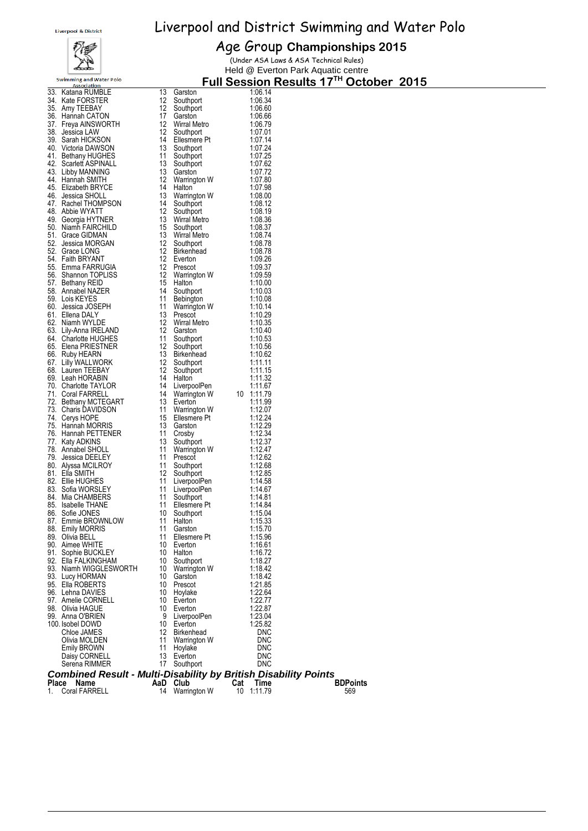

#### Age Group **Championships 2015**

(Under ASA Laws & ASA Technical Rules) Held @ Everton Park Aquatic centre

| <u>ASSOCIATION</u><br>33. Katana RUMBLE                                                                                                                                                                                                    | 13              | Garston                                                                                                                                                                                                                                          |     | 1:06.14            |                 |
|--------------------------------------------------------------------------------------------------------------------------------------------------------------------------------------------------------------------------------------------|-----------------|--------------------------------------------------------------------------------------------------------------------------------------------------------------------------------------------------------------------------------------------------|-----|--------------------|-----------------|
| 34. Kate FORSTER                                                                                                                                                                                                                           | 12              | Southport                                                                                                                                                                                                                                        |     | 1:06.34            |                 |
| 35. Amy TEEBAY                                                                                                                                                                                                                             | 12 <sup>2</sup> | Southport                                                                                                                                                                                                                                        |     | 1:06.60            |                 |
| 36. Hannah CATON                                                                                                                                                                                                                           | 17 <sup>2</sup> | Garston                                                                                                                                                                                                                                          |     | 1:06.66            |                 |
| 37.   Freya AINSWORTH                                                                                                                                                                                                                      |                 | 12 Wirral Metro                                                                                                                                                                                                                                  |     | 1:06.79            |                 |
| 38. Jessica LAW                                                                                                                                                                                                                            | 12              | Southport<br>12 Southport<br>14 Ellesmere Pt<br>13 Southport<br>13 Southport                                                                                                                                                                     |     | 1:07.01            |                 |
| 39. Sarah HICKSON<br>40. Victoria DAWSON                                                                                                                                                                                                   |                 |                                                                                                                                                                                                                                                  |     | 1:07.14<br>1:07.24 |                 |
| 40. VICTORIA DANSELLA<br>42. Scarlett ASPINALL<br>12. Scarlett ASPINALL                                                                                                                                                                    |                 |                                                                                                                                                                                                                                                  |     | 1:07.25            |                 |
|                                                                                                                                                                                                                                            |                 | 13 Southport                                                                                                                                                                                                                                     |     | 1:07.62            |                 |
| 43. Libby MANNING                                                                                                                                                                                                                          | 13              | Garston                                                                                                                                                                                                                                          |     | 1:07.72            |                 |
| 44. Hannah SMITH                                                                                                                                                                                                                           |                 | 12 Warrington W<br>14 Halton<br>14 Ha<br>13 Warring<br>14 Southport<br>12 Southport<br>13 Wirral Metro<br>15 Southport<br>12 Southport<br>12 Everton<br>12 Everton<br>12 Prescot<br>12 Warrington W<br>15 Halton<br>14 Marrington W<br>15 Halton |     | 1:07.80            |                 |
| 45. Elizabeth BRYCE                                                                                                                                                                                                                        |                 |                                                                                                                                                                                                                                                  |     | 1:07.98            |                 |
| 46. Jessica SHOLL<br>47. Rachel THOMPSON                                                                                                                                                                                                   |                 |                                                                                                                                                                                                                                                  |     | 1:08.00            |                 |
|                                                                                                                                                                                                                                            |                 |                                                                                                                                                                                                                                                  |     | 1:08.12<br>1:08.19 |                 |
| 48. Abbie WYATT<br>49. Georgia HYTNER                                                                                                                                                                                                      |                 |                                                                                                                                                                                                                                                  |     | 1:08.36            |                 |
| 50. Niamh FAIRCHILD                                                                                                                                                                                                                        |                 |                                                                                                                                                                                                                                                  |     | 1:08.37            |                 |
| 51. Grace GIDMAN                                                                                                                                                                                                                           |                 |                                                                                                                                                                                                                                                  |     | 1:08.74            |                 |
| 52. Jessica MORGAN<br>52. Grace LONG                                                                                                                                                                                                       |                 |                                                                                                                                                                                                                                                  |     | 1:08.78            |                 |
| 52. Grace LONG                                                                                                                                                                                                                             |                 |                                                                                                                                                                                                                                                  |     | 1:08.78            |                 |
| 54. Faith BRYANT                                                                                                                                                                                                                           |                 |                                                                                                                                                                                                                                                  |     | 1:09.26            |                 |
| 55. Emma FARRUGIA<br>56. Shannon TOPLISS                                                                                                                                                                                                   |                 |                                                                                                                                                                                                                                                  |     | 1:09.37<br>1:09.59 |                 |
| 57. Bethany REID                                                                                                                                                                                                                           |                 |                                                                                                                                                                                                                                                  |     | 1:10.00            |                 |
| 57. Doctor.,<br>58. Annabel NAZER<br>50. Lois KEYES                                                                                                                                                                                        |                 |                                                                                                                                                                                                                                                  |     | 1:10.03            |                 |
| 59. Lois KEYES                                                                                                                                                                                                                             |                 |                                                                                                                                                                                                                                                  |     | 1:10.08            |                 |
| 60. Jessica JOSEPH                                                                                                                                                                                                                         |                 | 11 Warrington W<br>13 Prescot                                                                                                                                                                                                                    |     | 1:10.14            |                 |
| 61. Ellena DALY                                                                                                                                                                                                                            |                 | 13 Prescot                                                                                                                                                                                                                                       |     | 1:10.29            |                 |
| 62. Niamh WYLDE                                                                                                                                                                                                                            |                 | 12 Wirral Metro<br>12 Careton                                                                                                                                                                                                                    |     | 1:10.35            |                 |
| 63. Lily-Anna IRELAND                                                                                                                                                                                                                      |                 | 12 Garston                                                                                                                                                                                                                                       |     | 1:10.40            |                 |
|                                                                                                                                                                                                                                            |                 |                                                                                                                                                                                                                                                  |     |                    |                 |
|                                                                                                                                                                                                                                            |                 |                                                                                                                                                                                                                                                  |     |                    |                 |
|                                                                                                                                                                                                                                            |                 |                                                                                                                                                                                                                                                  |     |                    |                 |
|                                                                                                                                                                                                                                            |                 | 12 Garston<br>11 Southport<br>13 Birkenhead<br>12 Southport<br>12 Southport<br>11 Martin                                                                                                                                                         |     |                    |                 |
| 11 Southport 1:10.40<br>66. Ruby HEARN 12 Southport 1:10.53<br>66. Ruby HEARN 13 Birkenhead 1:10.56<br>67. Lilly WALLWORK 12 Southport 1:11.11<br>68. Lauren TEEBAY 12 Southport 1:11.15<br>69. Leah HORABIN 14 Halton 1:11.32<br>70. Char |                 |                                                                                                                                                                                                                                                  |     |                    |                 |
|                                                                                                                                                                                                                                            |                 |                                                                                                                                                                                                                                                  |     |                    |                 |
|                                                                                                                                                                                                                                            |                 | 14 v.c.<br>13 Everton<br>11 Warrington W<br>17 Ellesmere Pt                                                                                                                                                                                      |     |                    |                 |
|                                                                                                                                                                                                                                            |                 |                                                                                                                                                                                                                                                  |     |                    |                 |
| 74. Cerys HOPE                                                                                                                                                                                                                             |                 |                                                                                                                                                                                                                                                  |     | 1:12.24            |                 |
| 75. Hannah MORRIS                                                                                                                                                                                                                          |                 |                                                                                                                                                                                                                                                  |     | 1:12.29            |                 |
| 76. Hannah PETTENER                                                                                                                                                                                                                        | 11              | Crosby                                                                                                                                                                                                                                           |     | 1:12.34            |                 |
| 77. Katy ADKINS                                                                                                                                                                                                                            | -13             | Southport                                                                                                                                                                                                                                        |     | 1:12.37            |                 |
| 78. Annabel SHOLL                                                                                                                                                                                                                          | -11<br>11       |                                                                                                                                                                                                                                                  |     | 1:12.47<br>1:12.62 |                 |
| 79. Jessica DEELEY<br>80. Alyssa MCILROY                                                                                                                                                                                                   | 11              | Varrington W<br>Prescot<br>Southport<br>Southport                                                                                                                                                                                                |     | 1:12.68            |                 |
| 81. Ella SMITH                                                                                                                                                                                                                             | 12              | Southport                                                                                                                                                                                                                                        |     | 1:12.85            |                 |
| 82. Ellie HUGHES                                                                                                                                                                                                                           | 11              |                                                                                                                                                                                                                                                  |     | 1:14.58            |                 |
| 83. Sofia WORSLEY                                                                                                                                                                                                                          | 11              | LiverpoolPen<br>LiverpoolPen                                                                                                                                                                                                                     |     | 1:14.67            |                 |
| 84. Mia CHAMBERS                                                                                                                                                                                                                           | -11             |                                                                                                                                                                                                                                                  |     | 1:14.81            |                 |
| 85. Isabelle THANE                                                                                                                                                                                                                         | 11              | Live.,<br>Southport<br>Ellesmere Pt<br>^∼uthport                                                                                                                                                                                                 |     | 1:14.84            |                 |
| 86. Sofie JONES<br>87. Emmie BROWNLOW                                                                                                                                                                                                      | 10<br>11        |                                                                                                                                                                                                                                                  |     | 1:15.04            |                 |
| 88. Emily MORRIS                                                                                                                                                                                                                           | 11              | Garston                                                                                                                                                                                                                                          |     | 1:15.33<br>1:15.70 |                 |
| 89. Olivia BELL                                                                                                                                                                                                                            | 11              | Ellesmere Pt                                                                                                                                                                                                                                     |     | 1:15.96            |                 |
| 90. Aimee WHITE                                                                                                                                                                                                                            | 10              | Everton                                                                                                                                                                                                                                          |     | 1:16.61            |                 |
| 91. Sophie BUCKLEY                                                                                                                                                                                                                         | 10              | Halton                                                                                                                                                                                                                                           |     | 1:16.72            |                 |
| 92. Ella FALKINGHAM                                                                                                                                                                                                                        | 10              | Southport                                                                                                                                                                                                                                        |     | 1:18.27            |                 |
| 93. Niamh WIGGLESWORTH                                                                                                                                                                                                                     | 10              | Warrington W                                                                                                                                                                                                                                     |     | 1:18.42            |                 |
| 93. Lucy HORMAN                                                                                                                                                                                                                            | 10<br>10        | Garston                                                                                                                                                                                                                                          |     | 1:18.42            |                 |
| 95. Ella ROBERTS<br>96. Lehna DAVIES                                                                                                                                                                                                       | 10              | Prescot<br>Hoylake                                                                                                                                                                                                                               |     | 1:21.85<br>1:22.64 |                 |
| 97. Amelie CORNELL                                                                                                                                                                                                                         | 10              | Everton                                                                                                                                                                                                                                          |     | 1:22.77            |                 |
| 98. Olivia HAGUE                                                                                                                                                                                                                           | 10              | Everton                                                                                                                                                                                                                                          |     | 1:22.87            |                 |
| 99. Anna O'BRIEN                                                                                                                                                                                                                           | 9               | LiverpoolPen                                                                                                                                                                                                                                     |     | 1:23.04            |                 |
| 100. Isobel DOWD                                                                                                                                                                                                                           | 10              | Everton                                                                                                                                                                                                                                          |     | 1:25.82            |                 |
| Chloe JAMES                                                                                                                                                                                                                                | 12              | Birkenhead                                                                                                                                                                                                                                       |     | <b>DNC</b>         |                 |
| Olivia MOLDEN                                                                                                                                                                                                                              | 11<br>11        | Warrington W<br>Hoylake                                                                                                                                                                                                                          |     | <b>DNC</b><br>DNC  |                 |
| Emily BROWN<br>Daisy CORNELL                                                                                                                                                                                                               | 13              | Everton                                                                                                                                                                                                                                          |     | <b>DNC</b>         |                 |
| Serena RIMMER                                                                                                                                                                                                                              | 17              | Southport                                                                                                                                                                                                                                        |     | <b>DNC</b>         |                 |
| <b>Combined Result - Multi-Disability by British Disability Points</b>                                                                                                                                                                     |                 |                                                                                                                                                                                                                                                  |     |                    |                 |
| Place Name                                                                                                                                                                                                                                 |                 | AaD Club                                                                                                                                                                                                                                         | Cat | Time               | <b>BDPoints</b> |
| <b>Coral FARRELL</b><br>1.                                                                                                                                                                                                                 | 14              | Warrington W                                                                                                                                                                                                                                     | 10  | 1:11.79            | 569             |
|                                                                                                                                                                                                                                            |                 |                                                                                                                                                                                                                                                  |     |                    |                 |
|                                                                                                                                                                                                                                            |                 |                                                                                                                                                                                                                                                  |     |                    |                 |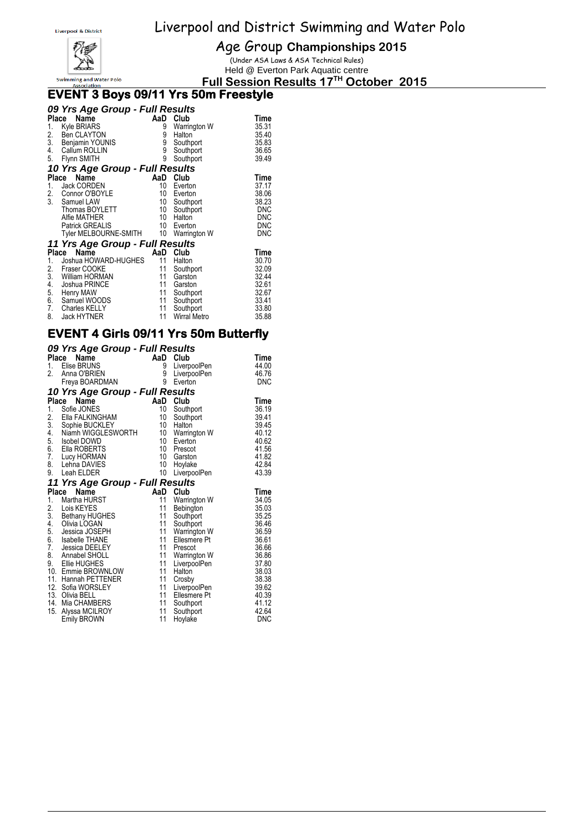

Age Group **Championships 2015**

(Under ASA Laws & ASA Technical Rules) Held @ Everton Park Aquatic centre

**Full Session Results 17 TH October 2015**

#### **EVENT 3 Boys 09/11 Yrs 50m Freestyle**

|       | 09 Yrs Age Group - Full Results |        |                     |            |
|-------|---------------------------------|--------|---------------------|------------|
| Place | <b>Name</b>                     |        | AaD Club            | Time       |
| 1.    | <b>Kyle BRIARS</b>              | 9      | Warrington W        | 35.31      |
| 2.    | <b>Ben CLAYTON</b>              | 9      | Halton              | 35.40      |
| 3.    | Benjamin YOUNIS                 |        | Southport           | 35.83      |
| 4.    | Callum ROLLIN                   | 9<br>9 | Southport           | 36.65      |
| 5.    | Flynn SMITH                     | 9      | Southport           | 39.49      |
|       | 10 Yrs Age Group - Full Results |        |                     |            |
|       | Name<br>Place                   | AaD    | Club                | Time       |
| 1.    | Jack CORDEN                     | 10     | Everton             | 37.17      |
| 2.    | Connor O'BOYLE                  | 10     | Everton             | 38.06      |
| 3.    | Samuel LAW                      | 10     | Southport           | 38.23      |
|       | Thomas BOYLETT                  | 10     | Southport           | <b>DNC</b> |
|       | Alfie MATHER                    | 10     | Halton              | <b>DNC</b> |
|       | <b>Patrick GREALIS</b>          | 10     | Everton             | <b>DNC</b> |
|       | Tyler MELBOURNE-SMITH           | 10     | Warrington W        | <b>DNC</b> |
|       | 11 Yrs Age Group - Full Results |        |                     |            |
|       | Name<br>Place                   | AaD    | Club                | Time       |
| 1.    | Joshua HOWARD-HUGHES            | 11     | Halton              | 30.70      |
| 2.    | Fraser COOKE                    | 11     | Southport           | 32.09      |
| 3.    | William HORMAN                  | 11     | Garston             | 32.44      |
| 4.    | Joshua PRINCE                   | 11     | Garston             | 32.61      |
| 5.    | Henry MAW                       | 11     | Southport           | 32.67      |
| 6.    | Samuel WOODS                    | 11     | Southport           | 33.41      |
| 7.    | Charles KELLY                   | 11     | Southport           | 33.80      |
| 8.    | <b>Jack HYTNER</b>              | 11     | <b>Wirral Metro</b> | 35.88      |

#### **EVENT 4 Girls 09/11 Yrs 50m Butterfly**

#### *09 Yrs Age Group - Full Results*

| <b>Place</b>     | Name                                 | AaD      | Club                 | Time           |
|------------------|--------------------------------------|----------|----------------------|----------------|
| 1.               | Elise BRUNS                          | 9        | LiverpoolPen         | 44.00          |
| $\overline{2}$ . | Anna O'BRIEN                         | 9        | LiverpoolPen         | 46.76          |
|                  | Freya BOARDMAN                       | 9        | Everton              | <b>DNC</b>     |
|                  | 10 Yrs Age Group - Full Results      |          |                      |                |
| <b>Place</b>     | Name                                 | AaD      | Club                 | Time           |
| 1.               | Sofie JONES                          | 10       | Southport            | 36.19          |
| 2.               | Ella FALKINGHAM                      | 10       | Southport            | 39.41          |
| $\overline{3}$ . | Sophie BUCKLEY                       | 10       | Halton               | 39.45          |
|                  | 4. Niamh WIGGLESWORTH                | 10       | Warrington W         | 40.12          |
|                  | 5. Isobel DOWD                       | 10       | Everton              | 40.62          |
| 6.               | Ella ROBERTS                         | 10       | Prescot              | 41.56          |
| 7.               | Lucy HORMAN                          | 10       | Garston              | 41.82          |
| 8.               | Lehna DAVIES                         | 10       | Hoylake              | 42.84          |
| 9.               | Leah ELDER                           | 10       | LiverpoolPen         | 43.39          |
|                  | 11 Yrs Age Group - Full Results      |          |                      |                |
|                  | Place<br>Name                        | AaD      | Club                 | <b>Time</b>    |
| 1.               | Martha HURST                         | 11       | Warrington W         | 34.05          |
|                  | 2. Lois KEYES<br>3. Bethany HUGHES   | 11       | Bebington            | 35.03          |
|                  |                                      | 11       | Southport            | 35.25          |
| 4.               | Olivia LOGAN                         | 11       | Southport            | 36.46          |
| 5.               | Jessica JOSEPH                       | 11       | Warrington W         | 36.59          |
| 6.               | Isabelle THANE                       | 11       | Ellesmere Pt         | 36.61          |
| 7.               | Jessica DEELEY                       | 11       | Prescot              | 36.66          |
| 8.               | Annabel SHOLL                        | 11       | Warrington W         | 36.86          |
| 9.               | Ellie HUGHES                         | 11       | LiverpoolPen         | 37.80          |
|                  | 10. Emmie BROWNLOW                   | 11       | Halton               | 38.03          |
|                  | 11. Hannah PETTENER                  | 11       | Crosby               | 38.38          |
|                  | 12. Sofia WORSLEY                    | 11       | LiverpoolPen         | 39.62          |
|                  | 13. Olivia BELL                      | 11<br>11 | Ellesmere Pt         | 40.39          |
| 15.              | 14. Mia CHAMBERS                     | 11       | Southport            | 41.12<br>42.64 |
|                  | Alyssa MCILROY<br><b>Emily BROWN</b> | 11       | Southport<br>Hoylake | DNC            |
|                  |                                      |          |                      |                |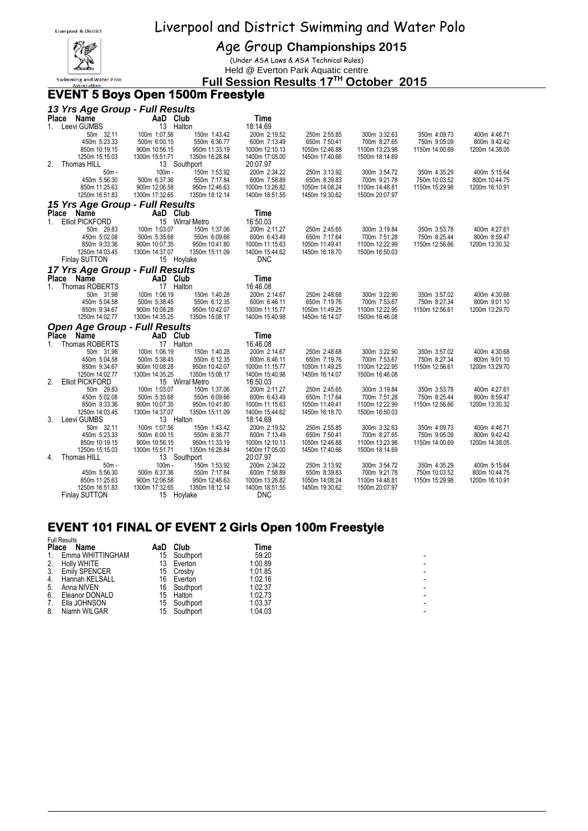

Age Group **Championships 2015**

(Under ASA Laws & ASA Technical Rules) Held @ Everton Park Aquatic centre

#### **Full Session Results 17 TH October 2015**

#### **EVENT 5 Boys Open 1500m Freestyle**

|              | 13 Yrs Age Group - Full Results      |                               |                                 |                                  |                                  |                                  |                |                |  |  |  |  |  |  |
|--------------|--------------------------------------|-------------------------------|---------------------------------|----------------------------------|----------------------------------|----------------------------------|----------------|----------------|--|--|--|--|--|--|
|              | Place Name                           | AaD Club                      |                                 | Time                             |                                  |                                  |                |                |  |  |  |  |  |  |
| $1_{\ldots}$ | Leevi GUMBS                          | 13 Halton                     |                                 | 18:14.69                         |                                  |                                  |                |                |  |  |  |  |  |  |
|              | 50m 32.11                            | 100m 1:07.56                  | 150m 1:43.42                    | 200m 2:19.52                     | 250m 2:55.85                     | 300m 3:32.63                     | 350m 4:09.73   | 400m 4:46.71   |  |  |  |  |  |  |
|              | 450m 5:23.33                         | 500m 6:00.15                  | 550m 6:36.77                    | 600m 7:13.49                     | 650m 7:50.41                     | 700m 8:27.65                     | 750m 9:05.09   | 800m 9:42.42   |  |  |  |  |  |  |
|              | 850m 10:19.15                        | 900m 10:56.15                 | 950m 11:33.19                   | 1000m 12:10.13                   | 1050m 12:46.88                   | 1100m 13:23.98                   | 1150m 14:00.69 | 1200m 14:38.05 |  |  |  |  |  |  |
|              | 1250m 15:15.03                       | 1300m 15:51.71                | 1350m 16:28.84                  | 1400m 17:05.00                   | 1450m 17:40.66                   | 1500m 18:14.69                   |                |                |  |  |  |  |  |  |
| 2.           | Thomas HILL                          | 13 Southport                  |                                 | 20:07.97                         |                                  |                                  |                |                |  |  |  |  |  |  |
|              | $50m -$                              | $100m -$                      | 150m 1:53.92                    | 200m 2:34.22                     | 250m 3:13.92                     | 300m 3:54.72                     | 350m 4:35.29   | 400m 5:15.64   |  |  |  |  |  |  |
|              | 450m 5:56.30                         | 500m 6:37.36                  | 550m 7:17.84                    | 600m 7:58.89                     | 650m 8:39.83                     | 700m 9:21.78                     | 750m 10:03.52  | 800m 10:44.75  |  |  |  |  |  |  |
|              | 850m 11:25.63                        | 900m 12:06.58                 | 950m 12:46.63                   | 1000m 13:26.82                   | 1050m 14:08.24                   | 1100m 14:48.81                   | 1150m 15:29.98 | 1200m 16:10.91 |  |  |  |  |  |  |
|              | 1250m 16:51.83                       | 1300m 17:32.65                | 1350m 18:12.14                  | 1400m 18:51.55                   | 1450m 19:30.62                   | 1500m 20:07.97                   |                |                |  |  |  |  |  |  |
|              | 15 Yrs Age Group - Full Results      |                               |                                 |                                  |                                  |                                  |                |                |  |  |  |  |  |  |
|              | Place Name                           | AaD Club                      |                                 | Time                             |                                  |                                  |                |                |  |  |  |  |  |  |
| $1_{-}$      | <b>Elliot PICKFORD</b>               |                               | 15 Wirral Metro                 | 16:50.03                         |                                  |                                  |                |                |  |  |  |  |  |  |
|              | 50m 29.83                            | 100m 1:03.07                  | 150m 1:37.06                    | 200m 2:11.27                     | 250m 2:45.65                     | 300m 3:19.84                     | 350m 3:53.78   | 400m 4:27.61   |  |  |  |  |  |  |
|              | 450m 5:02.08                         | 500m 5:35.68                  | 550m 6:09.66                    | 600m 6:43.49                     | 650m 7:17.64                     | 700m 7:51.28                     | 750m 8:25.44   | 800m 8:59.47   |  |  |  |  |  |  |
|              | 850m 9:33.36                         | 900m 10:07.35                 | 950m 10:41.80                   | 1000m 11:15.63                   | 1050m 11:49.41                   | 1100m 12:22.99                   | 1150m 12:56.66 | 1200m 13:30.32 |  |  |  |  |  |  |
|              | 1250m 14:03.45                       | 1300m 14:37.07                | 1350m 15:11.09                  | 1400m 15:44.62                   | 1450m 16:18.70                   | 1500m 16:50.03                   |                |                |  |  |  |  |  |  |
|              | <b>Finlay SUTTON</b>                 | 15 Hoylake                    |                                 | <b>DNC</b>                       |                                  |                                  |                |                |  |  |  |  |  |  |
|              | 17 Yrs Age Group - Full Results      |                               |                                 |                                  |                                  |                                  |                |                |  |  |  |  |  |  |
|              | Place Name                           | AaD Club                      |                                 | Time                             |                                  |                                  |                |                |  |  |  |  |  |  |
|              | 1. Thomas ROBERTS                    | 17 Halton                     |                                 | 16:46.08                         |                                  |                                  |                |                |  |  |  |  |  |  |
|              | 50m 31.98                            | 100m 1:06.19                  | 150m 1:40.28                    | 200m 2:14.67                     | 250m 2:48.68                     | 300m 3:22.90                     | 350m 3:57.02   | 400m 4:30.68   |  |  |  |  |  |  |
|              | 450m 5:04.58                         | 500m 5:38.45                  | 550m 6:12.35                    | 600m 6:46.11                     | 650m 7:19.76                     | 700m 7:53.67                     | 750m 8:27.34   | 800m 9:01.10   |  |  |  |  |  |  |
|              | 850m 9:34.67                         | 900m 10:08.28                 | 950m 10:42.07                   | 1000m 11:15.77                   | 1050m 11:49.25                   | 1100m 12:22.95                   | 1150m 12:56.61 | 1200m 13:29.70 |  |  |  |  |  |  |
|              | 1250m 14:02.77                       | 1300m 14:35.25                | 1350m 15:08.17                  | 1400m 15:40.98                   | 1450m 16:14.07                   | 1500m 16:46.08                   |                |                |  |  |  |  |  |  |
|              | <b>Open Age Group - Full Results</b> |                               |                                 |                                  |                                  |                                  |                |                |  |  |  |  |  |  |
|              | Place Name                           | AaD Club                      |                                 | <b>Time</b>                      |                                  |                                  |                |                |  |  |  |  |  |  |
| $1_{-}$      | Thomas ROBERTS                       | 17 Halton                     |                                 | 16:46.08                         |                                  |                                  |                |                |  |  |  |  |  |  |
|              | 50m 31.98                            | 100m 1:06.19                  | 150m 1:40.28                    | 200m 2:14.67                     | 250m 2:48.68                     | 300m 3:22.90                     | 350m 3:57.02   | 400m 4:30.68   |  |  |  |  |  |  |
|              | 450m 5:04.58                         | 500m 5:38.45                  | 550m 6:12.35                    | 600m 6:46.11                     | 650m 7:19.76                     | 700m 7:53.67                     | 750m 8:27.34   | 800m 9:01.10   |  |  |  |  |  |  |
|              | 850m 9:34.67                         | 900m 10:08.28                 | 950m 10:42.07                   | 1000m 11:15.77                   | 1050m 11:49.25                   | 1100m 12:22.95                   | 1150m 12:56.61 | 1200m 13:29.70 |  |  |  |  |  |  |
|              | 1250m 14:02.77                       | 1300m 14:35.25                | 1350m 15:08.17                  | 1400m 15:40.98                   | 1450m 16:14.07                   | 1500m 16:46.08                   |                |                |  |  |  |  |  |  |
| 2.           | <b>Elliot PICKFORD</b>               |                               | 15 Wirral Metro                 | 16:50.03                         |                                  |                                  |                |                |  |  |  |  |  |  |
|              | 50m 29.83                            | 100m 1:03.07                  | 150m 1:37.06                    | 200m 2:11.27                     | 250m 2:45.65                     | 300m 3:19.84                     | 350m 3:53.78   | 400m 4:27.61   |  |  |  |  |  |  |
|              | 450m 5:02.08                         | 500m 5:35.68                  | 550m 6:09.66                    | 600m 6:43.49                     | 650m 7:17.64                     | 700m 7:51.28                     | 750m 8:25.44   | 800m 8:59.47   |  |  |  |  |  |  |
|              | 850m 9:33.36                         | 900m 10:07.35                 | 950m 10:41.80                   | 1000m 11:15.63                   | 1050m 11:49.41                   | 1100m 12:22.99                   | 1150m 12:56.66 | 1200m 13:30.32 |  |  |  |  |  |  |
|              | 1250m 14:03.45                       | 1300m 14:37.07                | 1350m 15:11.09                  | 1400m 15:44.62                   | 1450m 16:18.70                   | 1500m 16:50.03                   |                |                |  |  |  |  |  |  |
| 3.           | Leevi GUMBS                          | 13 Halton                     |                                 | 18:14.69                         |                                  |                                  |                |                |  |  |  |  |  |  |
|              | 50m 32.11                            | 100m 1:07.56                  | 150m 1:43.42                    | 200m 2:19.52                     | 250m 2:55.85                     | 300m 3:32.63                     | 350m 4:09.73   | 400m 4:46.71   |  |  |  |  |  |  |
|              | 450m 5:23.33                         | 500m 6:00.15<br>900m 10:56.15 | 550m 6:36.77                    | 600m 7:13.49                     | 650m 7:50.41                     | 700m 8:27.65                     | 750m 9:05.09   | 800m 9:42.42   |  |  |  |  |  |  |
|              | 850m 10:19.15<br>1250m 15:15.03      | 1300m 15:51.71                | 950m 11:33.19<br>1350m 16:28.84 | 1000m 12:10.13<br>1400m 17:05.00 | 1050m 12:46.88<br>1450m 17:40.66 | 1100m 13:23.98<br>1500m 18:14.69 | 1150m 14:00.69 | 1200m 14:38.05 |  |  |  |  |  |  |
| 4.           | Thomas HILL                          | 13 Southport                  |                                 | 20:07.97                         |                                  |                                  |                |                |  |  |  |  |  |  |
|              | $50m -$                              | $100m -$                      | 150m 1:53.92                    | 200m 2:34.22                     | 250m 3:13.92                     | 300m 3:54.72                     | 350m 4:35.29   | 400m 5:15.64   |  |  |  |  |  |  |
|              | 450m 5:56.30                         | 500m 6:37.36                  | 550m 7:17.84                    | 600m 7:58.89                     | 650m 8:39.83                     | 700m 9:21.78                     | 750m 10:03.52  | 800m 10:44.75  |  |  |  |  |  |  |
|              | 850m 11:25.63                        | 900m 12:06.58                 | 950m 12:46.63                   | 1000m 13:26.82                   | 1050m 14:08.24                   | 1100m 14:48.81                   | 1150m 15:29.98 | 1200m 16:10.91 |  |  |  |  |  |  |
|              | 1250m 16:51.83                       | 1300m 17:32.65                | 1350m 18:12.14                  | 1400m 18:51.55                   | 1450m 19:30.62                   | 1500m 20:07.97                   |                |                |  |  |  |  |  |  |
|              | <b>Finlay SUTTON</b>                 | 15 Hoylake                    |                                 | <b>DNC</b>                       |                                  |                                  |                |                |  |  |  |  |  |  |

#### **EVENT 101 FINAL OF EVENT 2 Girls Open 100m Freestyle**  Full Results

|              | <b>FUIL RESULS</b>   |     |           |         |  |
|--------------|----------------------|-----|-----------|---------|--|
| <b>Place</b> | Name                 | AaD | Club      | Time    |  |
| $1_{-}$      | Emma WHITTINGHAM     | 15  | Southport | 59.20   |  |
| 2.           | <b>Holly WHITE</b>   | 13  | Everton   | 1:00.89 |  |
| 3.           | <b>Emily SPENCER</b> | 15. | Crosbv    | 1:01.85 |  |
| 4.           | Hannah KELSALL       | 16  | Everton   | 1:02.16 |  |
| 5.           | Anna NIVEN           | 16  | Southport | 1:02.37 |  |
| 6.           | Eleanor DONALD       | 15  | Halton    | 1:02.73 |  |
| 7.           | Ella JOHNSON         | 15  | Southport | 1:03.37 |  |
| 8.           | Niamh WILGAR         | 15  | Southport | 1:04.03 |  |
|              |                      |     |           |         |  |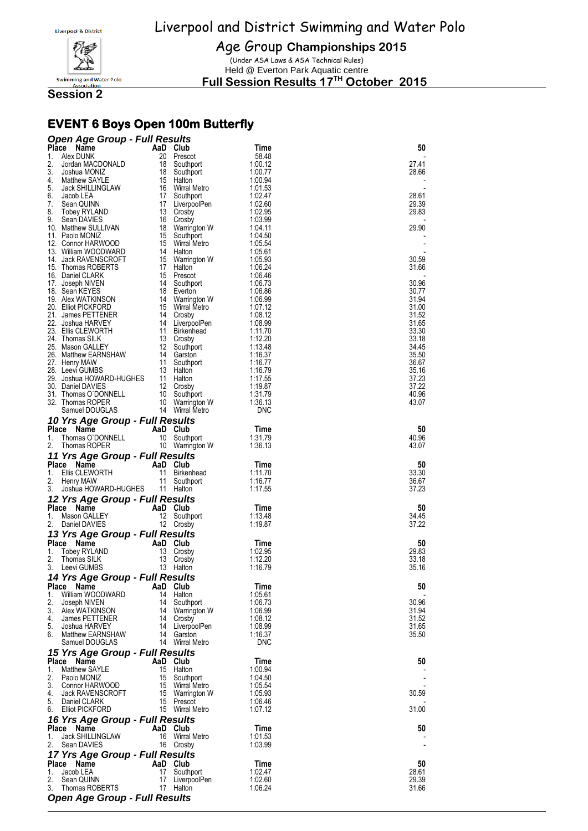

Age Group **Championships 2015**

(Under ASA Laws & ASA Technical Rules) Held @ Everton Park Aquatic centre

**Full Session Results 17 TH October 2015**

**Session 2**

### **EVENT 6 Boys Open 100m Butterfly**

| <b>Open Age Group - Full Results</b>                          |          |                                  |                    |                |
|---------------------------------------------------------------|----------|----------------------------------|--------------------|----------------|
| Place<br>Name<br>Alex DUNK<br>1.                              |          | AaD Club<br>20 Prescot           | Time<br>58.48      | 50             |
| 2.<br>Jordan MACDONALD                                        | 18       | Southport                        | 1:00.12            | 27.41          |
| 3.<br>Joshua MONIZ                                            |          | 18 Southport                     | 1:00.77            | 28.66          |
| 4.<br>Matthew SAYLE                                           |          | 15 Halton                        | 1:00.94            |                |
| 5.<br>Jack SHILLINGLAW<br>6.<br>Jacob LEA                     |          | 16 Wirral Metro<br>17 Southport  | 1:01.53<br>1:02.47 | 28.61          |
| 7.<br>Sean QUINN                                              |          | 17 LiverpoolPen                  | 1:02.60            | 29.39          |
| 8.<br>Tobey RYLAND                                            |          | 13 Crosby                        | 1:02.95            | 29.83          |
| 9.<br>Sean DAVIES<br>10. Matthew SULLIVAN                     | 16<br>18 | Crosby<br>Warrington W           | 1:03.99<br>1:04.11 | 29.90          |
| 11. Paolo MONIZ                                               | 15       | Southport                        | 1:04.50            |                |
| 12. Connor HARWOOD                                            |          | 15 Wirral Metro                  | 1:05.54            |                |
| 13. William WOODWARD                                          | 15       | 14 Halton                        | 1:05.61<br>1:05.93 | 30.59          |
| 14. Jack RAVENSCROFT<br>15. Thomas ROBERTS                    |          | Warrington W<br>17 Halton        | 1:06.24            | 31.66          |
| 16. Daniel CLARK                                              |          | 15 Prescot                       | 1:06.46            |                |
| 17. Joseph NIVEN                                              |          | 14 Southport                     | 1:06.73            | 30.96          |
| 18. Sean KEYES<br>19. Alex WATKINSON                          |          | 18 Everton<br>14 Warrington W    | 1:06.86<br>1:06.99 | 30.77<br>31.94 |
| 20. Elliot PICKFORD                                           | 15       | Wirral Metro                     | 1:07.12            | 31.00          |
| 21. James PETTENER                                            |          | 14 Crosby                        | 1:08.12            | 31.52          |
| 22. Joshua HARVEY<br>23. Ellis CLEWORTH                       |          | 14 LiverpoolPen<br>11 Birkenhead | 1:08.99<br>1:11.70 | 31.65<br>33.30 |
| 24. Thomas SILK                                               |          | 13 Crosby                        | 1:12.20            | 33.18          |
| 25. Mason GALLEY                                              |          | 12 Southport                     | 1:13.48            | 34.45          |
| 26. Matthew EARNSHAW<br>27. Henry MAW                         |          | 14 Garston<br>11 Southport       | 1:16.37<br>1:16.77 | 35.50<br>36.67 |
| 28. Leevi GUMBS                                               |          | 13 Halton                        | 1:16.79            | 35.16          |
| 29. Joshua HOWARD-HUGHES                                      |          | 11 Halton                        | 1:17.55            | 37.23          |
| 30. Daniel DAVIES<br>31. Thomas O`DONNELL<br>32. Thomas ROPER |          | 12 Crosby<br>10 Southport        | 1:19.87<br>1:31.79 | 37.22          |
| 32. Thomas ROPER                                              |          | 10 Warrington W                  | 1:36.13            | 40.96<br>43.07 |
| Samuel DOUGLAS                                                |          | 14 Wirral Metro                  | <b>DNC</b>         |                |
| 10 Yrs Age Group - Full Results                               |          |                                  |                    |                |
| Place Name<br>1.<br>Thomas O'DONNELL                          |          | AaD Club<br>10 Southport         | Time<br>1.31.79    | 50<br>40.96    |
| 2.<br>Thomas ROPER                                            |          | 10 Warrington W                  | 1:36.13            | 43.07          |
| 11 Yrs Age Group - Full Results                               |          |                                  |                    |                |
| Place Name                                                    |          | AaD Club                         | Time               | 50             |
| 1.<br>Ellis CLEWORTH                                          | 11       | Birkenhead                       | 1:11.70            | 33.30          |
| 2.<br>Henry MAW<br>3.<br>Joshua HOWARD-HUGHES                 |          | 11 Southport<br>11 Halton        | 1.16.77<br>1:17.55 | 36.67<br>37.23 |
| 12 Yrs Age Group - Full Results                               |          |                                  |                    |                |
| Place Name                                                    |          | AaD Club                         | Time               | 50             |
| 1.<br>Mason GALLEY                                            |          | 12 Southport                     | 1:13.48            | 34.45          |
| 2.<br>Daniel DAVIES                                           |          | 12 Crosby                        | 1:19.87            | 37.22          |
| 13 Yrs Age Group - Full Results                               |          |                                  |                    |                |
| Place Name<br>Tobey RYLAND<br>1.                              |          | AaD Club<br>13 Crosby            | Time<br>1:02.95    | 50<br>29.83    |
| 2.<br>Thomas SILK                                             |          | 13 Crosby                        | 1:12.20            | 33.18          |
| 3.<br>Leevi GUMBS                                             |          | 13 Halton                        | 1.16.79            | 35.16          |
| 14 Yrs Age Group - Full Results<br>Place Name                 |          | AaD Club                         | Time               | 50             |
| 1.<br>William WOODWARD                                        |          | 14 Halton                        | 1:05.61            |                |
| 2.<br>Joseph NIVEN                                            |          | 14 Southport                     | 1:06.73            | 30.96          |
| 3.<br>Alex WATKINSON<br>4.<br>James PETTENER                  |          | 14 Warrington W<br>14 Crosby     | 1:06.99<br>1:08.12 | 31.94<br>31.52 |
| 5.<br>Joshua HARVEY                                           |          | 14 LiverpoolPen                  | 1:08.99            | 31.65          |
| <b>Matthew EARNSHAW</b><br>6.                                 |          | 14 Garston                       | 1:16.37            | 35.50          |
| Samuel DOUGLAS                                                |          | 14 Wirral Metro                  | <b>DNC</b>         |                |
| 15 Yrs Age Group - Full Results<br>Place Name                 |          | AaD Club                         | Time               | 50             |
| 1.<br><b>Matthew SAYLE</b>                                    |          | 15 Halton                        | 1:00.94            |                |
| 2.<br>Paolo MONIZ                                             |          | 15 Southport                     | 1:04.50            |                |
| 3.<br>Connor HARWOOD                                          |          | 15 Wirral Metro                  | 1:05.54            |                |
| 4.<br><b>Jack RAVENSCROFT</b><br>5.<br>Daniel CLARK           |          | 15 Warrington W<br>15 Prescot    | 1:05.93<br>1:06.46 | 30.59          |
| 6.<br>Elliot PICKFORD                                         |          | 15 Wirral Metro                  | 1:07.12            | 31.00          |
| 16 Yrs Age Group - Full Results                               |          |                                  |                    |                |
| Place Name                                                    |          | AaD Club                         | Time               | 50             |
| 1.<br>Jack SHILLINGLAW<br>2.<br>Sean DAVIES                   | 16       | Wirral Metro<br>16 Crosby        | 1:01.53<br>1:03.99 |                |
| 17 Yrs Age Group - Full Results                               |          |                                  |                    |                |
| Place Name                                                    |          | AaD Club                         | Time               | 50             |
| 1.<br>Jacob LEA<br>2.<br>Sean QUINN                           | 17       | Southport<br>17 LiverpoolPen     | 1:02.47<br>1:02.60 | 28.61<br>29.39 |
| 3.<br>Thomas ROBERTS                                          |          | 17 Halton                        | 1:06.24            | 31.66          |
| <b>Open Age Group - Full Results</b>                          |          |                                  |                    |                |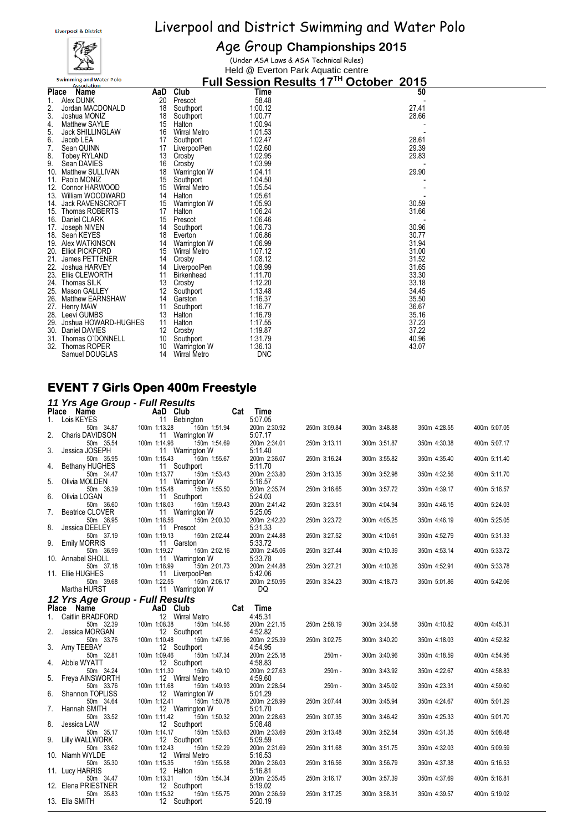

#### Age Group **Championships 2015**

(Under ASA Laws & ASA Technical Rules) Held @ Everton Park Aquatic centre

|       | <b>Swimming and Water Polo</b><br><b>Association</b> |     |                     |            | Full Session Results 17TH October<br>2015 |  |
|-------|------------------------------------------------------|-----|---------------------|------------|-------------------------------------------|--|
| Place | Name                                                 | AaD | Club                | Time       | 50                                        |  |
|       | Alex DUNK                                            | 20  | Prescot             | 58.48      |                                           |  |
| 2.    | Jordan MACDONALD                                     | 18  | Southport           | 1:00.12    | 27.41                                     |  |
| 3.    | Joshua MONIZ                                         | 18  | Southport           | 1:00.77    | 28.66                                     |  |
| 4.    | <b>Matthew SAYLE</b>                                 | 15  | Halton              | 1:00.94    |                                           |  |
| 5.    | Jack SHILLINGLAW                                     | 16  | <b>Wirral Metro</b> | 1:01.53    |                                           |  |
| 6.    | Jacob LEA                                            | 17  | Southport           | 1:02.47    | 28.61                                     |  |
| 7.    | Sean QUINN                                           | 17  | LiverpoolPen        | 1:02.60    | 29.39                                     |  |
| 8.    | <b>Tobey RYLAND</b>                                  | 13  | Crosby              | 1:02.95    | 29.83                                     |  |
| 9.    | Sean DAVIES                                          | 16  | Crosby              | 1:03.99    |                                           |  |
| 10.   | <b>Matthew SULLIVAN</b>                              | 18  | Warrington W        | 1:04.11    | 29.90                                     |  |
| 11.   | Paolo MONIZ                                          | 15  | Southport           | 1:04.50    |                                           |  |
| 12.   | Connor HARWOOD                                       | 15  | <b>Wirral Metro</b> | 1:05.54    |                                           |  |
| 13.   | William WOODWARD                                     | 14  | Halton              | 1:05.61    |                                           |  |
| 14.   | <b>Jack RAVENSCROFT</b>                              | 15  | Warrington W        | 1:05.93    | 30.59                                     |  |
| 15.   | <b>Thomas ROBERTS</b>                                | 17  | Halton              | 1:06.24    | 31.66                                     |  |
| 16.   | Daniel CLARK                                         | 15  | Prescot             | 1:06.46    |                                           |  |
| 17.   | Joseph NIVEN                                         | 14  | Southport           | 1:06.73    | 30.96                                     |  |
|       | 18. Sean KEYES                                       | 18  | Everton             | 1:06.86    | 30.77                                     |  |
|       | 19. Alex WATKINSON                                   | 14  | Warrington W        | 1:06.99    | 31.94                                     |  |
| 20.   | <b>Elliot PICKFORD</b>                               | 15  | <b>Wirral Metro</b> | 1:07.12    | 31.00                                     |  |
| 21.   | James PETTENER                                       | 14  | Crosby              | 1:08.12    | 31.52                                     |  |
| 22.   | Joshua HARVEY                                        | 14  | LiverpoolPen        | 1:08.99    | 31.65                                     |  |
| 23.   | <b>Ellis CLEWORTH</b>                                | 11  | <b>Birkenhead</b>   | 1:11.70    | 33.30                                     |  |
| 24.   | <b>Thomas SILK</b>                                   | 13  | Crosby              | 1:12.20    | 33.18                                     |  |
| 25.   | Mason GALLEY                                         | 12  | Southport           | 1:13.48    | 34.45                                     |  |
| 26.   | <b>Matthew EARNSHAW</b>                              | 14  | Garston             | 1:16.37    | 35.50                                     |  |
|       | 27. Henry MAW                                        | 11  | Southport           | 1:16.77    | 36.67                                     |  |
| 28.   | Leevi GUMBS                                          | 13  | Halton              | 1:16.79    | 35.16                                     |  |
| 29.   | Joshua HOWARD-HUGHES                                 | 11  | Halton              | 1:17.55    | 37.23                                     |  |
| 30.   | Daniel DAVIES                                        | 12  | Crosby              | 1:19.87    | 37.22                                     |  |
| 31.   | Thomas O'DONNELL                                     | 10  | Southport           | 1:31.79    | 40.96                                     |  |
| 32.   | Thomas ROPER                                         | 10  | Warrington W        | 1:36.13    | 43.07                                     |  |
|       | Samuel DOUGLAS                                       | 14  | <b>Wirral Metro</b> | <b>DNC</b> |                                           |  |

#### **EVENT 7 Girls Open 400m Freestyle**

#### *11 Yrs Age Group - Full Results*

|    | $\cdot$ $\cdot$ $\cdot$ $\cdot$ $\cdot$ $\cdot$ $\cdot$<br>Place Name |              | AaD Club                        | Cat | <b>Time</b>             |              |              |              |              |
|----|-----------------------------------------------------------------------|--------------|---------------------------------|-----|-------------------------|--------------|--------------|--------------|--------------|
| 1. | Lois KEYES                                                            |              | 11 Bebington                    |     | 5:07.05                 |              |              |              |              |
|    | 50m 34.87                                                             | 100m 1:13.28 | 150m 1:51.94                    |     | 200m 2:30.92            | 250m 3:09.84 | 300m 3:48.88 | 350m 4:28.55 | 400m 5:07.05 |
| 2. | Charis DAVIDSON                                                       |              | 11 Warrington W                 |     | 5:07.17                 |              |              |              |              |
| 3. | 50m 35.54<br>Jessica JOSEPH                                           | 100m 1:14.96 | 150m 1:54.69<br>11 Warrington W |     | 200m 2:34.01<br>5:11.40 | 250m 3:13.11 | 300m 3:51.87 | 350m 4:30.38 | 400m 5:07.17 |
|    | 50m 35.95                                                             | 100m 1:15.43 | 150m 1:55.67                    |     | 200m 2:36.07            | 250m 3:16.24 | 300m 3:55.82 | 350m 4:35.40 | 400m 5:11.40 |
| 4. | <b>Bethany HUGHES</b>                                                 |              | 11 Southport                    |     | 5:11.70                 |              |              |              |              |
|    | 50m 34.47                                                             | 100m 1:13.77 | 150m 1:53.43                    |     | 200m 2:33.80            | 250m 3:13.35 | 300m 3:52.98 | 350m 4:32.56 | 400m 5:11.70 |
| 5. | Olivia MOLDEN                                                         |              | 11 Warrington W                 |     | 5:16.57                 |              |              |              |              |
| 6. | 50m 36.39<br>Olivia LOGAN                                             | 100m 1:15.48 | 150m 1:55.50<br>11 Southport    |     | 200m 2:35.74<br>5:24.03 | 250m 3:16.65 | 300m 3:57.72 | 350m 4:39.17 | 400m 5:16.57 |
|    | 50m 36.60                                                             | 100m 1:18.03 | 150m 1:59.43                    |     | 200m 2:41.42            | 250m 3:23.51 | 300m 4:04.94 | 350m 4:46.15 | 400m 5:24.03 |
| 7. | <b>Beatrice CLOVER</b>                                                |              | 11 Warrington W                 |     | 5:25.05                 |              |              |              |              |
|    | 50m 36.95                                                             | 100m 1:18.56 | 150m 2:00.30                    |     | 200m 2:42.20            | 250m 3:23.72 | 300m 4:05.25 | 350m 4:46.19 | 400m 5:25.05 |
| 8. | Jessica DEELEY                                                        |              | 11 Prescot                      |     | 5:31.33                 |              |              |              |              |
| 9. | 50m 37.19                                                             | 100m 1:19.13 | 150m 2:02.44                    |     | 200m 2:44.88            | 250m 3:27.52 | 300m 4:10.61 | 350m 4:52.79 | 400m 5:31.33 |
|    | <b>Emily MORRIS</b><br>50m 36.99                                      | 100m 1:19.27 | 11 Garston<br>150m 2:02.16      |     | 5:33.72<br>200m 2:45.06 | 250m 3:27.44 | 300m 4:10.39 | 350m 4:53.14 | 400m 5:33.72 |
|    | 10. Annabel SHOLL                                                     |              | 11 Warrington W                 |     | 5:33.78                 |              |              |              |              |
|    | 50m 37.18                                                             | 100m 1:18.99 | 150m 2:01.73                    |     | 200m 2:44.88            | 250m 3:27.21 | 300m 4:10.26 | 350m 4:52.91 | 400m 5:33.78 |
|    | 11. Ellie HUGHES                                                      |              | 11 LiverpoolPen                 |     | 5:42.06                 |              |              |              |              |
|    | 50m 39.68                                                             | 100m 1:22.55 | 150m 2:06.17                    |     | 200m 2:50.95            | 250m 3:34.23 | 300m 4:18.73 | 350m 5:01.86 | 400m 5:42.06 |
|    | Martha HURST                                                          |              | 11 Warrington W                 |     | DQ                      |              |              |              |              |
|    | 12 Yrs Age Group - Full Results                                       |              |                                 |     |                         |              |              |              |              |
| 1. | Place Name<br>Caitlin BRADFORD                                        |              | AaD Club<br>12 Wirral Metro     | Cat | Time<br>4:45.31         |              |              |              |              |
|    | 50m 32.39                                                             | 100m 1:08.38 | 150m 1:44.56                    |     | 200m 2:21.15            | 250m 2:58.19 | 300m 3:34.58 | 350m 4:10.82 | 400m 4:45.31 |
| 2. | Jessica MORGAN                                                        |              | 12 Southport                    |     | 4:52.82                 |              |              |              |              |
|    | 50m 33.76                                                             | 100m 1:10.48 | 150m 1:47.96                    |     | 200m 2:25.39            | 250m 3:02.75 | 300m 3:40.20 | 350m 4:18.03 | 400m 4:52.82 |
| 3. | Amy TEEBAY                                                            |              | 12 Southport                    |     | 4:54.95                 |              |              |              |              |
| 4. | 50m 32.81<br>Abbie WYATT                                              | 100m 1:09.46 | 150m 1:47.34<br>12 Southport    |     | 200m 2:25.18<br>4:58.83 | $250m -$     | 300m 3:40.96 | 350m 4:18.59 | 400m 4:54.95 |
|    | 50m 34.24                                                             | 100m 1:11.30 | 150m 1:49.10                    |     | 200m 2:27.63            | 250m -       | 300m 3:43.92 | 350m 4:22.67 | 400m 4:58.83 |
| 5. | Freya AINSWORTH                                                       |              | 12 Wirral Metro                 |     | 4:59.60                 |              |              |              |              |
|    | 50m 33.76                                                             | 100m 1:11.68 | 150m 1:49.93                    |     | 200m 2:28.54            | 250m -       | 300m 3:45.02 | 350m 4:23.31 | 400m 4:59.60 |
| 6. | Shannon TOPLISS                                                       |              | 12 Warrington W                 |     | 5:01.29                 |              |              |              |              |
|    | 50m 34.64                                                             | 100m 1:12.41 | 150m 1:50.78                    |     | 200m 2:28.99<br>5:01.70 | 250m 3:07.44 | 300m 3:45.94 | 350m 4:24.67 | 400m 5:01.29 |
| 7. | Hannah SMITH<br>50m 33.52                                             | 100m 1:11.42 | 12 Warrington W<br>150m 1:50.32 |     | 200m 2:28.63            | 250m 3:07.35 | 300m 3:46.42 | 350m 4:25.33 | 400m 5:01.70 |
| 8. | Jessica LAW                                                           |              | 12 Southport                    |     | 5:08.48                 |              |              |              |              |
|    | 50m 35.17                                                             | 100m 1:14.17 | 150m 1:53.63                    |     | 200m 2:33.69            | 250m 3:13.48 | 300m 3:52.54 | 350m 4:31.35 | 400m 5:08.48 |
| 9. | Lilly WALLWORK                                                        |              | 12 Southport                    |     | 5:09.59                 |              |              |              |              |
|    | 50m 33.62<br>10. Niamh WYLDE                                          | 100m 1:12.43 | 150m 1:52.29<br>12 Wirral Metro |     | 200m 2:31.69            | 250m 3:11.68 | 300m 3:51.75 | 350m 4:32.03 | 400m 5:09.59 |
|    | 50m 35.30                                                             | 100m 1:15.35 | 150m 1:55.58                    |     | 5:16.53<br>200m 2:36.03 | 250m 3:16.56 | 300m 3:56.79 | 350m 4:37.38 | 400m 5:16.53 |
|    | 11. Lucy HARRIS                                                       |              | 12 Halton                       |     | 5:16.81                 |              |              |              |              |
|    | 50m 34.47                                                             | 100m 1:13.31 | 150m 1:54.34                    |     | 200m 2:35.45            | 250m 3:16.17 | 300m 3:57.39 | 350m 4:37.69 | 400m 5:16.81 |
|    |                                                                       |              |                                 |     |                         |              |              |              |              |
|    | 12. Elena PRIESTNER                                                   |              | 12 Southport                    |     | 5:19.02                 |              |              |              |              |
|    | 50m 35.83<br>13. Ella SMITH                                           | 100m 1:15.32 | 150m 1:55.75<br>12 Southport    |     | 200m 2:36.59<br>5:20.19 | 250m 3:17.25 | 300m 3:58.31 | 350m 4:39.57 | 400m 5:19.02 |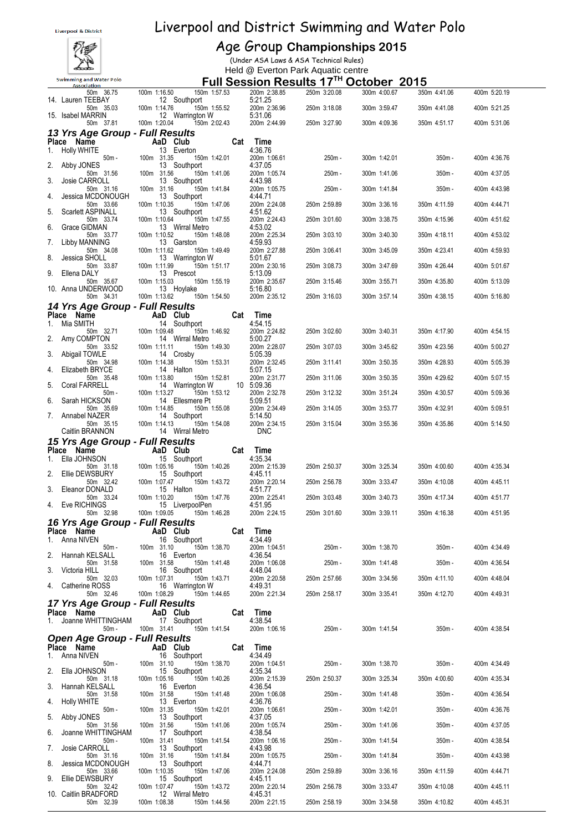

#### Age Group **Championships 2015**

(Under ASA Laws & ASA Technical Rules) Held @ Everton Park Aquatic centre

| <b>Association</b>                                        | <b>FUIL SESSION RESULTS 17 TO OCTODET 2015</b>                  |     |                                    |              |              |              |              |  |
|-----------------------------------------------------------|-----------------------------------------------------------------|-----|------------------------------------|--------------|--------------|--------------|--------------|--|
| 50m 36.75<br>14. Lauren TEEBAY                            | 100m 1:16.50  150m 1:57.53<br>12 Southport                      |     | 200m 2:38.85<br>5:21.25            | 250m 3:20.08 | 300m 4:00.67 | 350m 4:41.06 | 400m 5:20.19 |  |
| 50m 35.03                                                 | 150m 1:55.52<br>100m 1:14.76                                    |     | 200m 2:36.96                       | 250m 3:18.08 | 300m 3:59.47 | 350m 4:41.08 | 400m 5:21.25 |  |
| 15. Isabel MARRIN<br>50m 37.81                            | 12 Warrington W<br>100m 1:20.04<br>150m 2:02.43                 |     | 5:31.06<br>200m 2:44.99            | 250m 3:27.90 | 300m 4:09.36 | 350m 4:51.17 | 400m 5:31.06 |  |
| 13 Yrs Age Group - Full Results                           |                                                                 |     |                                    |              |              |              |              |  |
| Place Name                                                | AaD Club                                                        |     | Cat Time                           |              |              |              |              |  |
| 1. Holly WHITE<br>$50m -$                                 | 13 Everton<br>100m 31.35<br>150m 1:42.01                        |     | 4:36.76<br>200m 1:06.61            | 250m -       | 300m 1:42.01 | $350m -$     | 400m 4:36.76 |  |
| Abby JONES<br>2.<br>50m 31.56                             | 13 Southport<br>100m 31.56<br>150m 1:41.06                      |     | 4:37.05<br>200m 1:05.74            | 250m -       | 300m 1:41.06 | $350m -$     | 400m 4:37.05 |  |
| Josie CARROLL<br>3.                                       | 13 Southport                                                    |     | 4:43.98                            |              |              |              |              |  |
| 50m 31.16<br>Jessica MCDONOUGH<br>4.                      | 100m 31.16<br>150m 1:41.84<br>13 Southport                      |     | 200m 1:05.75<br>4:44.71            | 250m -       | 300m 1:41.84 | $350m -$     | 400m 4:43.98 |  |
| 50m 33.66                                                 | 100m 1:10.35<br>150m 1:47.06                                    |     | 200m 2:24.08                       | 250m 2:59.89 | 300m 3:36.16 | 350m 4:11.59 | 400m 4:44.71 |  |
| Scarlett ASPINALL<br>5.<br>50m 33.74                      | 13 Southport<br>100m 1:10.64<br>150m 1:47.55                    |     | 4:51.62<br>200m 2:24.43            | 250m 3:01.60 | 300m 3:38.75 | 350m 4:15.96 | 400m 4:51.62 |  |
| Grace GIDMAN<br>6.<br>50m 33.77                           | 13 Wirral Metro<br>100m 1:10.52<br>150m 1:48.08                 |     | 4:53.02<br>200m 2:25.34            | 250m 3:03.10 | 300m 3:40.30 | 350m 4:18.11 | 400m 4:53.02 |  |
| Libby MANNING<br>7.                                       | 13 Garston                                                      |     | 4:59.93                            |              |              |              |              |  |
| 50m 34.08<br>Jessica SHOLL<br>8.                          | 100m 1:11.62<br>150m 1:49.49<br>13 Warrington W                 |     | 200m 2:27.88<br>5:01.67            | 250m 3:06.41 | 300m 3:45.09 | 350m 4:23.41 | 400m 4:59.93 |  |
| 50m 33.87<br>Ellena DALY<br>9.                            | 100m 1:11.99<br>150m 1:51.17<br>13 Prescot                      |     | 200m 2:30.16<br>5:13.09            | 250m 3:08.73 | 300m 3:47.69 | 350m 4:26.44 | 400m 5:01.67 |  |
| 50m 35.67                                                 | 100m 1:15.03<br>150m 1:55.19                                    |     | 200m 2:35.67                       | 250m 3:15.46 | 300m 3:55.71 | 350m 4:35.80 | 400m 5:13.09 |  |
| 10. Anna UNDERWOOD<br>50m 34.31                           | 13 Hoylake<br>100m 1:13.62<br>150m 1:54.50                      |     | 5:16.80<br>200m 2:35.12            | 250m 3:16.03 | 300m 3:57.14 | 350m 4:38.15 | 400m 5:16.80 |  |
| 14 Yrs Age Group - Full Results                           |                                                                 |     |                                    |              |              |              |              |  |
| Place Name AaD Club<br>1. Mia SMITH                       | <b>Aau Club</b><br>14 Southport<br>0m 1:09.48                   |     | Cat Time<br>4:54.15                |              |              |              |              |  |
| 50m 32.71                                                 | 150m 1:46.92<br>100m 1:09.48                                    |     | 200m 2:24.82                       | 250m 3:02.60 | 300m 3:40.31 | 350m 4:17.90 | 400m 4:54.15 |  |
| 2.<br>Amy COMPTON<br>50m 33.52                            | 14 Wirral Metro<br>100m 1:11.11<br>150m 1:49.30                 |     | 5:00.27<br>200m 2:28.07            | 250m 3:07.03 | 300m 3:45.62 | 350m 4:23.56 | 400m 5:00.27 |  |
| 3.<br>Abigail TOWLE<br>50m 34.98                          | 14 Crosby<br>150m 1:53.31<br>100m 1:14.38                       |     | 5:05.39<br>200m 2:32.45            | 250m 3:11.41 | 300m 3:50.35 | 350m 4:28.93 | 400m 5:05.39 |  |
| Elizabeth BRYCE<br>4.<br>50m 35.48                        | 14 Halton<br>100m 1:13.80<br>150m 1:52.81                       |     | 5:07.15<br>200m 2:31.77            |              | 300m 3:50.35 | 350m 4:29.62 |              |  |
| Coral FARRELL<br>5.                                       | 14 Warrington W                                                 |     | 10 5:09.36                         | 250m 3:11.06 |              |              | 400m 5:07.15 |  |
| 50m -<br>Sarah HICKSON<br>6.                              | 150m 1:53.12<br>100m 1:13.27<br>14 Ellesmere Pt                 |     | 200m 2:32.78<br>5:09.51            | 250m 3:12.32 | 300m 3:51.24 | 350m 4:30.57 | 400m 5:09.36 |  |
| 50m 35.69<br>7. Annabel NAZER                             | 100m 1:14.85<br>150m 1:55.08<br>14 Southport                    |     | 200m 2:34.49<br>5:14.50            | 250m 3:14.05 | 300m 3:53.77 | 350m 4:32.91 | 400m 5:09.51 |  |
| 50m 35.15                                                 | 100m 1:14.13<br>150m 1:54.08                                    |     | 200m 2:34.15                       | 250m 3:15.04 | 300m 3:55.36 | 350m 4:35.86 | 400m 5:14.50 |  |
| Caitlin BRANNON                                           |                                                                 |     |                                    |              |              |              |              |  |
|                                                           | 14 Wirral Metro                                                 |     | <b>DNC</b>                         |              |              |              |              |  |
| 15 Yrs Age Group - Full Results<br>Place Name             |                                                                 |     | Cat Time                           |              |              |              |              |  |
| 1. Ella JOHNSON                                           | $AaD$ Club<br>15 Southport                                      |     | 4:35.34                            |              |              |              |              |  |
| 50m 31.18<br>2. Ellie DEWSBURY                            | 100m 1:05.16<br>150m 1:40.26<br>15 Southport                    |     | 200m 2:15.39<br>4:45.11            | 250m 2:50.37 | 300m 3:25.34 | 350m 4:00.60 | 400m 4:35.34 |  |
| 50m 32.42<br>Eleanor DONALD<br>3.                         | 100m 1:07.47<br>150m 1:43.72<br>15 Halton                       |     | 200m 2:20.14<br>4:51.77            | 250m 2:56.78 | 300m 3:33.47 | 350m 4:10.08 | 400m 4:45.11 |  |
| 50m 33.24                                                 | 100m 1:10.20<br>150m 1:47.76                                    |     | 200m 2:25.41                       | 250m 3:03.48 | 300m 3:40.73 | 350m 4:17.34 | 400m 4:51.77 |  |
| 4. Eve RICHINGS<br>50m 32.98                              | 15 LiverpoolPen<br>100m 1:09.05<br>150m 1:46.28                 |     | 4:51.95<br>200m 2:24.15            | 250m 3:01.60 | 300m 3:39.11 | 350m 4:16.38 | 400m 4:51.95 |  |
| 16 Yrs Age Group - Full Results                           |                                                                 |     |                                    |              |              |              |              |  |
| Place Name<br>Anna NIVEN                                  | AaD Club<br>16 Southport                                        | Cat | <b>Time</b><br>4.34.49             |              |              |              |              |  |
| $50m -$<br>Hannah KELSALL<br>2.                           | 100m 31.10<br>150m 1:38.70<br>16 Everton                        |     | 200m 1:04.51<br>4:36.54            | 250m -       | 300m 1:38.70 | $350m -$     | 400m 4:34.49 |  |
| 50m 31.58                                                 | 100m 31.58<br>150m 1:41.48                                      |     | 200m 1:06.08                       | 250m -       | 300m 1:41.48 | $350m -$     | 400m 4:36.54 |  |
| Victoria HILL<br>3.<br>50m 32.03                          | 16 Southport<br>100m 1:07.31<br>150m 1:43.71                    |     | 4:48.04<br>200m 2:20.58            | 250m 2:57.66 | 300m 3:34.56 | 350m 4:11.10 | 400m 4:48.04 |  |
| Catherine ROSS<br>4.<br>50m 32.46                         | 16 Warrington W<br>100m 1:08.29<br>150m 1:44.65                 |     | 4:49.31<br>200m 2:21.34            | 250m 2:58.17 | 300m 3:35.41 | 350m 4:12.70 | 400m 4:49.31 |  |
| 17 Yrs Age Group - Full Results                           |                                                                 |     |                                    |              |              |              |              |  |
| Place Name<br>Joanne WHITTINGHAM<br>1.                    | AaD Club<br>17 Southport                                        | Cat | Time<br>4:38.54                    |              |              |              |              |  |
| $50m -$                                                   | 100m 31.41<br>150m 1:41.54                                      |     | 200m 1:06.16                       | 250m -       | 300m 1:41.54 | $350m -$     | 400m 4:38.54 |  |
| <b>Open Age Group - Full Results</b>                      |                                                                 |     |                                    |              |              |              |              |  |
| Place Name<br>Anna NIVEN<br>1.                            | AaD Club<br>16 Southport                                        | Cat | Time<br>4:34.49                    |              |              |              |              |  |
| $50m -$<br>Ella JOHNSON<br>2.                             | 150m 1:38.70<br>100m 31.10<br>15 Southport                      |     | 200m 1:04.51<br>4:35.34            | 250m -       | 300m 1:38.70 | $350m -$     | 400m 4:34.49 |  |
| 50m 31.18                                                 | 100m 1:05.16<br>150m 1:40.26                                    |     | 200m 2:15.39                       | 250m 2:50.37 | 300m 3:25.34 | 350m 4:00.60 | 400m 4:35.34 |  |
| Hannah KELSALL<br>3.<br>50m 31.58                         | 16 Everton<br>100m 31.58<br>150m 1:41.48                        |     | 4:36.54<br>200m 1:06.08            | 250m -       | 300m 1:41.48 | 350m -       | 400m 4:36.54 |  |
| Holly WHITE<br>4.<br>$50m -$                              | 13 Everton<br>100m 31.35<br>150m 1:42.01                        |     | 4:36.76<br>200m 1:06.61            | 250m -       | 300m 1:42.01 | $350m -$     | 400m 4:36.76 |  |
| Abby JONES<br>5.<br>50m 31.56                             | 13 Southport<br>100m 31.56<br>150m 1:41.06                      |     | 4:37.05<br>200m 1:05.74            | 250m -       | 300m 1:41.06 | 350m -       | 400m 4:37.05 |  |
| Joanne WHITTINGHAM<br>6.                                  | 17 Southport                                                    |     | 4:38.54                            |              |              |              |              |  |
| $50m -$<br>Josie CARROLL<br>7.                            | 100m 31.41<br>150m 1:41.54<br>13 Southport                      |     | 200m 1:06.16<br>4:43.98            | 250m -       | 300m 1:41.54 | $350m -$     | 400m 4:38.54 |  |
| 50m 31.16<br>Jessica MCDONOUGH<br>8.                      | 100m 31.16<br>150m 1:41.84<br>13 Southport                      |     | 200m 1:05.75<br>4:44.71            | 250m -       | 300m 1:41.84 | $350m -$     | 400m 4:43.98 |  |
| 50m 33.66                                                 | 100m 1:10.35<br>150m 1:47.06                                    |     | 200m 2:24.08                       | 250m 2:59.89 | 300m 3:36.16 | 350m 4:11.59 | 400m 4:44.71 |  |
| Ellie DEWSBURY<br>9.<br>50m 32.42<br>10. Caitlin BRADFORD | 15 Southport<br>150m 1:43.72<br>100m 1:07.47<br>12 Wirral Metro |     | 4:45.11<br>200m 2:20.14<br>4:45.31 | 250m 2:56.78 | 300m 3:33.47 | 350m 4:10.08 | 400m 4:45.11 |  |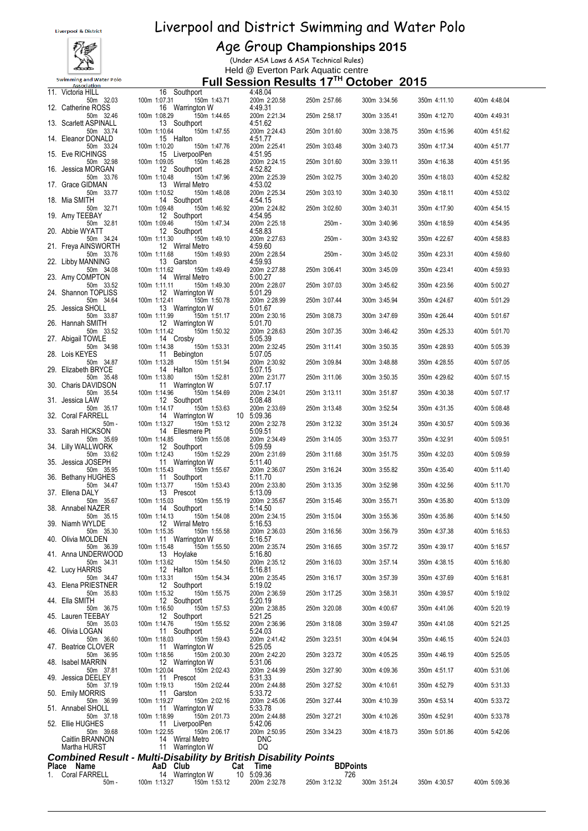

#### Age Group **Championships 2015**

(Under ASA Laws & ASA Technical Rules) Held @ Everton Park Aquatic centre

|    | 11. Victoria HILL                  | 16 Southport                                                                              | 4:48.04                    |                 |              |              |              |
|----|------------------------------------|-------------------------------------------------------------------------------------------|----------------------------|-----------------|--------------|--------------|--------------|
|    | 50m 32.03<br>12. Catherine ROSS    | 100m 1:07.31  150m 1:43.71<br>16 Warrington W                                             | 200m 2:20.58<br>4:49.31    | 250m 2:57.66    | 300m 3:34.56 | 350m 4:11.10 | 400m 4:48.04 |
|    | 50m 32.46<br>13. Scarlett ASPINALL | 100m 1:08.29<br>150m 1:44.65<br>13 Southport                                              | 200m 2:21.34<br>4:51.62    | 250m 2:58.17    | 300m 3:35.41 | 350m 4:12.70 | 400m 4:49.31 |
|    | 50m 33.74<br>14. Eleanor DONALD    | 100m 1:10.64<br>150m 1:47.55<br>15 Halton                                                 | 200m 2:24.43<br>4:51.77    | 250m 3:01.60    | 300m 3:38.75 | 350m 4:15.96 | 400m 4:51.62 |
|    | 50m 33.24<br>15. Eve RICHINGS      | 100m 1:10.20<br>150m 1:47.76<br>15 LiverpoolPen                                           | 200m 2:25.41<br>4:51.95    | 250m 3:03.48    | 300m 3:40.73 | 350m 4:17.34 | 400m 4:51.77 |
|    | 50m 32.98<br>16. Jessica MORGAN    | 100m 1:09.05<br>150m 1:46.28<br>12 Southport                                              | 200m 2:24.15               | 250m 3:01.60    | 300m 3:39.11 | 350m 4:16.38 | 400m 4:51.95 |
|    | 50m 33.76                          | 100m 1:10.48<br>150m 1:47.96                                                              | 4:52.82<br>200m 2:25.39    | 250m 3:02.75    | 300m 3:40.20 | 350m 4:18.03 | 400m 4:52.82 |
|    | 17. Grace GIDMAN<br>50m 33.77      | 13 Wirral Metro<br>100m 1:10.52<br>150m 1:48.08                                           | 4:53.02<br>200m 2:25.34    | 250m 3:03.10    | 300m 3:40.30 | 350m 4:18.11 | 400m 4:53.02 |
|    | 18. Mia SMITH<br>50m 32.71         | 14 Southport<br>100m 1:09.48<br>150m 1:46.92                                              | 4:54.15<br>200m 2:24.82    | 250m 3:02.60    | 300m 3:40.31 | 350m 4:17.90 | 400m 4:54.15 |
|    | 19. Amy TEEBAY<br>50m 32.81        | 12 Southport<br>100m 1:09.46<br>150m 1:47.34                                              | 4:54.95<br>200m 2:25.18    | 250m -          | 300m 3:40.96 | 350m 4:18.59 | 400m 4:54.95 |
|    | 20. Abbie WYATT<br>50m 34.24       | 12 Southport<br>100m 1:11.30<br>150m 1:49.10                                              | 4:58.83<br>200m 2:27.63    | 250m -          | 300m 3:43.92 | 350m 4:22.67 | 400m 4:58.83 |
|    | 21. Freya AINSWORTH<br>50m 33.76   | 12 Wirral Metro<br>150m 1:49.93<br>100m 1:11.68                                           | 4:59.60<br>200m 2:28.54    | 250m -          | 300m 3:45.02 | 350m 4:23.31 | 400m 4:59.60 |
|    | 22. Libby MANNING<br>50m 34.08     | 13 Garston<br>100m 1:11.62<br>150m 1:49.49                                                | 4:59.93<br>200m 2:27.88    | 250m 3:06.41    | 300m 3:45.09 | 350m 4:23.41 | 400m 4:59.93 |
|    | 23. Amy COMPTON<br>50m 33.52       | 14 Wirral Metro<br>100m 1:11.11<br>150m 1:49.30                                           | 5:00.27<br>200m 2:28.07    | 250m 3:07.03    | 300m 3:45.62 | 350m 4:23.56 | 400m 5:00.27 |
|    | 24. Shannon TOPLISS<br>50m 34.64   | 12 Warrington W<br>100m 1:12.41<br>150m 1:50.78                                           | 5:01.29<br>200m 2:28.99    | 250m 3:07.44    | 300m 3:45.94 | 350m 4:24.67 | 400m 5:01.29 |
|    | 25. Jessica SHOLL                  | 13 Warrington W                                                                           | 5:01.67                    |                 |              |              |              |
|    | 50m 33.87<br>26. Hannah SMITH      | 100m 1:11.99<br>150m 1:51.17<br>12 Warrington W                                           | 200m 2:30.16<br>5:01.70    | 250m 3:08.73    | 300m 3:47.69 | 350m 4:26.44 | 400m 5:01.67 |
|    | 50m 33.52<br>27. Abigail TOWLE     | 100m 1:11.42<br>150m 1:50.32<br>14 Crosby                                                 | 200m 2:28.63<br>5:05.39    | 250m 3:07.35    | 300m 3:46.42 | 350m 4:25.33 | 400m 5:01.70 |
|    | 50m 34.98<br>28. Lois KEYES        | 100m 1:14.38<br>150m 1:53.31<br>11 Bebington                                              | 200m 2:32.45<br>5:07.05    | 250m 3:11.41    | 300m 3:50.35 | 350m 4:28.93 | 400m 5:05.39 |
|    | 50m 34.87<br>29. Elizabeth BRYCE   | 150m 1:51.94<br>100m 1:13.28<br>14 Halton                                                 | 200m 2:30.92<br>5:07.15    | 250m 3:09.84    | 300m 3:48.88 | 350m 4:28.55 | 400m 5:07.05 |
|    | 50m 35.48<br>30. Charis DAVIDSON   | 100m 1:13.80<br>150m 1:52.81<br>11 Warrington W                                           | 200m 2:31.77<br>5:07.17    | 250m 3:11.06    | 300m 3:50.35 | 350m 4:29.62 | 400m 5:07.15 |
|    | 50m 35.54<br>31. Jessica LAW       | 100m 1:14.96<br>150m 1:54.69<br>12 Southport                                              | 200m 2:34.01<br>5:08.48    | 250m 3:13.11    | 300m 3:51.87 | 350m 4:30.38 | 400m 5:07.17 |
|    | 50m 35.17<br>32. Coral FARRELL     | 100m 1:14.17<br>150m 1:53.63<br>14 Warrington W                                           | 200m 2:33.69<br>10 5:09.36 | 250m 3:13.48    | 300m 3:52.54 | 350m 4:31.35 | 400m 5:08.48 |
|    | $50m -$<br>33. Sarah HICKSON       | 100m 1:13.27<br>150m 1:53.12<br>14 Ellesmere Pt                                           | 200m 2:32.78<br>5:09.51    | 250m 3:12.32    | 300m 3:51.24 | 350m 4:30.57 | 400m 5:09.36 |
|    | 50m 35.69<br>34. Lilly WALLWORK    | 100m 1:14.85<br>150m 1:55.08<br>12 Southport                                              | 200m 2:34.49<br>5:09.59    | 250m 3:14.05    | 300m 3:53.77 | 350m 4:32.91 | 400m 5:09.51 |
|    | 50m 33.62<br>35. Jessica JOSEPH    | 100m 1:12.43<br>150m 1:52.29<br>11 Warrington W                                           | 200m 2:31.69<br>5:11.40    | 250m 3:11.68    | 300m 3:51.75 | 350m 4:32.03 | 400m 5:09.59 |
|    | 50m 35.95<br>36. Bethany HUGHES    | 100m 1:15.43<br>150m 1:55.67<br>11 Southport                                              | 200m 2:36.07               | 250m 3:16.24    | 300m 3:55.82 | 350m 4:35.40 | 400m 5:11.40 |
|    | 50m 34.47                          | 150m 1:53.43<br>100m 1:13.77                                                              | 5:11.70<br>200m 2:33.80    | 250m 3:13.35    | 300m 3:52.98 | 350m 4:32.56 | 400m 5:11.70 |
|    | 37. Ellena DALY<br>50m 35.67       | 13 Prescot<br>100m 1:15.03<br>150m 1:55.19                                                | 5:13.09<br>200m 2:35.67    | 250m 3:15.46    | 300m 3:55.71 | 350m 4:35.80 | 400m 5:13.09 |
|    | 38. Annabel NAZER<br>50m 35.15     | 14 Southport<br>100m 1:14.13<br>150m 1:54.08                                              | 5:14.50<br>200m 2:34.15    | 250m 3:15.04    | 300m 3:55.36 | 350m 4:35.86 | 400m 5:14.50 |
|    | 39. Niamh WYLDE<br>50m 35.30       | 12 Wirral Metro<br>150m 1:55.58<br>100m 1:15.35                                           | 5:16.53<br>200m 2:36.03    | 250m 3:16.56    | 300m 3:56.79 | 350m 4:37.38 | 400m 5:16.53 |
|    | 40. Olivia MOLDEN<br>50m 36.39     | 11 Warrington W<br>100m 1:15.48<br>150m 1:55.50                                           | 5:16.57<br>200m 2:35.74    | 250m 3:16.65    | 300m 3:57.72 | 350m 4:39.17 | 400m 5:16.57 |
|    | 41. Anna UNDERWOOD<br>50m 34.31    | 13 Hoylake<br>100m 1:13.62<br>150m 1:54.50                                                | 5:16.80<br>200m 2:35.12    | 250m 3:16.03    | 300m 3:57.14 | 350m 4:38.15 | 400m 5:16.80 |
|    | 42. Lucy HARRIS<br>50m 34.47       | 12 Halton<br>100m 1:13.31<br>150m 1:54.34                                                 | 5:16.81<br>200m 2:35.45    | 250m 3:16.17    | 300m 3:57.39 | 350m 4:37.69 | 400m 5:16.81 |
|    | 43. Elena PRIESTNER<br>50m 35.83   | 12 Southport<br>100m 1:15.32<br>150m 1:55.75                                              | 5:19.02<br>200m 2:36.59    | 250m 3:17.25    | 300m 3:58.31 | 350m 4:39.57 | 400m 5:19.02 |
|    | 44. Ella SMITH<br>50m 36.75        | 12 Southport<br>150m 1:57.53<br>100m 1:16.50                                              | 5:20.19<br>200m 2:38.85    | 250m 3:20.08    | 300m 4:00.67 | 350m 4:41.06 | 400m 5:20.19 |
|    | 45. Lauren TEEBAY<br>50m 35.03     | 12 Southport<br>100m 1:14.76<br>150m 1:55.52                                              | 5:21.25<br>200m 2:36.96    | 250m 3:18.08    | 300m 3:59.47 | 350m 4:41.08 | 400m 5:21.25 |
|    | 46. Olivia LOGAN<br>50m 36.60      | 11 Southport<br>100m 1:18.03<br>150m 1:59.43                                              | 5:24.03<br>200m 2:41.42    | 250m 3:23.51    | 300m 4:04.94 | 350m 4:46.15 | 400m 5:24.03 |
|    | 47. Beatrice CLOVER<br>50m 36.95   | 11 Warrington W<br>100m 1:18.56<br>150m 2:00.30                                           | 5:25.05<br>200m 2:42.20    | 250m 3:23.72    | 300m 4:05.25 | 350m 4:46.19 | 400m 5:25.05 |
|    | 48. Isabel MARRIN                  | 12 Warrington W                                                                           | 5:31.06                    |                 |              |              |              |
|    | 50m 37.81<br>49. Jessica DEELEY    | 100m 1:20.04<br>150m 2:02.43<br>11 Prescot                                                | 200m 2:44.99<br>5:31.33    | 250m 3:27.90    | 300m 4:09.36 | 350m 4:51.17 | 400m 5:31.06 |
|    | 50m 37.19<br>50. Emily MORRIS      | 100m 1:19.13<br>150m 2:02.44<br>11 Garston                                                | 200m 2:44.88<br>5:33.72    | 250m 3:27.52    | 300m 4:10.61 | 350m 4:52.79 | 400m 5:31.33 |
|    | 50m 36.99<br>51. Annabel SHOLL     | 100m 1:19.27<br>150m 2:02.16<br>11 Warrington W                                           | 200m 2:45.06<br>5:33.78    | 250m 3:27.44    | 300m 4:10.39 | 350m 4:53.14 | 400m 5:33.72 |
|    | 50m 37.18<br>52. Ellie HUGHES      | 100m 1:18.99<br>150m 2:01.73<br>11 LiverpoolPen                                           | 200m 2:44.88<br>5:42.06    | 250m 3:27.21    | 300m 4:10.26 | 350m 4:52.91 | 400m 5:33.78 |
|    | 50m 39.68<br>Caitlin BRANNON       | 100m 1:22.55<br>150m 2:06.17<br>14 Wirral Metro                                           | 200m 2:50.95<br><b>DNC</b> | 250m 3:34.23    | 300m 4:18.73 | 350m 5:01.86 | 400m 5:42.06 |
|    | Martha HURST                       | 11 Warrington W                                                                           | DQ                         |                 |              |              |              |
|    | Place Name                         | <b>Combined Result - Multi-Disability by British Disability Points</b><br>AaD Club<br>Cat | Time                       | <b>BDPoints</b> |              |              |              |
| 1. | Coral FARRELL                      | 14 Warrington W                                                                           | 10 5:09.36                 | 726             |              |              |              |
|    | $50m -$                            | 100m 1:13.27<br>150m 1:53.12                                                              | 200m 2:32.78               | 250m 3:12.32    | 300m 3:51.24 | 350m 4:30.57 | 400m 5:09.36 |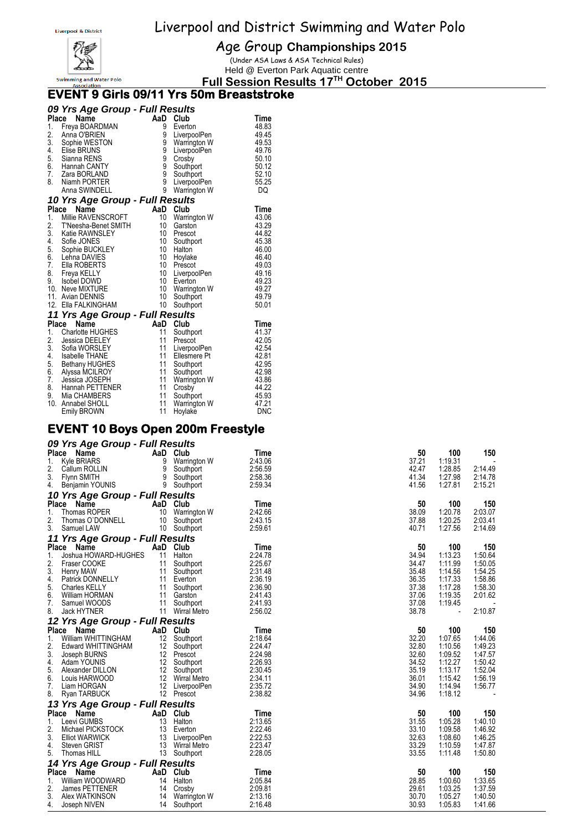

Age Group **Championships 2015**

(Under ASA Laws & ASA Technical Rules) Held @ Everton Park Aquatic centre

**Full Session Results 17 TH October 2015**

#### **EVENT 9 Girls 09/11 Yrs 50m Breaststroke**

|                                                    | 09 Yrs Age Group - Full Results                                                                                                                                                                                                                                      |                                                                      |                                                                                                                                                              |                                                                                                              |
|----------------------------------------------------|----------------------------------------------------------------------------------------------------------------------------------------------------------------------------------------------------------------------------------------------------------------------|----------------------------------------------------------------------|--------------------------------------------------------------------------------------------------------------------------------------------------------------|--------------------------------------------------------------------------------------------------------------|
| 1.<br>2.<br>3.<br>4.<br>5.<br>6.<br>7.<br>8.       | Name<br>Place<br>Freya BOARDMAN<br>Anna O'BRIEN<br>Sophie WESTON<br><b>Elise BRUNS</b><br>Sianna RENS<br>Hannah CANTY<br>Zara BORLAND<br>Niamh PORTER<br>Anna SWINDELL                                                                                               | AaD Club<br>9<br>9<br>9<br>9<br>9<br>9<br>9<br>9<br>9                | Everton<br>LiverpoolPen<br>Warrington W<br>LiverpoolPen<br>Crosby<br>Southport<br>Southport<br>LiverpoolPen<br>Warrington W                                  | Time<br>48.83<br>49.45<br>49.53<br>49.76<br>50.10<br>50.12<br>52.10<br>55.25<br>DQ                           |
| Place                                              | 10 Yrs Age Group - Full Results<br><b>Name</b>                                                                                                                                                                                                                       | AaD                                                                  | Club                                                                                                                                                         | Time                                                                                                         |
| 1.<br>5.<br>6.<br>7.<br>8.                         | Millie RAVENSCROFT<br>2. T'Neesria-Long<br>3. Katie RAWNSLEY<br>Cofie JONES<br>T'Neesha-Benet SMITH<br>Sofie JONES<br>Sophie BUCKLEY<br>Lehna DAVIES<br>Ella ROBERTS<br>Freya KELLY<br>9. Isobel DOWD<br>10. Neve MIXTURE<br>11. Avian DENNIS<br>12. Ella FALKINGHAM | 10<br>10<br>10<br>10<br>10<br>10<br>10<br>10<br>10<br>10<br>10<br>10 | Warrington W<br>Garston<br>Prescot<br>Southport<br>Halton<br>Hoylake<br>Prescot<br>LiverpoolPen<br>Everton<br>Warrington W<br>Southport<br>Southport         | 43.06<br>43.29<br>44.82<br>45.38<br>46.00<br>46.40<br>49.03<br>49.16<br>49.23<br>49.27<br>49.79<br>50.01     |
|                                                    | 11 Yrs Age Group - Full Results<br>Name                                                                                                                                                                                                                              |                                                                      |                                                                                                                                                              |                                                                                                              |
| 1.<br>2.<br>3.<br>4.<br>5.<br>6.<br>7.<br>8.<br>9. | Place<br><b>Charlotte HUGHES</b><br>Jessica DEELEY<br>Sofia WORSLEY<br>Isabelle THANE<br><b>Bethany HUGHES</b><br>Alyssa MCILROY<br>Jessica JOSEPH<br>Hannah PETTENER<br>Mia CHAMBERS<br>10. Annabel SHOLL<br>Emily BROWN                                            | 11<br>11<br>11<br>11<br>11<br>11<br>11<br>11<br>11<br>11<br>11       | AaD Club<br>Southport<br>Prescot<br>LiverpoolPen<br>Ellesmere Pt<br>Southport<br>Southport<br>Warrington W<br>Crosby<br>Southport<br>Warrington W<br>Hoylake | Time<br>41.37<br>42.05<br>42.54<br>42.81<br>42.95<br>42.98<br>43.86<br>44.22<br>45.93<br>47.21<br><b>DNC</b> |

### **EVENT 10 Boys Open 200m Freestyle**

#### *09 Yrs Age Group - Full Results*

| $1.01.90$ $-1.00$<br>Place<br>Name                   | AaD | Club                       | <b>Time</b>        | 50             | 100                | 150                |
|------------------------------------------------------|-----|----------------------------|--------------------|----------------|--------------------|--------------------|
| Kyle BRIARS<br>1.                                    |     | 9 Warrington W             | 2:43.06            | 37.21          | 1:19.31            |                    |
| 2.<br>Callum ROLLIN                                  |     | 9 Southport                | 2:56.59            | 42.47          | 1:28.85            | 2:14.49            |
| 3.<br><b>Flynn SMITH</b>                             | 9   | Southport                  | 2:58.36            | 41.34          | 1:27.98            | 2:14.78            |
| 4.<br>Benjamin YOUNIS                                |     | 9 Southport                | 2:59.34            | 41.56          | 1:27.81            | 2:15.21            |
| 10 Yrs Age Group - Full Results                      |     |                            |                    |                |                    |                    |
| Place Name                                           |     | AaD Club                   | Time               | 50             | 100                | 150                |
| 1.<br>Thomas ROPER                                   |     | 10 Warrington W            | 2:42.66            | 38.09          | 1:20.78            | 2:03.07            |
| 2.<br>Thomas O'DONNELL                               |     | 10 Southport               | 2:43.15            | 37.88          | 1:20.25            | 2:03.41            |
| 3.<br>Samuel LAW                                     |     | 10 Southport               | 2:59.61            | 40.71          | 1:27.56            | 2:14.69            |
| 11 Yrs Age Group - Full Results                      |     |                            |                    |                |                    |                    |
| Place Name                                           |     | AaD Club                   | Time               | 50             | 100                | 150                |
| Joshua HOWARD-HUGHES<br>1.                           | 11  | Halton                     | 2:24.78            | 34.94          | 1:13.23            | 1:50.64            |
| 2.<br>Fraser COOKE                                   | 11  | Southport                  | 2:25.67            | 34.47          | 1:11.99            | 1:50.05            |
| 3.<br>Henry MAW                                      |     | 11 Southport               | 2:31.48            | 35.48          | 1:14.56            | 1:54.25            |
| 4.<br><b>Patrick DONNELLY</b><br>5.<br>Charles KELLY | 11  | Everton                    | 2:36.19<br>2:36.90 | 36.35<br>37.38 | 1:17.33<br>1:17.28 | 1:58.86<br>1:58.30 |
| 6.<br>William HORMAN                                 |     | 11 Southport<br>11 Garston | 2:41.43            | 37.06          | 1:19.35            | 2:01.62            |
| 7.<br>Samuel WOODS                                   | 11  | Southport                  | 2:41.93            | 37.08          | 1:19.45            |                    |
| 8.<br><b>Jack HYTNER</b>                             |     | 11 Wirral Metro            | 2:56.02            | 38.78          |                    | 2:10.87            |
| 12 Yrs Age Group - Full Results                      |     |                            |                    |                |                    |                    |
| Place Name                                           |     | AaD Club                   | Time               | 50             | 100                | 150                |
| William WHITTINGHAM<br>1.                            |     | 12 Southport               | 2:18.64            | 32.20          | 1:07.65            | 1:44.06            |
| 2.<br>Edward WHITTINGHAM                             |     | 12 Southport               | 2:24.47            | 32.80          | 1:10.56            | 1:49.23            |
| 3.<br>Joseph BURNS                                   |     | 12 Prescot                 | 2:24.98            | 32.60          | 1:09.52            | 1:47.57            |
| 4.<br>Adam YOUNIS                                    |     | 12 Southport               | 2:26.93            | 34.52          | 1:12.27            | 1:50.42            |
| 5.<br>Alexander DILLON                               |     | 12 Southport               | 2:30.45            | 35.19          | 1:13.17            | 1:52.04            |
| 6.<br>Louis HARWOOD                                  |     | 12 Wirral Metro            | 2:34.11            | 36.01          | 1:15.42            | 1:56.19            |
| 7.<br>Liam HORGAN                                    |     | 12 LiverpoolPen            | 2:35.72            | 34.90          | 1:14.94            | 1:56.77            |
| 8.<br>Ryan TARBUCK                                   |     | 12 Prescot                 | 2:38.82            | 34.96          | 1:18.12            |                    |
| 13 Yrs Age Group - Full Results                      |     |                            |                    |                |                    |                    |
| Place Name                                           |     | AaD Club                   | Time               | 50             | 100                | 150                |
| 1.<br>Leevi GUMBS                                    | 13  | Halton                     | 2:13.65            | 31.55          | 1:05.28            | 1:40.10            |
| 2.<br>Michael PICKSTOCK                              |     | 13 Everton                 | 2:22.46            | 33.10          | 1:09.58            | 1:46.92            |
| 3.<br>Elliot WARWICK                                 |     | 13 LiverpoolPen            | 2:22.53            | 32.63          | 1:08.60            | 1:46.25            |
| 4.<br>Steven GRIST                                   |     | 13 Wirral Metro            | 2:23.47            | 33.29          | 1:10.59            | 1:47.87            |
| 5.<br>Thomas HILL                                    |     | 13 Southport               | 2:28.05            | 33.55          | 1:11.48            | 1:50.80            |
| 14 Yrs Age Group - Full Results                      |     |                            |                    |                |                    |                    |
| Place Name                                           |     | AaD Club                   | Time               | 50             | 100                | 150                |
| William WOODWARD<br>1.                               |     | 14 Halton                  | 2:05.84            | 28.85          | 1:00.60            | 1:33.65            |
| 2.<br>James PETTENER                                 |     | 14 Crosby                  | 2:09.81            | 29.61          | 1:03.25            | 1:37.59            |
| 3.<br>Alex WATKINSON                                 | 14  | Warrington W               | 2:13.16            | 30.70          | 1:05.27            | 1:40.50            |
| 4.<br>Joseph NIVEN                                   | 14  | Southport                  | 2:16.48            | 30.93          | 1:05.83            | 1:41.66            |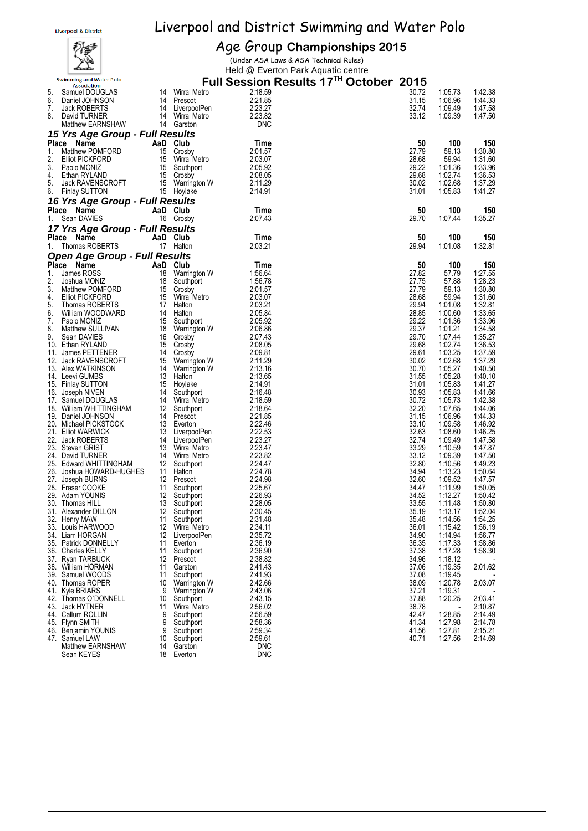## ሐ Swimming and Water Polo

## Age Group **Championships 2015**

(Under ASA Laws & ASA Technical Rules) Held @ Everton Park Aquatic centre

|    | <b>Association</b>                   |          |                 | <u>FUII JESSIUII NESUILS TI</u> | <b>OCIONEI</b> | 20 I J |         |         |  |
|----|--------------------------------------|----------|-----------------|---------------------------------|----------------|--------|---------|---------|--|
| 5. | Samuel DOUGLAS                       | 14       | Wirral Metro    | 2:18.59                         |                | 30.72  | 1:05.73 | 1:42.38 |  |
| 6. | Daniel JOHNSON                       |          | 14 Prescot      | 2:21.85                         |                | 31.15  | 1:06.96 | 1:44.33 |  |
|    |                                      |          |                 |                                 |                |        |         |         |  |
| 7. | Jack ROBERTS                         |          | 14 LiverpoolPen | 2:23.27                         |                | 32.74  | 1:09.49 | 1:47.58 |  |
| 8. | David TURNER                         |          | 14 Wirral Metro | 2:23.82                         |                | 33.12  | 1:09.39 | 1:47.50 |  |
|    | Matthew EARNSHAW                     |          | 14 Garston      | <b>DNC</b>                      |                |        |         |         |  |
|    |                                      |          |                 |                                 |                |        |         |         |  |
|    | 15 Yrs Age Group - Full Results      |          |                 |                                 |                |        |         |         |  |
|    | Place Name                           | AaD Club |                 | Time                            |                | 50     | 100     | 150     |  |
| 1. | Matthew POMFORD                      |          | 15 Crosby       | 2:01.57                         |                | 27.79  | 59.13   | 1:30.80 |  |
|    |                                      |          |                 |                                 |                |        |         |         |  |
| 2. | <b>Elliot PICKFORD</b>               |          | 15 Wirral Metro | 2:03.07                         |                | 28.68  | 59.94   | 1:31.60 |  |
| 3. | Paolo MONIZ                          |          | 15 Southport    | 2:05.92                         |                | 29.22  | 1:01.36 | 1:33.96 |  |
| 4. | Ethan RYLAND                         |          | 15 Crosby       | 2:08.05                         |                | 29.68  | 1:02.74 | 1:36.53 |  |
| 5. | Jack RAVENSCROFT                     |          | 15 Warrington W | 2:11.29                         |                | 30.02  |         |         |  |
|    |                                      |          |                 |                                 |                |        | 1:02.68 | 1:37.29 |  |
|    | 6. Finlay SUTTON                     |          | 15 Hoylake      | 2:14.91                         |                | 31.01  | 1:05.83 | 1:41.27 |  |
|    | 16 Yrs Age Group - Full Results      |          |                 |                                 |                |        |         |         |  |
|    |                                      |          |                 |                                 |                |        |         |         |  |
|    | Place Name                           | AaD Club |                 | Time                            |                | 50     | 100     | 150     |  |
| 1. | Sean DAVIES                          |          | 16 Crosby       | 2:07.43                         |                | 29.70  | 1:07.44 | 1:35.27 |  |
|    |                                      |          |                 |                                 |                |        |         |         |  |
|    | 17 Yrs Age Group - Full Results      |          |                 |                                 |                |        |         |         |  |
|    | Place Name                           |          | AaD Club        | Time                            |                | 50     | 100     | 150     |  |
|    | Thomas ROBERTS                       |          | 17 Halton       | 2:03.21                         |                | 29.94  | 1:01.08 | 1:32.81 |  |
| 1. |                                      |          |                 |                                 |                |        |         |         |  |
|    | <b>Open Age Group - Full Results</b> |          |                 |                                 |                |        |         |         |  |
|    | Place Name                           | AaD Club |                 | Time                            |                | 50     | 100     | 150     |  |
|    |                                      |          |                 |                                 |                |        |         |         |  |
| 1. | James ROSS                           | 18       | Warrington W    | 1:56.64                         |                | 27.82  | 57.79   | 1:27.55 |  |
| 2. | Joshua MONIZ                         | 18       | Southport       | 1:56.78                         |                | 27.75  | 57.88   | 1:28.23 |  |
| 3. | Matthew POMFORD                      | 15       | Crosby          | 2:01.57                         |                | 27.79  | 59.13   | 1:30.80 |  |
|    |                                      |          |                 |                                 |                |        |         |         |  |
| 4. | <b>Elliot PICKFORD</b>               |          | 15 Wirral Metro | 2:03.07                         |                | 28.68  | 59.94   | 1:31.60 |  |
| 5. | Thomas ROBERTS                       |          | 17 Halton       | 2:03.21                         |                | 29.94  | 1:01.08 | 1:32.81 |  |
| 6. | William WOODWARD                     | - 14     | Halton          | 2:05.84                         |                | 28.85  | 1:00.60 | 1:33.65 |  |
| 7. | Paolo MONIZ                          |          | 15 Southport    | 2:05.92                         |                | 29.22  | 1:01.36 | 1:33.96 |  |
|    |                                      |          |                 |                                 |                |        |         |         |  |
| 8. | Matthew SULLIVAN                     |          | 18 Warrington W | 2:06.86                         |                | 29.37  | 1:01.21 | 1:34.58 |  |
| 9. | Sean DAVIES                          |          | 16 Crosby       | 2:07.43                         |                | 29.70  | 1:07.44 | 1:35.27 |  |
|    | 10. Ethan RYLAND                     |          | 15 Crosby       | 2:08.05                         |                | 29.68  | 1:02.74 | 1:36.53 |  |
|    | 11. James PETTENER                   | - 14     |                 | 2:09.81                         |                | 29.61  | 1:03.25 | 1:37.59 |  |
|    |                                      |          | Crosby          |                                 |                |        |         |         |  |
|    | 12. Jack RAVENSCROFT                 |          | 15 Warrington W | 2:11.29                         |                | 30.02  | 1:02.68 | 1:37.29 |  |
|    | 13. Alex WATKINSON                   |          | 14 Warrington W | 2:13.16                         |                | 30.70  | 1:05.27 | 1:40.50 |  |
|    | 14. Leevi GUMBS                      |          | 13 Halton       | 2:13.65                         |                | 31.55  | 1:05.28 | 1:40.10 |  |
|    |                                      |          |                 |                                 |                |        |         |         |  |
|    | 15. Finlay SUTTON                    | - 15     | Hoylake         | 2:14.91                         |                | 31.01  | 1:05.83 | 1:41.27 |  |
|    | 16. Joseph NIVEN                     |          | 14 Southport    | 2:16.48                         |                | 30.93  | 1:05.83 | 1:41.66 |  |
|    | 17. Samuel DOUGLAS                   |          | 14 Wirral Metro | 2:18.59                         |                | 30.72  | 1:05.73 | 1:42.38 |  |
|    | 18. William WHITTINGHAM              |          | 12 Southport    | 2:18.64                         |                | 32.20  | 1:07.65 | 1:44.06 |  |
|    |                                      |          |                 |                                 |                |        |         |         |  |
|    | 19. Daniel JOHNSON                   |          | 14 Prescot      | 2:21.85                         |                | 31.15  | 1:06.96 | 1:44.33 |  |
|    | 20. Michael PICKSTOCK                |          | 13 Everton      | 2:22.46                         |                | 33.10  | 1:09.58 | 1:46.92 |  |
|    | 21. Elliot WARWICK                   |          | 13 LiverpoolPen | 2:22.53                         |                | 32.63  | 1:08.60 | 1:46.25 |  |
|    | 22. Jack ROBERTS                     | 14       |                 | 2:23.27                         |                | 32.74  | 1:09.49 |         |  |
|    |                                      |          | LiverpoolPen    |                                 |                |        |         | 1:47.58 |  |
|    | 23. Steven GRIST                     |          | 13 Wirral Metro | 2:23.47                         |                | 33.29  | 1:10.59 | 1:47.87 |  |
|    | 24. David TURNER                     | 14       | Wirral Metro    | 2:23.82                         |                | 33.12  | 1:09.39 | 1:47.50 |  |
|    | 25. Edward WHITTINGHAM               | 12       | Southport       | 2:24.47                         |                | 32.80  | 1:10.56 | 1:49.23 |  |
|    |                                      |          | 11 Halton       | 2:24.78                         |                |        |         |         |  |
|    | 26. Joshua HOWARD-HUGHES             |          |                 |                                 |                | 34.94  | 1:13.23 | 1:50.64 |  |
|    | 27. Joseph BURNS                     |          | 12 Prescot      | 2:24.98                         |                | 32.60  | 1:09.52 | 1:47.57 |  |
|    | 28. Fraser COOKE                     | - 11     | Southport       | 2:25.67                         |                | 34.47  | 1:11.99 | 1:50.05 |  |
|    | 29. Adam YOUNIS                      |          | 12 Southport    | 2:26.93                         |                | 34.52  | 1:12.27 | 1:50.42 |  |
|    | 30. Thomas HILL                      | 13       | Southport       | 2:28.05                         |                | 33.55  | 1:11.48 | 1:50.80 |  |
|    |                                      |          |                 |                                 |                |        |         |         |  |
|    | 31. Alexander DILLON                 | 12       | Southport       | 2:30.45                         |                | 35.19  | 1:13.17 | 1:52.04 |  |
|    | 32. Henry MAW                        | 11       | Southport       | 2:31.48                         |                | 35.48  | 1:14.56 | 1:54.25 |  |
|    | 33. Louis HARWOOD                    | 12       | Wirral Metro    | 2:34.11                         |                | 36.01  | 1:15.42 | 1:56.19 |  |
|    | 34. Liam HORGAN                      |          |                 |                                 |                | 34.90  | 1:14.94 |         |  |
|    |                                      | 12       | LiverpoolPen    | 2:35.72                         |                |        |         | 1:56.77 |  |
|    | 35. Patrick DONNELLY                 | 11       | Everton         | 2:36.19                         |                | 36.35  | 1:17.33 | 1:58.86 |  |
|    | 36. Charles KELLY                    | 11       | Southport       | 2:36.90                         |                | 37.38  | 1:17.28 | 1:58.30 |  |
|    | 37. Rvan TARBUCK                     | 12       | Prescot         | 2:38.82                         |                | 34.96  | 1:18.12 |         |  |
|    |                                      |          |                 |                                 |                |        |         |         |  |
|    | 38. William HORMAN                   | 11       | Garston         | 2:41.43                         |                | 37.06  | 1:19.35 | 2:01.62 |  |
|    | 39. Samuel WOODS                     | 11       | Southport       | 2:41.93                         |                | 37.08  | 1:19.45 |         |  |
|    | 40. Thomas ROPER                     | 10       | Warrington W    | 2:42.66                         |                | 38.09  | 1:20.78 | 2:03.07 |  |
|    | 41. Kyle BRIARS                      | 9        | Warrington W    | 2:43.06                         |                | 37.21  | 1:19.31 |         |  |
|    |                                      |          |                 |                                 |                |        |         |         |  |
|    | 42. Thomas O`DONNELL                 | 10       | Southport       | 2:43.15                         |                | 37.88  | 1:20.25 | 2:03.41 |  |
|    | 43. Jack HYTNER                      | 11       | Wirral Metro    | 2:56.02                         |                | 38.78  |         | 2:10.87 |  |
|    | 44. Callum ROLLIN                    | 9        | Southport       | 2:56.59                         |                | 42.47  | 1:28.85 | 2:14.49 |  |
|    | 45. Flynn SMITH                      | 9        | Southport       | 2:58.36                         |                | 41.34  | 1:27.98 | 2:14.78 |  |
|    |                                      |          |                 |                                 |                |        |         |         |  |
|    | 46. Beniamin YOUNIS                  | 9        | Southport       | 2:59.34                         |                | 41.56  | 1:27.81 | 2:15.21 |  |
|    | 47. Samuel LAW                       | 10       | Southport       | 2:59.61                         |                | 40.71  | 1:27.56 | 2:14.69 |  |
|    | <b>Matthew EARNSHAW</b>              | 14       | Garston         | <b>DNC</b>                      |                |        |         |         |  |
|    | Sean KEYES                           | 18       |                 | <b>DNC</b>                      |                |        |         |         |  |
|    |                                      |          | Everton         |                                 |                |        |         |         |  |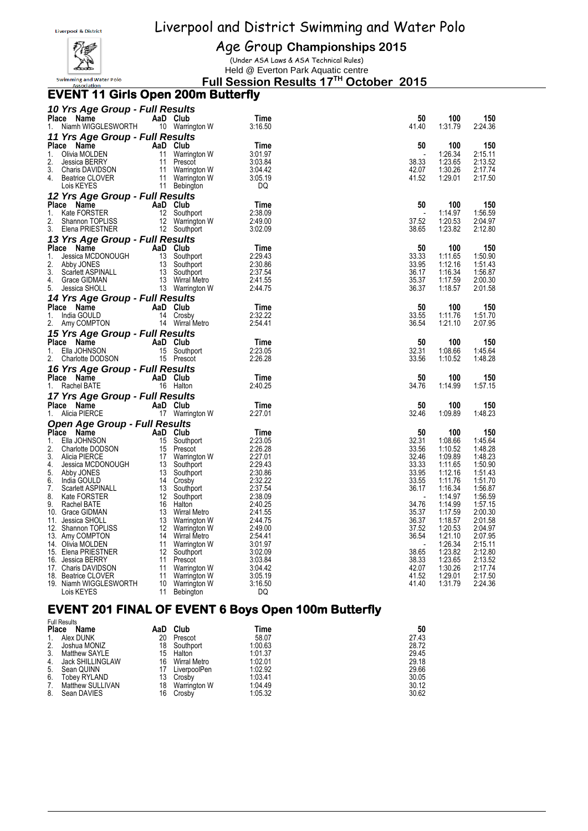

Age Group **Championships 2015**

(Under ASA Laws & ASA Technical Rules) Held @ Everton Park Aquatic centre

**Full Session Results 17 TH October 2015**

#### **EVENT 11 Girls Open 200m Butterfly**

| 10 Yrs Age Group - Full Results                    |          |                                    |                    |                |                    |                    |
|----------------------------------------------------|----------|------------------------------------|--------------------|----------------|--------------------|--------------------|
| Place Name<br>Niamh WIGGLESWORTH<br>1.             |          | AaD Club<br>10 Warrington W        | Time<br>3:16.50    | 50<br>41.40    | 100<br>1:31.79     | 150<br>2:24.36     |
| 11 Yrs Age Group - Full Results                    |          |                                    |                    |                |                    |                    |
| Place<br>Name                                      |          | AaD Club                           | Time               | 50             | 100                | 150                |
| 1.<br>Olivia MOLDEN                                |          | 11 Warrington W                    | 3:01.97            |                | 1:26.34            | 2:15.11            |
| 2.<br><b>Jessica BERRY</b>                         |          | 11 Prescot                         | 3:03.84            | 38.33          | 1:23.65            | 2:13.52            |
| 3.<br>Charis DAVIDSON                              |          | 11 Warrington W                    | 3:04.42            | 42.07          | 1:30.26            | 2:17.74            |
| 4.<br>Beatrice CLOVER                              |          | 11 Warrington W                    | 3:05.19            | 41.52          | 1:29.01            | 2:17.50            |
| Lois KEYES                                         |          | 11 Bebington                       | DQ                 |                |                    |                    |
| 12 Yrs Age Group - Full Results                    |          |                                    |                    |                |                    |                    |
| Place Name                                         |          | AaD Club                           | Time               | 50             | 100                | 150                |
| 1.<br>Kate FORSTER                                 |          | 12 Southport                       | 2:38.09            | $\overline{a}$ | 1:14.97            | 1:56.59            |
| 2.<br>Shannon TOPLISS<br>3.                        |          | 12 Warrington W<br>12 Southport    | 2:49.00<br>3:02.09 | 37.52<br>38.65 | 1:20.53<br>1:23.82 | 2:04.97<br>2:12.80 |
| Elena PRIESTNER                                    |          |                                    |                    |                |                    |                    |
| 13 Yrs Age Group - Full Results                    |          |                                    |                    |                |                    |                    |
| Place Name<br>1.                                   | AaD Club |                                    | Time<br>2:29.43    | 50<br>33.33    | 100<br>1:11.65     | 150<br>1:50.90     |
| Jessica MCDONOUGH 13 Southport<br>2.<br>Abby JONES |          |                                    | 2:30.86            | 33.95          | 1:12.16            | 1:51.43            |
| 3.<br>Scarlett ASPINALL                            |          |                                    | 2:37.54            | 36.17          | 1:16.34            | 1:56.87            |
| 4.<br>Grace GIDMAN                                 |          |                                    | 2:41.55            | 35.37          | 1:17.59            | 2:00.30            |
| 5.<br>Jessica SHOLL                                |          | 13 Warrington W                    | 2:44.75            | 36.37          | 1:18.57            | 2:01.58            |
| 14 Yrs Age Group - Full Results                    |          |                                    |                    |                |                    |                    |
| Place Name                                         |          | AaD Club                           | Time               | 50             | 100                | 150                |
| 1.<br>India GOULD                                  |          | 14 Crosby                          | 2:32.22            | 33.55          | 1:11.76            | 1:51.70            |
| 2.<br>Amy COMPTON                                  |          | 14 Wirral Metro                    | 2:54.41            | 36.54          | 1:21.10            | 2:07.95            |
| 15 Yrs Age Group - Full Results                    |          |                                    |                    |                |                    |                    |
| Place<br>Name                                      |          | AaD Club                           | Time               | 50             | 100                | 150                |
| 1.                                                 |          |                                    | 2:23.05            | 32.31          | 1:08.66            | 1:45.64            |
| Charlotte DODSON 15 Southport<br>2.                |          |                                    | 2:26.28            | 33.56          | 1:10.52            | 1:48.28            |
| 16 Yrs Age Group - Full Results                    |          |                                    |                    |                |                    |                    |
| Place Name                                         |          | AaD Club                           | Time               | 50             | 100                | 150                |
| Rachel BATE<br>1.                                  |          | 16 Halton                          | 2:40.25            | 34.76          | 1:14.99            | 1:57.15            |
| 17 Yrs Age Group - Full Results                    |          |                                    |                    |                |                    |                    |
| Place Name                                         |          | AaD Club                           | Time               | 50             | 100                | 150                |
| 1.<br>Alicia PIERCE                                |          | 17 Warrington W                    | 2:27.01            | 32.46          | 1:09.89            | 1:48.23            |
| Open Age Group - Full Results                      |          |                                    |                    |                |                    |                    |
| Place Name                                         |          | AaD Club                           | Time               | 50             | 100                | 150                |
| 1.<br>Ella JOHNSON                                 |          | 15 Southport                       | 2:23.05            | 32.31          | 1:08.66            | 1:45.64            |
| 2.<br>Charlotte DODSON                             |          | 15 Prescot                         | 2:26.28            | 33.56          | 1:10.52            | 1:48.28            |
| 3.<br>Alicia PIERCE<br>4.                          |          | 17 Warrington W                    | 2:27.01<br>2:29.43 | 32.46<br>33.33 | 1:09.89<br>1:11.65 | 1:48.23<br>1:50.90 |
| Jessica MCDONOUGH 13 Southport<br>5.<br>Abby JONES |          | 13 Southport                       | 2:30.86            | 33.95          | 1:12.16            | 1:51.43            |
| 6.<br>India GOULD                                  |          | 14 Crosby                          | 2:32.22            | 33.55          | 1:11.76            | 1:51.70            |
| 7.<br>Scarlett ASPINALL                            |          | 13 Southport                       | 2:37.54            | 36.17          | 1:16.34            | 1:56.87            |
| 8.<br>Kate FORSTER                                 |          | 12 Southport                       | 2:38.09            |                | 1:14.97            | 1:56.59            |
| 9.<br>Rachel BATE                                  |          | 16 Halton                          | 2:40.25            | 34.76          | 1:14.99            | 1:57.15            |
| 10. Grace GIDMAN                                   |          | 13 Wirral Metro                    | 2:41.55            | 35.37          | 1:17.59            | 2:00.30            |
| 11. Jessica SHOLL                                  |          | 13 Warrington W                    | 2:44.75            | 36.37          | 1:18.57            | 2:01.58            |
| 12. Shannon TOPLISS<br>13. Amy COMPTON             |          | 12 Warrington W<br>14 Wirral Metro | 2:49.00<br>2:54.41 | 37.52<br>36.54 | 1:20.53<br>1:21.10 | 2:04.97<br>2:07.95 |
| 14. Olivia MOLDEN                                  |          | 11 Warrington W                    | 3:01.97            |                | 1:26.34            | 2:15.11            |
| 15. Elena PRIESTNER                                |          | 12 Southport                       | 3:02.09            | 38.65          | 1:23.82            | 2:12.80            |
| 16. Jessica BERRY                                  |          | 11 Prescot                         | 3:03.84            | 38.33          | 1:23.65            | 2:13.52            |
| 17. Charis DAVIDSON                                |          | 11 Warrington W                    | 3:04.42            | 42.07          | 1:30.26            | 2:17.74            |
| 18. Beatrice CLOVER                                |          | 11 Warrington W                    | 3:05.19            | 41.52          | 1:29.01            | 2:17.50            |
| 19. Niamh WIGGLESWORTH                             | 11       | 10 Warrington W                    | 3:16.50            | 41.40          | 1:31.79            | 2:24.36            |
| Lois KEYES                                         |          | Bebington                          | DQ                 |                |                    |                    |

## **EVENT 201 FINAL OF EVENT 6 Boys Open 100m Butterfly**

| <b>Full Results</b>         |     |              |         |       |
|-----------------------------|-----|--------------|---------|-------|
| <b>Place</b><br><b>Name</b> | AaD | Club         | Time    | 50    |
| Alex DUNK<br>1.             | 20  | Prescot      | 58.07   | 27.43 |
| 2.<br>Joshua MONIZ          | 18  | Southport    | 1:00.63 | 28.72 |
| 3.<br>Matthew SAYLE         | 15  | Halton       | 1:01.37 | 29.45 |
| 4.<br>Jack SHILLINGLAW      | 16  | Wirral Metro | 1:02.01 | 29.18 |
| 5.<br>Sean QUINN            | 17  | LiverpoolPen | 1:02.92 | 29.66 |
| 6.<br>Tobey RYLAND          | 13  | Crosby       | 1:03.41 | 30.05 |
| Matthew SULLIVAN<br>7.      | 18  | Warrington W | 1:04.49 | 30.12 |
| 8.<br>Sean DAVIES           | 16  | Crosby       | 1:05.32 | 30.62 |
|                             |     |              |         |       |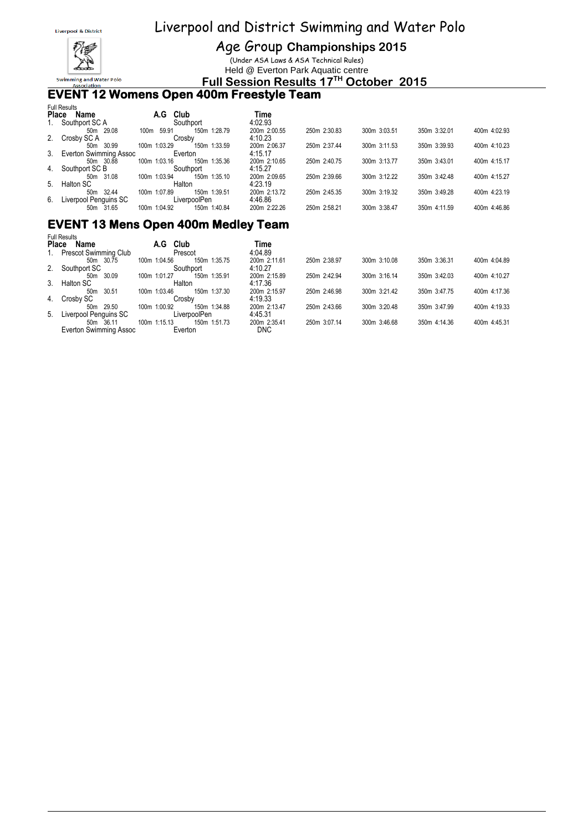

Age Group **Championships 2015**

(Under ASA Laws & ASA Technical Rules) Held @ Everton Park Aquatic centre

**Full Session Results 17 TH October 2015**

#### **EVENT 12 Womens Open 400m Freestyle Team**

| <b>Place</b> | <b>Full Results</b><br>Name | A.G           | Club                   | Time                    |              |              |              |              |
|--------------|-----------------------------|---------------|------------------------|-------------------------|--------------|--------------|--------------|--------------|
| 1.           | Southport SC A              |               | Southport              | 4:02.93                 |              |              |              |              |
| 2.           | 50m 29.08<br>Crosby SC A    | 59.91<br>100m | 150m 1:28.79<br>Crosby | 200m 2:00.55<br>4:10.23 | 250m 2:30.83 | 300m 3:03.51 | 350m 3:32.01 | 400m 4:02.93 |
|              | 50m 30.99                   | 100m 1:03.29  | 150m 1:33.59           | 200m 2:06.37            | 250m 2:37.44 | 300m 3:11.53 | 350m 3:39.93 | 400m 4:10.23 |
|              | 3. Everton Swimming Assoc   |               | Everton                | 4:15.17                 |              |              |              |              |
|              | 50m 30.88                   | 100m 1:03.16  | 150m 1:35.36           | 200m 2:10.65            | 250m 2:40.75 | 300m 3:13.77 | 350m 3:43.01 | 400m 4:15.17 |
| 4.           | Southport SC B              |               | Southport              | 4:15.27                 |              |              |              |              |
|              | 50m 31.08                   | 100m 1:03.94  | 150m 1:35.10           | 200m 2:09.65            | 250m 2:39.66 | 300m 3:12.22 | 350m 3:42.48 | 400m 4:15.27 |
| 5.           | Halton SC                   |               | Halton                 | 4:23.19                 |              |              |              |              |
|              | 50m 32.44                   | 100m 1:07.89  | 150m 1:39.51           | 200m 2:13.72            | 250m 2:45.35 | 300m 3:19.32 | 350m 3:49.28 | 400m 4:23.19 |
| 6.           | Liverpool Penguins SC       |               | LiverpoolPen           | 4:46.86                 |              |              |              |              |
|              | 50m 31.65                   | 100m 1:04.92  | 150m 1:40.84           | 200m 2:22.26            | 250m 2:58.21 | 300m 3:38.47 | 350m 4:11.59 | 400m 4:46.86 |

### **EVENT 13 Mens Open 400m Medley Team**

|    | <b>Full Results</b>      |              |              |              |              |              |              |              |
|----|--------------------------|--------------|--------------|--------------|--------------|--------------|--------------|--------------|
|    | <b>Place</b><br>Name     | Club<br>A.G  |              | Time         |              |              |              |              |
| 1. | Prescot Swimming Club    |              | Prescot      | 4:04.89      |              |              |              |              |
|    | 50m 30.75                | 100m 1:04.56 | 150m 1:35.75 | 200m 2:11.61 | 250m 2:38.97 | 300m 3:10.08 | 350m 3:36.31 | 400m 4:04.89 |
|    | 2. Southport SC          |              | Southport    | 4:10.27      |              |              |              |              |
|    | 50m 30.09                | 100m 1:01.27 | 150m 1:35.91 | 200m 2:15.89 | 250m 2:42.94 | 300m 3:16.14 | 350m 3:42.03 | 400m 4:10.27 |
|    | 3. Halton SC             | Halton       |              | 4:17.36      |              |              |              |              |
|    | 30.51<br>50m             | 100m 1:03.46 | 150m 1:37.30 | 200m 2:15.97 | 250m 2:46.98 | 300m 3:21.42 | 350m 3:47.75 | 400m 4:17.36 |
|    | 4. Crosby SC             |              | Crosbv       | 4:19.33      |              |              |              |              |
|    | 50m 29.50                | 100m 1:00.92 | 150m 1:34.88 | 200m 2:13.47 | 250m 2:43.66 | 300m 3:20.48 | 350m 3:47.99 | 400m 4:19.33 |
|    | 5. Liverpool Penguins SC |              | LiverpoolPen | 4:45.31      |              |              |              |              |
|    | 50m 36.11                | 100m 1:15.13 | 150m 1:51.73 | 200m 2:35.41 | 250m 3:07.14 | 300m 3:46.68 | 350m 4:14.36 | 400m 4:45.31 |
|    | Everton Swimming Assoc   |              | Everton      | <b>DNC</b>   |              |              |              |              |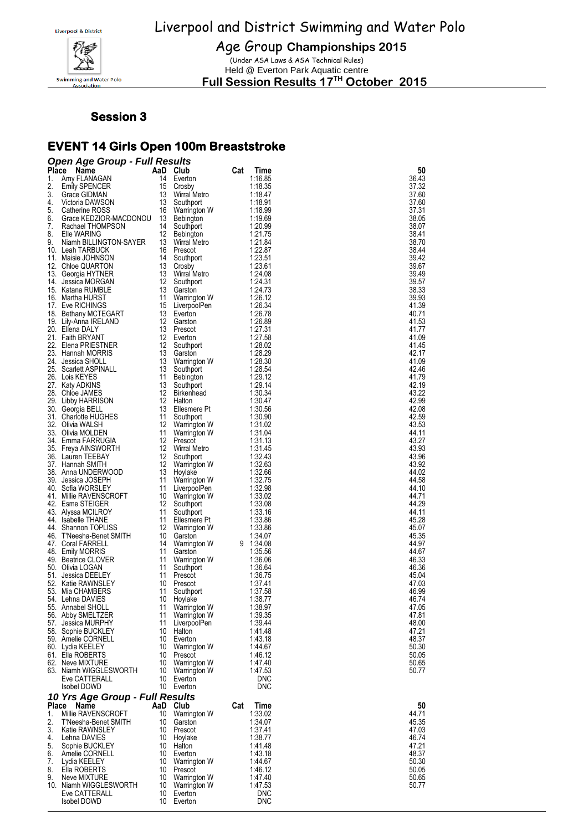

Age Group **Championships 2015**

(Under ASA Laws & ASA Technical Rules) Held @ Everton Park Aquatic centre

**Full Session Results 17 TH October 2015**

#### **Session 3**

## **EVENT 14 Girls Open 100m Breaststroke**

| Place Name<br>AaD Club<br>36.43<br>1.<br>Amy FLANAGAN<br>14<br>Everton<br>1:16.85<br>15<br>1:18.35<br>37.32<br><b>Emily SPENCER</b><br>Crosby<br>13<br>1:18.47<br>37.60<br>Grace GIDMAN<br>Wirral Metro<br>13<br>4.<br>Victoria DAWSON<br>Southport<br>1:18.91<br>37.60<br>5.<br>Catherine ROSS<br>16<br>1:18.99<br>37.31<br>Warrington W<br>38.05<br>Grace KEDZIOR-MACDONOU<br>13<br>1.19.69<br><b>Bebington</b><br>Rachael THOMPSON<br>14<br>Southport<br>1.20.99<br>38.07<br>12<br>38.41<br>Elle WARING<br>1.21.75<br>Bebington<br>38.70<br>9.<br>Niamh BILLINGTON-SAYER<br>13<br>1.21.84<br>Wirral Metro<br>1:22.87<br>38.44<br>10. Leah TARBUCK<br>16<br>Prescot<br>39.42<br>14<br>1.23.51<br>11. Maisie JOHNSON<br>Southport<br>13<br>39.67<br>1.23.61<br>12. Chloe QUARTON<br>Crosby<br>13<br>1:24.08<br>39.49<br>13. Georgia HYTNER<br>Wirral Metro<br>12<br>39.57<br>1:24.31<br>14. Jessica MORGAN<br>Southport<br>13<br>38.33<br>15. Katana RUMBLE<br>1.24.73<br>Garston<br>39.93<br>16. Martha HURST<br>11<br>Warrington W<br>1.26.12<br>15<br>41.39<br>17. Eve RICHINGS<br>LiverpoolPen<br>1:26.34<br>13<br>40.71<br>18. Bethany MCTEGART<br>1.26.78<br>Everton<br>12<br>1:26.89<br>41.53<br>19. Lily-Anna IRELAND<br>Garston<br>13<br>20. Ellena DALY<br>Prescot<br>1.27.31<br>41.77<br>21. Faith BRYANT<br>12<br>1:27.58<br>41.09<br>Everton<br>22. Elena PRIESTNER<br>12<br>1.28.02<br>41.45<br>Southport<br>13<br>23. Hannah MORRIS<br>1:28.29<br>42.17<br>Garston<br>13<br>1:28.30<br>41.09<br>24.<br>Jessica SHOLL<br>Warrington W<br>25. Scarlett ASPINALL<br>13<br>1.28.54<br>42.46<br>Southport<br>11<br>26. Lois KEYES<br>Bebington<br>1:29.12<br>41.79<br>13<br>1:29.14<br>42.19<br>27. Katy ADKINS<br>Southport<br>12<br>43.22<br>28. Chloe JAMES<br>Birkenhead<br>1.30.34<br>12<br>42.99<br>29. Libby HARRISON<br>Halton<br>1.30.47<br>13<br>42.08<br>30. Georgia BELL<br>Ellesmere Pt<br>1.30.56<br>31. Charlotte HUGHES<br>11<br>1.30.90<br>42.59<br>Southport<br>32. Olivia WALSH<br>12<br>1:31.02<br>43.53<br>Warrington W<br>33. Olivia MOLDEN<br>11<br>44.11<br>1.31.04<br>Warrington W<br>43.27<br>34.   Emma FARRUGIA<br>12<br>Prescot<br>1:31.13<br>12<br>1:31.45<br>43.93<br>35.  Freya AINSWORTH<br>Wirral Metro<br>12<br>43.96<br>1.32.43<br>36. Lauren TEEBAY<br>Southport<br>37. Hannah SMITH<br>12<br>43.92<br>Warrington W<br>1.32.63<br>13<br>1:32.66<br>44.02<br>38. Anna UNDERWOOD<br>Hoylake<br>11<br>44.58<br>39.   Jessica JOSEPH<br>Warrington W<br>1.32.75<br>40. Sofia WORSLEY<br>11<br>LiverpoolPen<br>1.32.98<br>44.10<br>10<br>1:33.02<br>44.71<br>41. Millie RAVENSCROFT<br>Warrington W<br>42. Esme STEIGER<br>44.29<br>12<br>Southport<br>1.33.08<br>43.   Alyssa MCILROY<br>11<br>1.33.16<br>44.11<br>Southport<br>11<br>45.28<br>44. Isabelle THANE<br>1:33.86<br>Ellesmere Pt<br>44.<br>Shannon TOPLISS<br>12<br>1.33.86<br>45.07<br>Warrington W<br>45.35<br>46. T'Neesha-Benet SMITH<br>10<br>1:34.07<br>Garston<br>44.97<br>47. Coral FARRELL<br>14<br>9 1:34.08<br>Warrington W<br>11<br>44.67<br>48. Emily MORRIS<br>Garston<br>1:35.56<br>46.33<br>49. Beatrice CLOVER<br>1:36.06<br>11<br>Warrington W<br>46.36<br>50. Olivia LOGAN<br>11<br>1.36.64<br>Southport<br>51.<br>Jessica DEELEY<br>11<br>Prescot<br>1.36.75<br>45.04<br>52. Katie RAWNSLEY<br>10<br>1.37.41<br>47.03<br>Prescot<br>11<br>1.37.58<br>46.99<br>53. Mia CHAMBERS<br>Southport<br>54.   Lehna DAVIES<br>10<br>Hoylake<br>1:38.77<br>46.74<br>55. Annabel SHOLL<br>11<br>Warrington W<br>1:38.97<br>47.05<br>47.81<br>11<br>1:39.35<br>56. Abby SMELTZER<br>Warrington W<br>11<br>48.00<br>57. Jessica MURPHY<br>LiverpoolPen<br>1:39.44<br>58. Sophie BUCKLEY<br>10<br>47.21<br>Halton<br>1:41.48<br>48.37<br>59. Amelie CORNELL<br>10<br>Everton<br>1:43.18<br>50.30<br>60. Lydia KEELEY<br>10<br>Warrington W<br>1:44.67<br>61. Ella ROBERTS<br>10<br>1:46.12<br>50.05<br>Prescot<br>62. Neve MIXTURE<br>10<br>1:47.40<br>50.65<br>Warrington W<br>50.77<br>63. Niamh WIGGLESWORTH<br>10<br>Warrington W<br>1:47.53<br>Eve CATTERALL<br>10<br>Everton<br><b>DNC</b><br><b>Isobel DOWD</b><br>10<br>Everton<br><b>DNC</b><br>10 Yrs Age Group - Full Results<br>Place<br>Name<br>AaD<br>Club<br>Cat<br>Time<br>50<br>Millie RAVENSCROFT<br>10<br>1:33.02<br>44.71<br>Warrington W<br>2.<br>T'Neesha-Benet SMITH<br>10<br>1:34.07<br>45.35<br>Garston<br>3.<br>Katie RAWNSLEY<br>10<br>Prescot<br>1:37.41<br>47.03<br>10<br>1:38.77<br>46.74<br>Lehna DAVIES<br>Hoylake<br>Sophie BUCKLEY<br>10<br>Halton<br>1:41.48<br>47.21<br>48.37<br>10<br>Everton<br>1:43.18<br>Amelie CORNELL<br>10<br>50.30<br>7.<br>Lydia KEELEY<br>Warrington W<br>1:44.67<br>50.05<br>8.<br>Ella ROBERTS<br>10<br>1:46.12<br>Prescot<br>Neve MIXTURE<br>10<br>Warrington W<br>1:47.40<br>50.65<br>10. Niamh WIGGLESWORTH<br>10<br>Warrington W<br>1:47.53<br>50.77<br>Eve CATTERALL<br>10<br><b>DNC</b><br>Everton |    | <b>Open Age Group - Full Results</b> |    |         |     |            |    |
|----------------------------------------------------------------------------------------------------------------------------------------------------------------------------------------------------------------------------------------------------------------------------------------------------------------------------------------------------------------------------------------------------------------------------------------------------------------------------------------------------------------------------------------------------------------------------------------------------------------------------------------------------------------------------------------------------------------------------------------------------------------------------------------------------------------------------------------------------------------------------------------------------------------------------------------------------------------------------------------------------------------------------------------------------------------------------------------------------------------------------------------------------------------------------------------------------------------------------------------------------------------------------------------------------------------------------------------------------------------------------------------------------------------------------------------------------------------------------------------------------------------------------------------------------------------------------------------------------------------------------------------------------------------------------------------------------------------------------------------------------------------------------------------------------------------------------------------------------------------------------------------------------------------------------------------------------------------------------------------------------------------------------------------------------------------------------------------------------------------------------------------------------------------------------------------------------------------------------------------------------------------------------------------------------------------------------------------------------------------------------------------------------------------------------------------------------------------------------------------------------------------------------------------------------------------------------------------------------------------------------------------------------------------------------------------------------------------------------------------------------------------------------------------------------------------------------------------------------------------------------------------------------------------------------------------------------------------------------------------------------------------------------------------------------------------------------------------------------------------------------------------------------------------------------------------------------------------------------------------------------------------------------------------------------------------------------------------------------------------------------------------------------------------------------------------------------------------------------------------------------------------------------------------------------------------------------------------------------------------------------------------------------------------------------------------------------------------------------------------------------------------------------------------------------------------------------------------------------------------------------------------------------------------------------------------------------------------------------------------------------------------------------------------------------------------------------------------------------------------------------------------------------------------------------------------------------------------------------------------------------------------------------------------------------------------------------------------------------------------------------------------------------------------------------------------------------------------------------------------------------------------------------------------------------------------------------------------------------------------------------------------------------------------------------------------------------------------------------------------------------------------------------------------------------------------------------------------------------------------------------------------------------------------------------------------|----|--------------------------------------|----|---------|-----|------------|----|
|                                                                                                                                                                                                                                                                                                                                                                                                                                                                                                                                                                                                                                                                                                                                                                                                                                                                                                                                                                                                                                                                                                                                                                                                                                                                                                                                                                                                                                                                                                                                                                                                                                                                                                                                                                                                                                                                                                                                                                                                                                                                                                                                                                                                                                                                                                                                                                                                                                                                                                                                                                                                                                                                                                                                                                                                                                                                                                                                                                                                                                                                                                                                                                                                                                                                                                                                                                                                                                                                                                                                                                                                                                                                                                                                                                                                                                                                                                                                                                                                                                                                                                                                                                                                                                                                                                                                                                                                                                                                                                                                                                                                                                                                                                                                                                                                                                                                                                                                        |    |                                      |    |         | Cat | Time       | 50 |
|                                                                                                                                                                                                                                                                                                                                                                                                                                                                                                                                                                                                                                                                                                                                                                                                                                                                                                                                                                                                                                                                                                                                                                                                                                                                                                                                                                                                                                                                                                                                                                                                                                                                                                                                                                                                                                                                                                                                                                                                                                                                                                                                                                                                                                                                                                                                                                                                                                                                                                                                                                                                                                                                                                                                                                                                                                                                                                                                                                                                                                                                                                                                                                                                                                                                                                                                                                                                                                                                                                                                                                                                                                                                                                                                                                                                                                                                                                                                                                                                                                                                                                                                                                                                                                                                                                                                                                                                                                                                                                                                                                                                                                                                                                                                                                                                                                                                                                                                        | 2. |                                      |    |         |     |            |    |
|                                                                                                                                                                                                                                                                                                                                                                                                                                                                                                                                                                                                                                                                                                                                                                                                                                                                                                                                                                                                                                                                                                                                                                                                                                                                                                                                                                                                                                                                                                                                                                                                                                                                                                                                                                                                                                                                                                                                                                                                                                                                                                                                                                                                                                                                                                                                                                                                                                                                                                                                                                                                                                                                                                                                                                                                                                                                                                                                                                                                                                                                                                                                                                                                                                                                                                                                                                                                                                                                                                                                                                                                                                                                                                                                                                                                                                                                                                                                                                                                                                                                                                                                                                                                                                                                                                                                                                                                                                                                                                                                                                                                                                                                                                                                                                                                                                                                                                                                        | 3. |                                      |    |         |     |            |    |
|                                                                                                                                                                                                                                                                                                                                                                                                                                                                                                                                                                                                                                                                                                                                                                                                                                                                                                                                                                                                                                                                                                                                                                                                                                                                                                                                                                                                                                                                                                                                                                                                                                                                                                                                                                                                                                                                                                                                                                                                                                                                                                                                                                                                                                                                                                                                                                                                                                                                                                                                                                                                                                                                                                                                                                                                                                                                                                                                                                                                                                                                                                                                                                                                                                                                                                                                                                                                                                                                                                                                                                                                                                                                                                                                                                                                                                                                                                                                                                                                                                                                                                                                                                                                                                                                                                                                                                                                                                                                                                                                                                                                                                                                                                                                                                                                                                                                                                                                        |    |                                      |    |         |     |            |    |
|                                                                                                                                                                                                                                                                                                                                                                                                                                                                                                                                                                                                                                                                                                                                                                                                                                                                                                                                                                                                                                                                                                                                                                                                                                                                                                                                                                                                                                                                                                                                                                                                                                                                                                                                                                                                                                                                                                                                                                                                                                                                                                                                                                                                                                                                                                                                                                                                                                                                                                                                                                                                                                                                                                                                                                                                                                                                                                                                                                                                                                                                                                                                                                                                                                                                                                                                                                                                                                                                                                                                                                                                                                                                                                                                                                                                                                                                                                                                                                                                                                                                                                                                                                                                                                                                                                                                                                                                                                                                                                                                                                                                                                                                                                                                                                                                                                                                                                                                        | 6. |                                      |    |         |     |            |    |
|                                                                                                                                                                                                                                                                                                                                                                                                                                                                                                                                                                                                                                                                                                                                                                                                                                                                                                                                                                                                                                                                                                                                                                                                                                                                                                                                                                                                                                                                                                                                                                                                                                                                                                                                                                                                                                                                                                                                                                                                                                                                                                                                                                                                                                                                                                                                                                                                                                                                                                                                                                                                                                                                                                                                                                                                                                                                                                                                                                                                                                                                                                                                                                                                                                                                                                                                                                                                                                                                                                                                                                                                                                                                                                                                                                                                                                                                                                                                                                                                                                                                                                                                                                                                                                                                                                                                                                                                                                                                                                                                                                                                                                                                                                                                                                                                                                                                                                                                        | 7. |                                      |    |         |     |            |    |
|                                                                                                                                                                                                                                                                                                                                                                                                                                                                                                                                                                                                                                                                                                                                                                                                                                                                                                                                                                                                                                                                                                                                                                                                                                                                                                                                                                                                                                                                                                                                                                                                                                                                                                                                                                                                                                                                                                                                                                                                                                                                                                                                                                                                                                                                                                                                                                                                                                                                                                                                                                                                                                                                                                                                                                                                                                                                                                                                                                                                                                                                                                                                                                                                                                                                                                                                                                                                                                                                                                                                                                                                                                                                                                                                                                                                                                                                                                                                                                                                                                                                                                                                                                                                                                                                                                                                                                                                                                                                                                                                                                                                                                                                                                                                                                                                                                                                                                                                        | 8. |                                      |    |         |     |            |    |
|                                                                                                                                                                                                                                                                                                                                                                                                                                                                                                                                                                                                                                                                                                                                                                                                                                                                                                                                                                                                                                                                                                                                                                                                                                                                                                                                                                                                                                                                                                                                                                                                                                                                                                                                                                                                                                                                                                                                                                                                                                                                                                                                                                                                                                                                                                                                                                                                                                                                                                                                                                                                                                                                                                                                                                                                                                                                                                                                                                                                                                                                                                                                                                                                                                                                                                                                                                                                                                                                                                                                                                                                                                                                                                                                                                                                                                                                                                                                                                                                                                                                                                                                                                                                                                                                                                                                                                                                                                                                                                                                                                                                                                                                                                                                                                                                                                                                                                                                        |    |                                      |    |         |     |            |    |
|                                                                                                                                                                                                                                                                                                                                                                                                                                                                                                                                                                                                                                                                                                                                                                                                                                                                                                                                                                                                                                                                                                                                                                                                                                                                                                                                                                                                                                                                                                                                                                                                                                                                                                                                                                                                                                                                                                                                                                                                                                                                                                                                                                                                                                                                                                                                                                                                                                                                                                                                                                                                                                                                                                                                                                                                                                                                                                                                                                                                                                                                                                                                                                                                                                                                                                                                                                                                                                                                                                                                                                                                                                                                                                                                                                                                                                                                                                                                                                                                                                                                                                                                                                                                                                                                                                                                                                                                                                                                                                                                                                                                                                                                                                                                                                                                                                                                                                                                        |    |                                      |    |         |     |            |    |
|                                                                                                                                                                                                                                                                                                                                                                                                                                                                                                                                                                                                                                                                                                                                                                                                                                                                                                                                                                                                                                                                                                                                                                                                                                                                                                                                                                                                                                                                                                                                                                                                                                                                                                                                                                                                                                                                                                                                                                                                                                                                                                                                                                                                                                                                                                                                                                                                                                                                                                                                                                                                                                                                                                                                                                                                                                                                                                                                                                                                                                                                                                                                                                                                                                                                                                                                                                                                                                                                                                                                                                                                                                                                                                                                                                                                                                                                                                                                                                                                                                                                                                                                                                                                                                                                                                                                                                                                                                                                                                                                                                                                                                                                                                                                                                                                                                                                                                                                        |    |                                      |    |         |     |            |    |
|                                                                                                                                                                                                                                                                                                                                                                                                                                                                                                                                                                                                                                                                                                                                                                                                                                                                                                                                                                                                                                                                                                                                                                                                                                                                                                                                                                                                                                                                                                                                                                                                                                                                                                                                                                                                                                                                                                                                                                                                                                                                                                                                                                                                                                                                                                                                                                                                                                                                                                                                                                                                                                                                                                                                                                                                                                                                                                                                                                                                                                                                                                                                                                                                                                                                                                                                                                                                                                                                                                                                                                                                                                                                                                                                                                                                                                                                                                                                                                                                                                                                                                                                                                                                                                                                                                                                                                                                                                                                                                                                                                                                                                                                                                                                                                                                                                                                                                                                        |    |                                      |    |         |     |            |    |
|                                                                                                                                                                                                                                                                                                                                                                                                                                                                                                                                                                                                                                                                                                                                                                                                                                                                                                                                                                                                                                                                                                                                                                                                                                                                                                                                                                                                                                                                                                                                                                                                                                                                                                                                                                                                                                                                                                                                                                                                                                                                                                                                                                                                                                                                                                                                                                                                                                                                                                                                                                                                                                                                                                                                                                                                                                                                                                                                                                                                                                                                                                                                                                                                                                                                                                                                                                                                                                                                                                                                                                                                                                                                                                                                                                                                                                                                                                                                                                                                                                                                                                                                                                                                                                                                                                                                                                                                                                                                                                                                                                                                                                                                                                                                                                                                                                                                                                                                        |    |                                      |    |         |     |            |    |
|                                                                                                                                                                                                                                                                                                                                                                                                                                                                                                                                                                                                                                                                                                                                                                                                                                                                                                                                                                                                                                                                                                                                                                                                                                                                                                                                                                                                                                                                                                                                                                                                                                                                                                                                                                                                                                                                                                                                                                                                                                                                                                                                                                                                                                                                                                                                                                                                                                                                                                                                                                                                                                                                                                                                                                                                                                                                                                                                                                                                                                                                                                                                                                                                                                                                                                                                                                                                                                                                                                                                                                                                                                                                                                                                                                                                                                                                                                                                                                                                                                                                                                                                                                                                                                                                                                                                                                                                                                                                                                                                                                                                                                                                                                                                                                                                                                                                                                                                        |    |                                      |    |         |     |            |    |
|                                                                                                                                                                                                                                                                                                                                                                                                                                                                                                                                                                                                                                                                                                                                                                                                                                                                                                                                                                                                                                                                                                                                                                                                                                                                                                                                                                                                                                                                                                                                                                                                                                                                                                                                                                                                                                                                                                                                                                                                                                                                                                                                                                                                                                                                                                                                                                                                                                                                                                                                                                                                                                                                                                                                                                                                                                                                                                                                                                                                                                                                                                                                                                                                                                                                                                                                                                                                                                                                                                                                                                                                                                                                                                                                                                                                                                                                                                                                                                                                                                                                                                                                                                                                                                                                                                                                                                                                                                                                                                                                                                                                                                                                                                                                                                                                                                                                                                                                        |    |                                      |    |         |     |            |    |
|                                                                                                                                                                                                                                                                                                                                                                                                                                                                                                                                                                                                                                                                                                                                                                                                                                                                                                                                                                                                                                                                                                                                                                                                                                                                                                                                                                                                                                                                                                                                                                                                                                                                                                                                                                                                                                                                                                                                                                                                                                                                                                                                                                                                                                                                                                                                                                                                                                                                                                                                                                                                                                                                                                                                                                                                                                                                                                                                                                                                                                                                                                                                                                                                                                                                                                                                                                                                                                                                                                                                                                                                                                                                                                                                                                                                                                                                                                                                                                                                                                                                                                                                                                                                                                                                                                                                                                                                                                                                                                                                                                                                                                                                                                                                                                                                                                                                                                                                        |    |                                      |    |         |     |            |    |
|                                                                                                                                                                                                                                                                                                                                                                                                                                                                                                                                                                                                                                                                                                                                                                                                                                                                                                                                                                                                                                                                                                                                                                                                                                                                                                                                                                                                                                                                                                                                                                                                                                                                                                                                                                                                                                                                                                                                                                                                                                                                                                                                                                                                                                                                                                                                                                                                                                                                                                                                                                                                                                                                                                                                                                                                                                                                                                                                                                                                                                                                                                                                                                                                                                                                                                                                                                                                                                                                                                                                                                                                                                                                                                                                                                                                                                                                                                                                                                                                                                                                                                                                                                                                                                                                                                                                                                                                                                                                                                                                                                                                                                                                                                                                                                                                                                                                                                                                        |    |                                      |    |         |     |            |    |
|                                                                                                                                                                                                                                                                                                                                                                                                                                                                                                                                                                                                                                                                                                                                                                                                                                                                                                                                                                                                                                                                                                                                                                                                                                                                                                                                                                                                                                                                                                                                                                                                                                                                                                                                                                                                                                                                                                                                                                                                                                                                                                                                                                                                                                                                                                                                                                                                                                                                                                                                                                                                                                                                                                                                                                                                                                                                                                                                                                                                                                                                                                                                                                                                                                                                                                                                                                                                                                                                                                                                                                                                                                                                                                                                                                                                                                                                                                                                                                                                                                                                                                                                                                                                                                                                                                                                                                                                                                                                                                                                                                                                                                                                                                                                                                                                                                                                                                                                        |    |                                      |    |         |     |            |    |
|                                                                                                                                                                                                                                                                                                                                                                                                                                                                                                                                                                                                                                                                                                                                                                                                                                                                                                                                                                                                                                                                                                                                                                                                                                                                                                                                                                                                                                                                                                                                                                                                                                                                                                                                                                                                                                                                                                                                                                                                                                                                                                                                                                                                                                                                                                                                                                                                                                                                                                                                                                                                                                                                                                                                                                                                                                                                                                                                                                                                                                                                                                                                                                                                                                                                                                                                                                                                                                                                                                                                                                                                                                                                                                                                                                                                                                                                                                                                                                                                                                                                                                                                                                                                                                                                                                                                                                                                                                                                                                                                                                                                                                                                                                                                                                                                                                                                                                                                        |    |                                      |    |         |     |            |    |
|                                                                                                                                                                                                                                                                                                                                                                                                                                                                                                                                                                                                                                                                                                                                                                                                                                                                                                                                                                                                                                                                                                                                                                                                                                                                                                                                                                                                                                                                                                                                                                                                                                                                                                                                                                                                                                                                                                                                                                                                                                                                                                                                                                                                                                                                                                                                                                                                                                                                                                                                                                                                                                                                                                                                                                                                                                                                                                                                                                                                                                                                                                                                                                                                                                                                                                                                                                                                                                                                                                                                                                                                                                                                                                                                                                                                                                                                                                                                                                                                                                                                                                                                                                                                                                                                                                                                                                                                                                                                                                                                                                                                                                                                                                                                                                                                                                                                                                                                        |    |                                      |    |         |     |            |    |
|                                                                                                                                                                                                                                                                                                                                                                                                                                                                                                                                                                                                                                                                                                                                                                                                                                                                                                                                                                                                                                                                                                                                                                                                                                                                                                                                                                                                                                                                                                                                                                                                                                                                                                                                                                                                                                                                                                                                                                                                                                                                                                                                                                                                                                                                                                                                                                                                                                                                                                                                                                                                                                                                                                                                                                                                                                                                                                                                                                                                                                                                                                                                                                                                                                                                                                                                                                                                                                                                                                                                                                                                                                                                                                                                                                                                                                                                                                                                                                                                                                                                                                                                                                                                                                                                                                                                                                                                                                                                                                                                                                                                                                                                                                                                                                                                                                                                                                                                        |    |                                      |    |         |     |            |    |
|                                                                                                                                                                                                                                                                                                                                                                                                                                                                                                                                                                                                                                                                                                                                                                                                                                                                                                                                                                                                                                                                                                                                                                                                                                                                                                                                                                                                                                                                                                                                                                                                                                                                                                                                                                                                                                                                                                                                                                                                                                                                                                                                                                                                                                                                                                                                                                                                                                                                                                                                                                                                                                                                                                                                                                                                                                                                                                                                                                                                                                                                                                                                                                                                                                                                                                                                                                                                                                                                                                                                                                                                                                                                                                                                                                                                                                                                                                                                                                                                                                                                                                                                                                                                                                                                                                                                                                                                                                                                                                                                                                                                                                                                                                                                                                                                                                                                                                                                        |    |                                      |    |         |     |            |    |
|                                                                                                                                                                                                                                                                                                                                                                                                                                                                                                                                                                                                                                                                                                                                                                                                                                                                                                                                                                                                                                                                                                                                                                                                                                                                                                                                                                                                                                                                                                                                                                                                                                                                                                                                                                                                                                                                                                                                                                                                                                                                                                                                                                                                                                                                                                                                                                                                                                                                                                                                                                                                                                                                                                                                                                                                                                                                                                                                                                                                                                                                                                                                                                                                                                                                                                                                                                                                                                                                                                                                                                                                                                                                                                                                                                                                                                                                                                                                                                                                                                                                                                                                                                                                                                                                                                                                                                                                                                                                                                                                                                                                                                                                                                                                                                                                                                                                                                                                        |    |                                      |    |         |     |            |    |
|                                                                                                                                                                                                                                                                                                                                                                                                                                                                                                                                                                                                                                                                                                                                                                                                                                                                                                                                                                                                                                                                                                                                                                                                                                                                                                                                                                                                                                                                                                                                                                                                                                                                                                                                                                                                                                                                                                                                                                                                                                                                                                                                                                                                                                                                                                                                                                                                                                                                                                                                                                                                                                                                                                                                                                                                                                                                                                                                                                                                                                                                                                                                                                                                                                                                                                                                                                                                                                                                                                                                                                                                                                                                                                                                                                                                                                                                                                                                                                                                                                                                                                                                                                                                                                                                                                                                                                                                                                                                                                                                                                                                                                                                                                                                                                                                                                                                                                                                        |    |                                      |    |         |     |            |    |
|                                                                                                                                                                                                                                                                                                                                                                                                                                                                                                                                                                                                                                                                                                                                                                                                                                                                                                                                                                                                                                                                                                                                                                                                                                                                                                                                                                                                                                                                                                                                                                                                                                                                                                                                                                                                                                                                                                                                                                                                                                                                                                                                                                                                                                                                                                                                                                                                                                                                                                                                                                                                                                                                                                                                                                                                                                                                                                                                                                                                                                                                                                                                                                                                                                                                                                                                                                                                                                                                                                                                                                                                                                                                                                                                                                                                                                                                                                                                                                                                                                                                                                                                                                                                                                                                                                                                                                                                                                                                                                                                                                                                                                                                                                                                                                                                                                                                                                                                        |    |                                      |    |         |     |            |    |
|                                                                                                                                                                                                                                                                                                                                                                                                                                                                                                                                                                                                                                                                                                                                                                                                                                                                                                                                                                                                                                                                                                                                                                                                                                                                                                                                                                                                                                                                                                                                                                                                                                                                                                                                                                                                                                                                                                                                                                                                                                                                                                                                                                                                                                                                                                                                                                                                                                                                                                                                                                                                                                                                                                                                                                                                                                                                                                                                                                                                                                                                                                                                                                                                                                                                                                                                                                                                                                                                                                                                                                                                                                                                                                                                                                                                                                                                                                                                                                                                                                                                                                                                                                                                                                                                                                                                                                                                                                                                                                                                                                                                                                                                                                                                                                                                                                                                                                                                        |    |                                      |    |         |     |            |    |
|                                                                                                                                                                                                                                                                                                                                                                                                                                                                                                                                                                                                                                                                                                                                                                                                                                                                                                                                                                                                                                                                                                                                                                                                                                                                                                                                                                                                                                                                                                                                                                                                                                                                                                                                                                                                                                                                                                                                                                                                                                                                                                                                                                                                                                                                                                                                                                                                                                                                                                                                                                                                                                                                                                                                                                                                                                                                                                                                                                                                                                                                                                                                                                                                                                                                                                                                                                                                                                                                                                                                                                                                                                                                                                                                                                                                                                                                                                                                                                                                                                                                                                                                                                                                                                                                                                                                                                                                                                                                                                                                                                                                                                                                                                                                                                                                                                                                                                                                        |    |                                      |    |         |     |            |    |
|                                                                                                                                                                                                                                                                                                                                                                                                                                                                                                                                                                                                                                                                                                                                                                                                                                                                                                                                                                                                                                                                                                                                                                                                                                                                                                                                                                                                                                                                                                                                                                                                                                                                                                                                                                                                                                                                                                                                                                                                                                                                                                                                                                                                                                                                                                                                                                                                                                                                                                                                                                                                                                                                                                                                                                                                                                                                                                                                                                                                                                                                                                                                                                                                                                                                                                                                                                                                                                                                                                                                                                                                                                                                                                                                                                                                                                                                                                                                                                                                                                                                                                                                                                                                                                                                                                                                                                                                                                                                                                                                                                                                                                                                                                                                                                                                                                                                                                                                        |    |                                      |    |         |     |            |    |
|                                                                                                                                                                                                                                                                                                                                                                                                                                                                                                                                                                                                                                                                                                                                                                                                                                                                                                                                                                                                                                                                                                                                                                                                                                                                                                                                                                                                                                                                                                                                                                                                                                                                                                                                                                                                                                                                                                                                                                                                                                                                                                                                                                                                                                                                                                                                                                                                                                                                                                                                                                                                                                                                                                                                                                                                                                                                                                                                                                                                                                                                                                                                                                                                                                                                                                                                                                                                                                                                                                                                                                                                                                                                                                                                                                                                                                                                                                                                                                                                                                                                                                                                                                                                                                                                                                                                                                                                                                                                                                                                                                                                                                                                                                                                                                                                                                                                                                                                        |    |                                      |    |         |     |            |    |
|                                                                                                                                                                                                                                                                                                                                                                                                                                                                                                                                                                                                                                                                                                                                                                                                                                                                                                                                                                                                                                                                                                                                                                                                                                                                                                                                                                                                                                                                                                                                                                                                                                                                                                                                                                                                                                                                                                                                                                                                                                                                                                                                                                                                                                                                                                                                                                                                                                                                                                                                                                                                                                                                                                                                                                                                                                                                                                                                                                                                                                                                                                                                                                                                                                                                                                                                                                                                                                                                                                                                                                                                                                                                                                                                                                                                                                                                                                                                                                                                                                                                                                                                                                                                                                                                                                                                                                                                                                                                                                                                                                                                                                                                                                                                                                                                                                                                                                                                        |    |                                      |    |         |     |            |    |
|                                                                                                                                                                                                                                                                                                                                                                                                                                                                                                                                                                                                                                                                                                                                                                                                                                                                                                                                                                                                                                                                                                                                                                                                                                                                                                                                                                                                                                                                                                                                                                                                                                                                                                                                                                                                                                                                                                                                                                                                                                                                                                                                                                                                                                                                                                                                                                                                                                                                                                                                                                                                                                                                                                                                                                                                                                                                                                                                                                                                                                                                                                                                                                                                                                                                                                                                                                                                                                                                                                                                                                                                                                                                                                                                                                                                                                                                                                                                                                                                                                                                                                                                                                                                                                                                                                                                                                                                                                                                                                                                                                                                                                                                                                                                                                                                                                                                                                                                        |    |                                      |    |         |     |            |    |
|                                                                                                                                                                                                                                                                                                                                                                                                                                                                                                                                                                                                                                                                                                                                                                                                                                                                                                                                                                                                                                                                                                                                                                                                                                                                                                                                                                                                                                                                                                                                                                                                                                                                                                                                                                                                                                                                                                                                                                                                                                                                                                                                                                                                                                                                                                                                                                                                                                                                                                                                                                                                                                                                                                                                                                                                                                                                                                                                                                                                                                                                                                                                                                                                                                                                                                                                                                                                                                                                                                                                                                                                                                                                                                                                                                                                                                                                                                                                                                                                                                                                                                                                                                                                                                                                                                                                                                                                                                                                                                                                                                                                                                                                                                                                                                                                                                                                                                                                        |    |                                      |    |         |     |            |    |
|                                                                                                                                                                                                                                                                                                                                                                                                                                                                                                                                                                                                                                                                                                                                                                                                                                                                                                                                                                                                                                                                                                                                                                                                                                                                                                                                                                                                                                                                                                                                                                                                                                                                                                                                                                                                                                                                                                                                                                                                                                                                                                                                                                                                                                                                                                                                                                                                                                                                                                                                                                                                                                                                                                                                                                                                                                                                                                                                                                                                                                                                                                                                                                                                                                                                                                                                                                                                                                                                                                                                                                                                                                                                                                                                                                                                                                                                                                                                                                                                                                                                                                                                                                                                                                                                                                                                                                                                                                                                                                                                                                                                                                                                                                                                                                                                                                                                                                                                        |    |                                      |    |         |     |            |    |
|                                                                                                                                                                                                                                                                                                                                                                                                                                                                                                                                                                                                                                                                                                                                                                                                                                                                                                                                                                                                                                                                                                                                                                                                                                                                                                                                                                                                                                                                                                                                                                                                                                                                                                                                                                                                                                                                                                                                                                                                                                                                                                                                                                                                                                                                                                                                                                                                                                                                                                                                                                                                                                                                                                                                                                                                                                                                                                                                                                                                                                                                                                                                                                                                                                                                                                                                                                                                                                                                                                                                                                                                                                                                                                                                                                                                                                                                                                                                                                                                                                                                                                                                                                                                                                                                                                                                                                                                                                                                                                                                                                                                                                                                                                                                                                                                                                                                                                                                        |    |                                      |    |         |     |            |    |
|                                                                                                                                                                                                                                                                                                                                                                                                                                                                                                                                                                                                                                                                                                                                                                                                                                                                                                                                                                                                                                                                                                                                                                                                                                                                                                                                                                                                                                                                                                                                                                                                                                                                                                                                                                                                                                                                                                                                                                                                                                                                                                                                                                                                                                                                                                                                                                                                                                                                                                                                                                                                                                                                                                                                                                                                                                                                                                                                                                                                                                                                                                                                                                                                                                                                                                                                                                                                                                                                                                                                                                                                                                                                                                                                                                                                                                                                                                                                                                                                                                                                                                                                                                                                                                                                                                                                                                                                                                                                                                                                                                                                                                                                                                                                                                                                                                                                                                                                        |    |                                      |    |         |     |            |    |
|                                                                                                                                                                                                                                                                                                                                                                                                                                                                                                                                                                                                                                                                                                                                                                                                                                                                                                                                                                                                                                                                                                                                                                                                                                                                                                                                                                                                                                                                                                                                                                                                                                                                                                                                                                                                                                                                                                                                                                                                                                                                                                                                                                                                                                                                                                                                                                                                                                                                                                                                                                                                                                                                                                                                                                                                                                                                                                                                                                                                                                                                                                                                                                                                                                                                                                                                                                                                                                                                                                                                                                                                                                                                                                                                                                                                                                                                                                                                                                                                                                                                                                                                                                                                                                                                                                                                                                                                                                                                                                                                                                                                                                                                                                                                                                                                                                                                                                                                        |    |                                      |    |         |     |            |    |
|                                                                                                                                                                                                                                                                                                                                                                                                                                                                                                                                                                                                                                                                                                                                                                                                                                                                                                                                                                                                                                                                                                                                                                                                                                                                                                                                                                                                                                                                                                                                                                                                                                                                                                                                                                                                                                                                                                                                                                                                                                                                                                                                                                                                                                                                                                                                                                                                                                                                                                                                                                                                                                                                                                                                                                                                                                                                                                                                                                                                                                                                                                                                                                                                                                                                                                                                                                                                                                                                                                                                                                                                                                                                                                                                                                                                                                                                                                                                                                                                                                                                                                                                                                                                                                                                                                                                                                                                                                                                                                                                                                                                                                                                                                                                                                                                                                                                                                                                        |    |                                      |    |         |     |            |    |
|                                                                                                                                                                                                                                                                                                                                                                                                                                                                                                                                                                                                                                                                                                                                                                                                                                                                                                                                                                                                                                                                                                                                                                                                                                                                                                                                                                                                                                                                                                                                                                                                                                                                                                                                                                                                                                                                                                                                                                                                                                                                                                                                                                                                                                                                                                                                                                                                                                                                                                                                                                                                                                                                                                                                                                                                                                                                                                                                                                                                                                                                                                                                                                                                                                                                                                                                                                                                                                                                                                                                                                                                                                                                                                                                                                                                                                                                                                                                                                                                                                                                                                                                                                                                                                                                                                                                                                                                                                                                                                                                                                                                                                                                                                                                                                                                                                                                                                                                        |    |                                      |    |         |     |            |    |
|                                                                                                                                                                                                                                                                                                                                                                                                                                                                                                                                                                                                                                                                                                                                                                                                                                                                                                                                                                                                                                                                                                                                                                                                                                                                                                                                                                                                                                                                                                                                                                                                                                                                                                                                                                                                                                                                                                                                                                                                                                                                                                                                                                                                                                                                                                                                                                                                                                                                                                                                                                                                                                                                                                                                                                                                                                                                                                                                                                                                                                                                                                                                                                                                                                                                                                                                                                                                                                                                                                                                                                                                                                                                                                                                                                                                                                                                                                                                                                                                                                                                                                                                                                                                                                                                                                                                                                                                                                                                                                                                                                                                                                                                                                                                                                                                                                                                                                                                        |    |                                      |    |         |     |            |    |
|                                                                                                                                                                                                                                                                                                                                                                                                                                                                                                                                                                                                                                                                                                                                                                                                                                                                                                                                                                                                                                                                                                                                                                                                                                                                                                                                                                                                                                                                                                                                                                                                                                                                                                                                                                                                                                                                                                                                                                                                                                                                                                                                                                                                                                                                                                                                                                                                                                                                                                                                                                                                                                                                                                                                                                                                                                                                                                                                                                                                                                                                                                                                                                                                                                                                                                                                                                                                                                                                                                                                                                                                                                                                                                                                                                                                                                                                                                                                                                                                                                                                                                                                                                                                                                                                                                                                                                                                                                                                                                                                                                                                                                                                                                                                                                                                                                                                                                                                        |    |                                      |    |         |     |            |    |
|                                                                                                                                                                                                                                                                                                                                                                                                                                                                                                                                                                                                                                                                                                                                                                                                                                                                                                                                                                                                                                                                                                                                                                                                                                                                                                                                                                                                                                                                                                                                                                                                                                                                                                                                                                                                                                                                                                                                                                                                                                                                                                                                                                                                                                                                                                                                                                                                                                                                                                                                                                                                                                                                                                                                                                                                                                                                                                                                                                                                                                                                                                                                                                                                                                                                                                                                                                                                                                                                                                                                                                                                                                                                                                                                                                                                                                                                                                                                                                                                                                                                                                                                                                                                                                                                                                                                                                                                                                                                                                                                                                                                                                                                                                                                                                                                                                                                                                                                        |    |                                      |    |         |     |            |    |
|                                                                                                                                                                                                                                                                                                                                                                                                                                                                                                                                                                                                                                                                                                                                                                                                                                                                                                                                                                                                                                                                                                                                                                                                                                                                                                                                                                                                                                                                                                                                                                                                                                                                                                                                                                                                                                                                                                                                                                                                                                                                                                                                                                                                                                                                                                                                                                                                                                                                                                                                                                                                                                                                                                                                                                                                                                                                                                                                                                                                                                                                                                                                                                                                                                                                                                                                                                                                                                                                                                                                                                                                                                                                                                                                                                                                                                                                                                                                                                                                                                                                                                                                                                                                                                                                                                                                                                                                                                                                                                                                                                                                                                                                                                                                                                                                                                                                                                                                        |    |                                      |    |         |     |            |    |
|                                                                                                                                                                                                                                                                                                                                                                                                                                                                                                                                                                                                                                                                                                                                                                                                                                                                                                                                                                                                                                                                                                                                                                                                                                                                                                                                                                                                                                                                                                                                                                                                                                                                                                                                                                                                                                                                                                                                                                                                                                                                                                                                                                                                                                                                                                                                                                                                                                                                                                                                                                                                                                                                                                                                                                                                                                                                                                                                                                                                                                                                                                                                                                                                                                                                                                                                                                                                                                                                                                                                                                                                                                                                                                                                                                                                                                                                                                                                                                                                                                                                                                                                                                                                                                                                                                                                                                                                                                                                                                                                                                                                                                                                                                                                                                                                                                                                                                                                        |    |                                      |    |         |     |            |    |
|                                                                                                                                                                                                                                                                                                                                                                                                                                                                                                                                                                                                                                                                                                                                                                                                                                                                                                                                                                                                                                                                                                                                                                                                                                                                                                                                                                                                                                                                                                                                                                                                                                                                                                                                                                                                                                                                                                                                                                                                                                                                                                                                                                                                                                                                                                                                                                                                                                                                                                                                                                                                                                                                                                                                                                                                                                                                                                                                                                                                                                                                                                                                                                                                                                                                                                                                                                                                                                                                                                                                                                                                                                                                                                                                                                                                                                                                                                                                                                                                                                                                                                                                                                                                                                                                                                                                                                                                                                                                                                                                                                                                                                                                                                                                                                                                                                                                                                                                        |    |                                      |    |         |     |            |    |
|                                                                                                                                                                                                                                                                                                                                                                                                                                                                                                                                                                                                                                                                                                                                                                                                                                                                                                                                                                                                                                                                                                                                                                                                                                                                                                                                                                                                                                                                                                                                                                                                                                                                                                                                                                                                                                                                                                                                                                                                                                                                                                                                                                                                                                                                                                                                                                                                                                                                                                                                                                                                                                                                                                                                                                                                                                                                                                                                                                                                                                                                                                                                                                                                                                                                                                                                                                                                                                                                                                                                                                                                                                                                                                                                                                                                                                                                                                                                                                                                                                                                                                                                                                                                                                                                                                                                                                                                                                                                                                                                                                                                                                                                                                                                                                                                                                                                                                                                        |    |                                      |    |         |     |            |    |
|                                                                                                                                                                                                                                                                                                                                                                                                                                                                                                                                                                                                                                                                                                                                                                                                                                                                                                                                                                                                                                                                                                                                                                                                                                                                                                                                                                                                                                                                                                                                                                                                                                                                                                                                                                                                                                                                                                                                                                                                                                                                                                                                                                                                                                                                                                                                                                                                                                                                                                                                                                                                                                                                                                                                                                                                                                                                                                                                                                                                                                                                                                                                                                                                                                                                                                                                                                                                                                                                                                                                                                                                                                                                                                                                                                                                                                                                                                                                                                                                                                                                                                                                                                                                                                                                                                                                                                                                                                                                                                                                                                                                                                                                                                                                                                                                                                                                                                                                        |    |                                      |    |         |     |            |    |
|                                                                                                                                                                                                                                                                                                                                                                                                                                                                                                                                                                                                                                                                                                                                                                                                                                                                                                                                                                                                                                                                                                                                                                                                                                                                                                                                                                                                                                                                                                                                                                                                                                                                                                                                                                                                                                                                                                                                                                                                                                                                                                                                                                                                                                                                                                                                                                                                                                                                                                                                                                                                                                                                                                                                                                                                                                                                                                                                                                                                                                                                                                                                                                                                                                                                                                                                                                                                                                                                                                                                                                                                                                                                                                                                                                                                                                                                                                                                                                                                                                                                                                                                                                                                                                                                                                                                                                                                                                                                                                                                                                                                                                                                                                                                                                                                                                                                                                                                        |    |                                      |    |         |     |            |    |
|                                                                                                                                                                                                                                                                                                                                                                                                                                                                                                                                                                                                                                                                                                                                                                                                                                                                                                                                                                                                                                                                                                                                                                                                                                                                                                                                                                                                                                                                                                                                                                                                                                                                                                                                                                                                                                                                                                                                                                                                                                                                                                                                                                                                                                                                                                                                                                                                                                                                                                                                                                                                                                                                                                                                                                                                                                                                                                                                                                                                                                                                                                                                                                                                                                                                                                                                                                                                                                                                                                                                                                                                                                                                                                                                                                                                                                                                                                                                                                                                                                                                                                                                                                                                                                                                                                                                                                                                                                                                                                                                                                                                                                                                                                                                                                                                                                                                                                                                        |    |                                      |    |         |     |            |    |
|                                                                                                                                                                                                                                                                                                                                                                                                                                                                                                                                                                                                                                                                                                                                                                                                                                                                                                                                                                                                                                                                                                                                                                                                                                                                                                                                                                                                                                                                                                                                                                                                                                                                                                                                                                                                                                                                                                                                                                                                                                                                                                                                                                                                                                                                                                                                                                                                                                                                                                                                                                                                                                                                                                                                                                                                                                                                                                                                                                                                                                                                                                                                                                                                                                                                                                                                                                                                                                                                                                                                                                                                                                                                                                                                                                                                                                                                                                                                                                                                                                                                                                                                                                                                                                                                                                                                                                                                                                                                                                                                                                                                                                                                                                                                                                                                                                                                                                                                        |    |                                      |    |         |     |            |    |
|                                                                                                                                                                                                                                                                                                                                                                                                                                                                                                                                                                                                                                                                                                                                                                                                                                                                                                                                                                                                                                                                                                                                                                                                                                                                                                                                                                                                                                                                                                                                                                                                                                                                                                                                                                                                                                                                                                                                                                                                                                                                                                                                                                                                                                                                                                                                                                                                                                                                                                                                                                                                                                                                                                                                                                                                                                                                                                                                                                                                                                                                                                                                                                                                                                                                                                                                                                                                                                                                                                                                                                                                                                                                                                                                                                                                                                                                                                                                                                                                                                                                                                                                                                                                                                                                                                                                                                                                                                                                                                                                                                                                                                                                                                                                                                                                                                                                                                                                        |    |                                      |    |         |     |            |    |
|                                                                                                                                                                                                                                                                                                                                                                                                                                                                                                                                                                                                                                                                                                                                                                                                                                                                                                                                                                                                                                                                                                                                                                                                                                                                                                                                                                                                                                                                                                                                                                                                                                                                                                                                                                                                                                                                                                                                                                                                                                                                                                                                                                                                                                                                                                                                                                                                                                                                                                                                                                                                                                                                                                                                                                                                                                                                                                                                                                                                                                                                                                                                                                                                                                                                                                                                                                                                                                                                                                                                                                                                                                                                                                                                                                                                                                                                                                                                                                                                                                                                                                                                                                                                                                                                                                                                                                                                                                                                                                                                                                                                                                                                                                                                                                                                                                                                                                                                        |    |                                      |    |         |     |            |    |
|                                                                                                                                                                                                                                                                                                                                                                                                                                                                                                                                                                                                                                                                                                                                                                                                                                                                                                                                                                                                                                                                                                                                                                                                                                                                                                                                                                                                                                                                                                                                                                                                                                                                                                                                                                                                                                                                                                                                                                                                                                                                                                                                                                                                                                                                                                                                                                                                                                                                                                                                                                                                                                                                                                                                                                                                                                                                                                                                                                                                                                                                                                                                                                                                                                                                                                                                                                                                                                                                                                                                                                                                                                                                                                                                                                                                                                                                                                                                                                                                                                                                                                                                                                                                                                                                                                                                                                                                                                                                                                                                                                                                                                                                                                                                                                                                                                                                                                                                        |    |                                      |    |         |     |            |    |
|                                                                                                                                                                                                                                                                                                                                                                                                                                                                                                                                                                                                                                                                                                                                                                                                                                                                                                                                                                                                                                                                                                                                                                                                                                                                                                                                                                                                                                                                                                                                                                                                                                                                                                                                                                                                                                                                                                                                                                                                                                                                                                                                                                                                                                                                                                                                                                                                                                                                                                                                                                                                                                                                                                                                                                                                                                                                                                                                                                                                                                                                                                                                                                                                                                                                                                                                                                                                                                                                                                                                                                                                                                                                                                                                                                                                                                                                                                                                                                                                                                                                                                                                                                                                                                                                                                                                                                                                                                                                                                                                                                                                                                                                                                                                                                                                                                                                                                                                        |    |                                      |    |         |     |            |    |
|                                                                                                                                                                                                                                                                                                                                                                                                                                                                                                                                                                                                                                                                                                                                                                                                                                                                                                                                                                                                                                                                                                                                                                                                                                                                                                                                                                                                                                                                                                                                                                                                                                                                                                                                                                                                                                                                                                                                                                                                                                                                                                                                                                                                                                                                                                                                                                                                                                                                                                                                                                                                                                                                                                                                                                                                                                                                                                                                                                                                                                                                                                                                                                                                                                                                                                                                                                                                                                                                                                                                                                                                                                                                                                                                                                                                                                                                                                                                                                                                                                                                                                                                                                                                                                                                                                                                                                                                                                                                                                                                                                                                                                                                                                                                                                                                                                                                                                                                        |    |                                      |    |         |     |            |    |
|                                                                                                                                                                                                                                                                                                                                                                                                                                                                                                                                                                                                                                                                                                                                                                                                                                                                                                                                                                                                                                                                                                                                                                                                                                                                                                                                                                                                                                                                                                                                                                                                                                                                                                                                                                                                                                                                                                                                                                                                                                                                                                                                                                                                                                                                                                                                                                                                                                                                                                                                                                                                                                                                                                                                                                                                                                                                                                                                                                                                                                                                                                                                                                                                                                                                                                                                                                                                                                                                                                                                                                                                                                                                                                                                                                                                                                                                                                                                                                                                                                                                                                                                                                                                                                                                                                                                                                                                                                                                                                                                                                                                                                                                                                                                                                                                                                                                                                                                        | 1. |                                      |    |         |     |            |    |
|                                                                                                                                                                                                                                                                                                                                                                                                                                                                                                                                                                                                                                                                                                                                                                                                                                                                                                                                                                                                                                                                                                                                                                                                                                                                                                                                                                                                                                                                                                                                                                                                                                                                                                                                                                                                                                                                                                                                                                                                                                                                                                                                                                                                                                                                                                                                                                                                                                                                                                                                                                                                                                                                                                                                                                                                                                                                                                                                                                                                                                                                                                                                                                                                                                                                                                                                                                                                                                                                                                                                                                                                                                                                                                                                                                                                                                                                                                                                                                                                                                                                                                                                                                                                                                                                                                                                                                                                                                                                                                                                                                                                                                                                                                                                                                                                                                                                                                                                        |    |                                      |    |         |     |            |    |
|                                                                                                                                                                                                                                                                                                                                                                                                                                                                                                                                                                                                                                                                                                                                                                                                                                                                                                                                                                                                                                                                                                                                                                                                                                                                                                                                                                                                                                                                                                                                                                                                                                                                                                                                                                                                                                                                                                                                                                                                                                                                                                                                                                                                                                                                                                                                                                                                                                                                                                                                                                                                                                                                                                                                                                                                                                                                                                                                                                                                                                                                                                                                                                                                                                                                                                                                                                                                                                                                                                                                                                                                                                                                                                                                                                                                                                                                                                                                                                                                                                                                                                                                                                                                                                                                                                                                                                                                                                                                                                                                                                                                                                                                                                                                                                                                                                                                                                                                        | 4. |                                      |    |         |     |            |    |
|                                                                                                                                                                                                                                                                                                                                                                                                                                                                                                                                                                                                                                                                                                                                                                                                                                                                                                                                                                                                                                                                                                                                                                                                                                                                                                                                                                                                                                                                                                                                                                                                                                                                                                                                                                                                                                                                                                                                                                                                                                                                                                                                                                                                                                                                                                                                                                                                                                                                                                                                                                                                                                                                                                                                                                                                                                                                                                                                                                                                                                                                                                                                                                                                                                                                                                                                                                                                                                                                                                                                                                                                                                                                                                                                                                                                                                                                                                                                                                                                                                                                                                                                                                                                                                                                                                                                                                                                                                                                                                                                                                                                                                                                                                                                                                                                                                                                                                                                        | 5. |                                      |    |         |     |            |    |
|                                                                                                                                                                                                                                                                                                                                                                                                                                                                                                                                                                                                                                                                                                                                                                                                                                                                                                                                                                                                                                                                                                                                                                                                                                                                                                                                                                                                                                                                                                                                                                                                                                                                                                                                                                                                                                                                                                                                                                                                                                                                                                                                                                                                                                                                                                                                                                                                                                                                                                                                                                                                                                                                                                                                                                                                                                                                                                                                                                                                                                                                                                                                                                                                                                                                                                                                                                                                                                                                                                                                                                                                                                                                                                                                                                                                                                                                                                                                                                                                                                                                                                                                                                                                                                                                                                                                                                                                                                                                                                                                                                                                                                                                                                                                                                                                                                                                                                                                        | 6. |                                      |    |         |     |            |    |
|                                                                                                                                                                                                                                                                                                                                                                                                                                                                                                                                                                                                                                                                                                                                                                                                                                                                                                                                                                                                                                                                                                                                                                                                                                                                                                                                                                                                                                                                                                                                                                                                                                                                                                                                                                                                                                                                                                                                                                                                                                                                                                                                                                                                                                                                                                                                                                                                                                                                                                                                                                                                                                                                                                                                                                                                                                                                                                                                                                                                                                                                                                                                                                                                                                                                                                                                                                                                                                                                                                                                                                                                                                                                                                                                                                                                                                                                                                                                                                                                                                                                                                                                                                                                                                                                                                                                                                                                                                                                                                                                                                                                                                                                                                                                                                                                                                                                                                                                        |    |                                      |    |         |     |            |    |
|                                                                                                                                                                                                                                                                                                                                                                                                                                                                                                                                                                                                                                                                                                                                                                                                                                                                                                                                                                                                                                                                                                                                                                                                                                                                                                                                                                                                                                                                                                                                                                                                                                                                                                                                                                                                                                                                                                                                                                                                                                                                                                                                                                                                                                                                                                                                                                                                                                                                                                                                                                                                                                                                                                                                                                                                                                                                                                                                                                                                                                                                                                                                                                                                                                                                                                                                                                                                                                                                                                                                                                                                                                                                                                                                                                                                                                                                                                                                                                                                                                                                                                                                                                                                                                                                                                                                                                                                                                                                                                                                                                                                                                                                                                                                                                                                                                                                                                                                        | 9. |                                      |    |         |     |            |    |
|                                                                                                                                                                                                                                                                                                                                                                                                                                                                                                                                                                                                                                                                                                                                                                                                                                                                                                                                                                                                                                                                                                                                                                                                                                                                                                                                                                                                                                                                                                                                                                                                                                                                                                                                                                                                                                                                                                                                                                                                                                                                                                                                                                                                                                                                                                                                                                                                                                                                                                                                                                                                                                                                                                                                                                                                                                                                                                                                                                                                                                                                                                                                                                                                                                                                                                                                                                                                                                                                                                                                                                                                                                                                                                                                                                                                                                                                                                                                                                                                                                                                                                                                                                                                                                                                                                                                                                                                                                                                                                                                                                                                                                                                                                                                                                                                                                                                                                                                        |    |                                      |    |         |     |            |    |
|                                                                                                                                                                                                                                                                                                                                                                                                                                                                                                                                                                                                                                                                                                                                                                                                                                                                                                                                                                                                                                                                                                                                                                                                                                                                                                                                                                                                                                                                                                                                                                                                                                                                                                                                                                                                                                                                                                                                                                                                                                                                                                                                                                                                                                                                                                                                                                                                                                                                                                                                                                                                                                                                                                                                                                                                                                                                                                                                                                                                                                                                                                                                                                                                                                                                                                                                                                                                                                                                                                                                                                                                                                                                                                                                                                                                                                                                                                                                                                                                                                                                                                                                                                                                                                                                                                                                                                                                                                                                                                                                                                                                                                                                                                                                                                                                                                                                                                                                        |    | <b>Isobel DOWD</b>                   | 10 | Everton |     | <b>DNC</b> |    |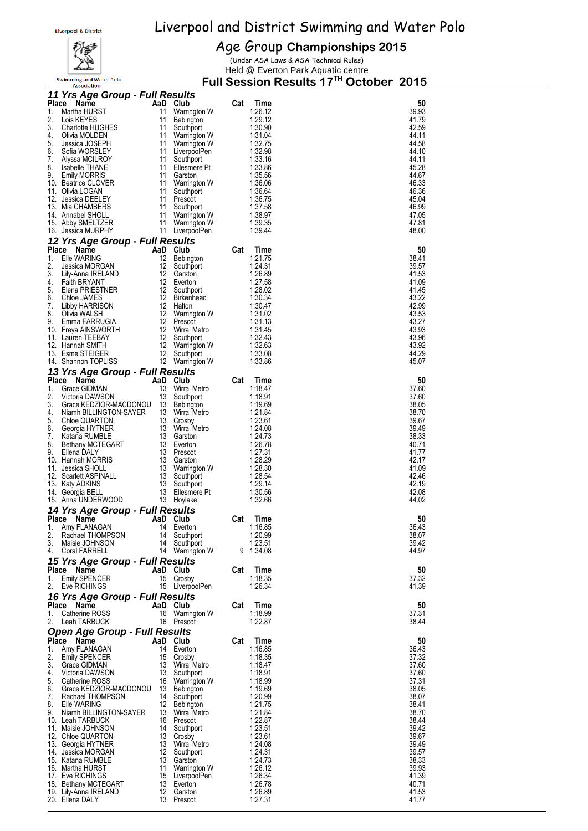

Swimming and Water Polo

Age Group **Championships 2015** (Under ASA Laws & ASA Technical Rules)

Held @ Everton Park Aquatic centre

|              | <b>Association</b>                   |    | <u>, un</u>       |     | 6991011   |       |  |
|--------------|--------------------------------------|----|-------------------|-----|-----------|-------|--|
|              | 11 Yrs Age Group - Full Results      |    |                   |     |           |       |  |
| Place        | Name                                 |    | AaD Club          | Cat | Time      | 50    |  |
|              |                                      |    |                   |     |           |       |  |
| 1.           | Martha HURST                         | 11 | Warrington W      |     | 1:26.12   | 39.93 |  |
| 2.           | Lois KEYES                           | 11 | Bebington         |     | 1:29.12   | 41.79 |  |
| 3.           | <b>Charlotte HUGHES</b>              | 11 | Southport         |     | 1.30.90   | 42.59 |  |
| 4.           | Olivia MOLDEN                        | 11 | Warrington W      |     | 1:31.04   | 44.11 |  |
| 5.           |                                      | 11 |                   |     |           | 44.58 |  |
|              | Jessica JOSEPH                       |    | Warrington W      |     | 1:32.75   |       |  |
| 6.           | Sofia WORSLEY                        | 11 | LiverpoolPen      |     | 1:32.98   | 44.10 |  |
| 7.           | Alyssa MCILROY                       | 11 | Southport         |     | 1:33.16   | 44.11 |  |
| 8.           | <b>Isabelle THANE</b>                | 11 | Ellesmere Pt      |     | 1:33.86   | 45.28 |  |
| 9.           |                                      | 11 |                   |     |           | 44.67 |  |
|              | <b>Emily MORRIS</b>                  |    | Garston           |     | 1.35.56   |       |  |
|              | 10. Beatrice CLOVER                  | 11 | Warrington W      |     | 1:36.06   | 46.33 |  |
|              | 11. Olivia LOGAN                     | 11 | Southport         |     | 1:36.64   | 46.36 |  |
|              | 12. Jessica DEELEY                   | 11 | Prescot           |     | 1:36.75   | 45.04 |  |
|              | 13. Mia CHAMBERS                     | 11 | Southport         |     | 1:37.58   | 46.99 |  |
|              |                                      |    |                   |     |           |       |  |
|              | 14. Annabel SHOLL                    | 11 | Warrington W      |     | 1:38.97   | 47.05 |  |
|              | 15. Abby SMELTZER                    | 11 | Warrington W      |     | 1.39.35   | 47.81 |  |
|              | 16. Jessica MURPHY                   | 11 | LiverpoolPen      |     | 1.39.44   | 48.00 |  |
|              |                                      |    |                   |     |           |       |  |
|              | 12 Yrs Age Group - Full Results      |    |                   |     |           |       |  |
| <b>Place</b> | AaD<br>Name                          |    | Club              | Cat | Time      | 50    |  |
|              |                                      |    |                   |     |           |       |  |
| 1.           | Elle WARING                          | 12 | Bebington         |     | 1:21.75   | 38.41 |  |
| 2.           | Jessica MORGAN                       | 12 | Southport         |     | 1:24.31   | 39.57 |  |
| 3.           | Lily-Anna IRELAND                    | 12 | Garston           |     | 1.26.89   | 41.53 |  |
| 4.           | <b>Faith BRYANT</b>                  | 12 | Everton           |     | 1.27.58   | 41.09 |  |
|              |                                      |    |                   |     |           |       |  |
| 5.           | Elena PRIESTNER                      |    | 12 Southport      |     | 1:28.02   | 41.45 |  |
| 6.           | Chloe JAMES                          | 12 | <b>Birkenhead</b> |     | 1:30.34   | 43.22 |  |
| 7.           | Libby HARRISON                       | 12 | Halton            |     | 1:30.47   | 42.99 |  |
| 8.           | Olivia WALSH                         |    | 12 Warrington W   |     | 1:31.02   | 43.53 |  |
|              |                                      |    |                   |     |           |       |  |
| 9.           | Emma FARRUGIA                        | 12 | Prescot           |     | 1:31.13   | 43.27 |  |
|              | 10. Freya AINSWORTH                  | 12 | Wirral Metro      |     | 1.31.45   | 43.93 |  |
|              | 11. Lauren TEEBAY                    | 12 | Southport         |     | 1:32.43   | 43.96 |  |
|              | 12. Hannah SMITH                     | 12 | Warrington W      |     | 1:32.63   | 43.92 |  |
|              |                                      | 12 |                   |     |           | 44.29 |  |
|              | 13. Esme STEIGER                     |    | Southport         |     | 1:33.08   |       |  |
|              | 14. Shannon TOPLISS                  |    | 12 Warrington W   |     | 1:33.86   | 45.07 |  |
|              |                                      |    |                   |     |           |       |  |
|              | 13 Yrs Age Group - Full Results      |    |                   |     |           |       |  |
| <b>Place</b> | AaD<br>Name                          |    | Club              | Cat | Time      | 50    |  |
| 1.           | Grace GIDMAN                         | 13 | Wirral Metro      |     | 1:18.47   | 37.60 |  |
| 2.           |                                      | 13 |                   |     | 1:18.91   | 37.60 |  |
|              | Victoria DAWSON                      |    | Southport         |     |           |       |  |
| 3.           | Grace KEDZIOR-MACDONOU               |    | 13 Bebington      |     | 1.19.69   | 38.05 |  |
| 4.           | Niamh BILLINGTON-SAYER               |    | 13 Wirral Metro   |     | 1.21.84   | 38.70 |  |
| 5.           | Chloe QUARTON                        | 13 | Crosby            |     | 1:23.61   | 39.67 |  |
|              |                                      |    |                   |     |           |       |  |
| 6.           | Georgia HYTNER                       | 13 | Wirral Metro      |     | 1.24.08   | 39.49 |  |
| 7.           | Katana RUMBLE                        | 13 | Garston           |     | 1.24.73   | 38.33 |  |
| 8.           | <b>Bethany MCTEGART</b>              | 13 | Everton           |     | 1:26.78   | 40.71 |  |
| 9.           |                                      |    | 13 Prescot        |     | 1.27.31   | 41.77 |  |
|              | Ellena DALY                          |    |                   |     |           |       |  |
|              | 10. Hannah MORRIS                    | 13 | Garston           |     | 1:28.29   | 42.17 |  |
|              | 11. Jessica SHOLL                    | 13 | Warrington W      |     | 1:28.30   | 41.09 |  |
|              | 12. Scarlett ASPINALL                | 13 | Southport         |     | 1:28.54   | 42.46 |  |
|              |                                      |    |                   |     |           |       |  |
|              | 13. Katy ADKINS                      | 13 | Southport         |     | 1:29.14   | 42.19 |  |
|              | 14. Georgia BELL                     | 13 | Ellesmere Pt      |     | 1:30.56   | 42.08 |  |
|              | 15. Anna UNDERWOOD                   |    | 13 Hoylake        |     | 1:32.66   | 44.02 |  |
|              |                                      |    |                   |     |           |       |  |
|              | 14 Yrs Age Group - Full Results      |    |                   |     |           |       |  |
|              | Place Name                           |    | AaD Club          | Cat | Time      | 50    |  |
|              |                                      |    |                   |     |           |       |  |
| 1.           | Amy FLANAGAN                         |    | 14 Everton        |     | 1:16.85   | 36.43 |  |
| 2.           | Rachael THOMPSON                     | 14 | Southport         |     | 1:20.99   | 38.07 |  |
| 3.           | Maisie JOHNSON                       | 14 | Southport         |     | 1:23.51   | 39.42 |  |
| 4.           | Coral FARRELL                        |    | 14 Warrington W   |     | 9 1:34.08 | 44.97 |  |
|              |                                      |    |                   |     |           |       |  |
|              | 15 Yrs Age Group - Full Results      |    |                   |     |           |       |  |
|              |                                      |    |                   |     |           |       |  |
|              | Name<br>Place                        |    | AaD Club          | Cat | Time      | 50    |  |
| 1.           | <b>Emily SPENCER</b>                 | 15 | Crosbv            |     | 1:18.35   | 37.32 |  |
| 2.           | Eve RICHINGS                         |    | 15 LiverpoolPen   |     | 1:26.34   | 41.39 |  |
|              |                                      |    |                   |     |           |       |  |
|              | 16 Yrs Age Group - Full Results      |    |                   |     |           |       |  |
|              | Place<br><b>Name</b>                 |    | AaD Club          | Cat | Time      | 50    |  |
| 1.           | Catherine ROSS                       | 16 |                   |     | 1:18.99   | 37.31 |  |
|              |                                      |    | Warrington W      |     |           |       |  |
| 2.           | Leah TARBUCK                         |    | 16 Prescot        |     | 1:22.87   | 38.44 |  |
|              | <b>Open Age Group - Full Results</b> |    |                   |     |           |       |  |
|              |                                      |    |                   |     |           |       |  |
|              | Place Name                           |    | AaD Club          | Cat | Time      | 50    |  |
| 1.           | Amy FLANAGAN                         | 14 | Everton           |     | 1:16.85   | 36.43 |  |
| 2.           | <b>Emily SPENCER</b>                 | 15 | Crosby            |     | 1:18.35   | 37.32 |  |
| 3.           |                                      | 13 |                   |     |           | 37.60 |  |
|              | Grace GIDMAN                         |    | Wirral Metro      |     | 1:18.47   |       |  |
| 4.           | Victoria DAWSON                      | 13 | Southport         |     | 1:18.91   | 37.60 |  |
| 5.           | Catherine ROSS                       |    | 16 Warrington W   |     | 1:18.99   | 37.31 |  |
| 6.           | Grace KEDZIOR-MACDONOU               |    | 13 Bebington      |     | 1.19.69   | 38.05 |  |
| 7.           |                                      |    | 14 Southport      |     | 1:20.99   |       |  |
|              | Rachael THOMPSON                     |    |                   |     |           | 38.07 |  |
| 8.           | Elle WARING                          |    | 12 Bebington      |     | 1:21.75   | 38.41 |  |
| 9.           | Niamh BILLINGTON-SAYER               |    | 13 Wirral Metro   |     | 1:21.84   | 38.70 |  |
|              | 10. Leah TARBUCK                     |    | 16 Prescot        |     | 1:22.87   | 38.44 |  |
|              |                                      |    |                   |     |           | 39.42 |  |
|              | 11. Maisie JOHNSON                   |    | 14 Southport      |     | 1:23.51   |       |  |
|              | 12. Chloe QUARTON                    |    | 13 Crosby         |     | 1:23.61   | 39.67 |  |
|              | 13. Georgia HYTNER                   |    | 13 Wirral Metro   |     | 1:24.08   | 39.49 |  |
|              | 14. Jessica MORGAN                   |    | 12 Southport      |     | 1:24.31   | 39.57 |  |
|              |                                      |    | 13 Garston        |     | 1.24.73   | 38.33 |  |
|              | 15. Katana RUMBLE                    |    |                   |     |           |       |  |
|              | 16. Martha HURST                     | 11 | Warrington W      |     | 1:26.12   | 39.93 |  |
|              | 17. Eve RICHINGS                     |    | 15 LiverpoolPen   |     | 1:26.34   | 41.39 |  |
|              | 18. Bethany MCTEGART                 |    | 13 Everton        |     | 1:26.78   | 40.71 |  |
|              |                                      |    |                   |     |           |       |  |
|              | 19. Lily-Anna IRELAND                |    | 12 Garston        |     | 1:26.89   | 41.53 |  |
|              | 20. Ellena DALY                      |    | 13 Prescot        |     | 1:27.31   | 41.77 |  |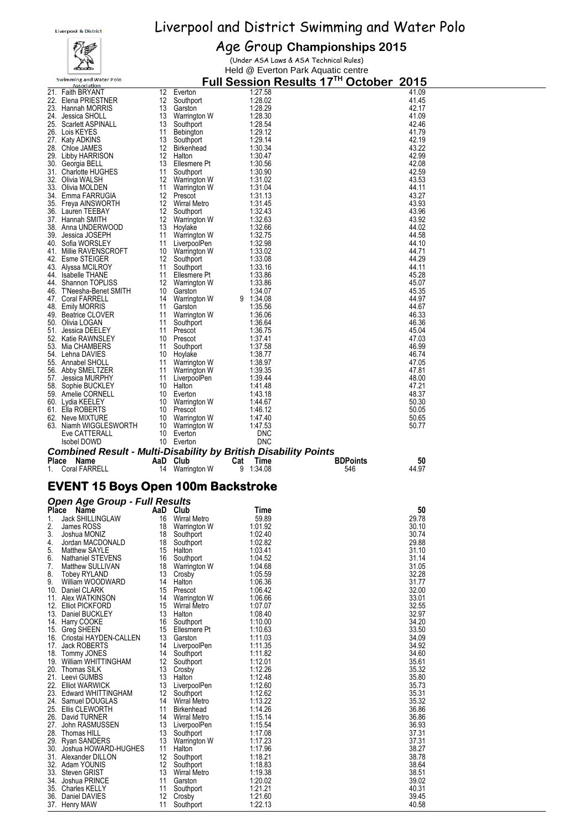## 樱

## Liverpool & District Swimming and Water Polo

## Age Group **Championships 2015**

(Under ASA Laws & ASA Technical Rules) Held @ Everton Park Aquatic centre

|          | <b>Swimming and Water Polo</b><br><b>Association</b>            |          |                                    |                    | Full Session Results 17 <sup>™</sup> October 2015 |  |
|----------|-----------------------------------------------------------------|----------|------------------------------------|--------------------|---------------------------------------------------|--|
|          | 21. Faith BRYANT                                                | 12       | Everton                            | 1:27.58            | 41.09                                             |  |
|          | 22. Elena PRIESTNER                                             | 12       | Southport                          | 1:28.02            | 41.45                                             |  |
|          | 23. Hannah MORRIS<br>24. Jessica SHOLL                          | 13       | Garston<br>13 Warrington W         | 1:28.29<br>1:28.30 | 42.17<br>41.09                                    |  |
|          | 25. Scarlett ASPINALL                                           | 13       | Southport                          | 1:28.54            | 42.46                                             |  |
|          | 26. Lois KEYES                                                  | 11       | Bebington                          | 1:29.12            | 41.79                                             |  |
|          | 27. Katy ADKINS                                                 | 13       | Southport                          | 1:29.14            | 42.19                                             |  |
| 29.      | 28. Chloe JAMES<br>Libby HARRISON                               | 12<br>12 | <b>Birkenhead</b><br>Halton        | 1:30.34<br>1:30.47 | 43.22<br>42.99                                    |  |
|          | 30. Georgia BELL                                                |          | 13 Ellesmere Pt                    | 1:30.56            | 42.08                                             |  |
|          | 31. Charlotte HUGHES                                            | 11       | Southport                          | 1:30.90            | 42.59                                             |  |
|          | 32.   Olivia WALSH                                              |          | 12 Warrington W                    | 1:31.02            | 43.53                                             |  |
|          | 33. Olivia MOLDEN<br>34. Emma FARRUGIA                          |          | 11 Warrington W<br>12 Prescot      | 1:31.04<br>1:31.13 | 44.11<br>43.27                                    |  |
|          | 35. Freya AINSWORTH                                             |          | 12 Wirral Metro                    | 1:31.45            | 43.93                                             |  |
|          | 36. Lauren TEEBAY                                               | 12       | Southport                          | 1:32.43            | 43.96                                             |  |
|          | 37. Hannah SMITH                                                | 12       | Warrington W                       | 1:32.63            | 43.92                                             |  |
|          | 38. Anna UNDERWOOD                                              | 13       | Hoylake                            | 1:32.66            | 44.02                                             |  |
|          | 39. Jessica JOSEPH<br>40. Sofia WORSLEY                         | 11       | 11 Warrington W<br>LiverpoolPen    | 1:32.75<br>1.32.98 | 44.58<br>44.10                                    |  |
|          | 41. Millie RAVENSCROFT                                          |          | 10 Warrington W                    | 1:33.02            | 44.71                                             |  |
|          | 42. Esme STEIGER                                                |          | 12 Southport                       | 1:33.08            | 44.29                                             |  |
|          | 43. Alyssa MCILROY                                              | 11       | Southport                          | 1:33.16            | 44.11                                             |  |
|          | 44. Isabelle THANE<br>44. Shannon TOPLISS                       | 11       | Ellesmere Pt                       | 1:33.86<br>1:33.86 | 45.28<br>45.07                                    |  |
|          | 46. T'Neesha-Benet SMITH                                        | 10       | 12 Warrington W<br>Garston         | 1:34.07            | 45.35                                             |  |
|          | 47. Coral FARRELL                                               |          | 14 Warrington W                    | 9 1:34.08          | 44.97                                             |  |
|          | 48. Emily MORRIS                                                | 11       | Garston                            | 1:35.56            | 44.67                                             |  |
|          | 49. Beatrice CLOVER                                             | 11       | Warrington W                       | 1:36.06            | 46.33                                             |  |
| 51.      | 50. Olivia LOGAN<br>Jessica DEELEY                              | 11<br>11 | Southport<br>Prescot               | 1:36.64<br>1:36.75 | 46.36<br>45.04                                    |  |
|          | 52. Katie RAWNSLEY                                              | 10       | Prescot                            | 1:37.41            | 47.03                                             |  |
|          | 53. Mia CHAMBERS                                                | 11       | Southport                          | 1:37.58            | 46.99                                             |  |
| 54.      | Lehna DAVIES                                                    | 10       | Hoylake                            | 1:38.77            | 46.74                                             |  |
|          | 55. Annabel SHOLL                                               | 11       | Warrington W                       | 1:38.97            | 47.05                                             |  |
|          | 56. Abby SMELTZER<br>57. Jessica MURPHY                         | 11<br>11 | Warrington W<br>LiverpoolPen       | 1:39.35<br>1:39.44 | 47.81<br>48.00                                    |  |
|          | 58. Sophie BUCKLEY                                              |          | 10 Halton                          | 1:41.48            | 47.21                                             |  |
|          | 59. Amelie CORNELL                                              | 10       | Everton                            | 1:43.18            | 48.37                                             |  |
|          | 60. Lydia KEELEY                                                |          | 10 Warrington W                    | 1:44.67            | 50.30                                             |  |
|          | 61. Ella ROBERTS<br>62. Neve MIXTURE                            |          | 10 Prescot<br>10 Warrington W      | 1.46.12<br>1:47.40 | 50.05<br>50.65                                    |  |
|          |                                                                 |          | 10 Warrington W                    | 1.47.53            | 50.77                                             |  |
|          |                                                                 |          |                                    |                    |                                                   |  |
|          | 63. Niamh WIGGLESWORTH<br>Eve CATTERALL                         |          | 10 Everton                         | DNC                |                                                   |  |
|          | Isobel DOWD                                                     |          | 10 Everton                         | <b>DNC</b>         |                                                   |  |
|          | Combined Result - Multi-Disability by British Disability Points |          |                                    |                    |                                                   |  |
|          | Place Name                                                      |          | AaD Club                           | Cat<br>Time        | 50<br><b>BDPoints</b>                             |  |
|          | 1. Coral FARRELL                                                |          | 14 Warrington W                    | 9<br>1:34.08       | 44.97<br>546                                      |  |
|          | <b>EVENT 15 Boys Open 100m Backstroke</b>                       |          |                                    |                    |                                                   |  |
|          |                                                                 |          |                                    |                    |                                                   |  |
|          | <b>Open Age Group - Full Results</b>                            |          |                                    | Time               | 50                                                |  |
| 1.       | Place Name<br>Jack SHILLINGLAW                                  |          | AaD Club<br>16 Wirral Metro        | 59.89              | 29.78                                             |  |
| 2.       | James ROSS                                                      |          | 18 Warrington W                    | 1:01.92            | 30.10                                             |  |
| 3.       | Joshua MONIZ                                                    |          | 18 Southport                       | 1:02.40            | 30.74                                             |  |
| 4.       | Jordan MACDONALD                                                |          | 18 Southport                       | 1:02.82            | 29.88                                             |  |
| 5.<br>6. | <b>Matthew SAYLE</b><br>Nathaniel STEVENS                       |          | 15 Halton<br>16 Southport          | 1:03.41<br>1:04.52 | 31.10<br>31.14                                    |  |
| 7.       | Matthew SULLIVAN                                                |          | 18 Warrington W                    | 1:04.68            | 31.05                                             |  |
| 8.       | Tobey RYLAND                                                    |          | 13 Crosby                          | 1:05.59            | 32.28                                             |  |
| 9.       | William WOODWARD                                                |          | 14 Halton                          | 1:06.36            | 31.77                                             |  |
|          | 10. Daniel CLARK<br>11. Alex WATKINSON                          | 14       | 15 Prescot<br>Warrington W         | 1:06.42<br>1:06.66 | 32.00<br>33.01                                    |  |
|          | 12. Elliot PICKFORD                                             |          | 15 Wirral Metro                    | 1:07.07            | 32.55                                             |  |
|          | 13. Daniel BUCKLEY                                              |          | 13 Halton                          | 1:08.40            | 32.97                                             |  |
|          | 14. Harry COOKE                                                 |          | 16 Southport                       | 1:10.00            | 34.20                                             |  |
|          | 15. Greg SHEEN                                                  |          | 15 Ellesmere Pt                    | 1:10.63            | 33.50                                             |  |
|          | 16. Criostai HAYDEN-CALLEN<br>17. Jack ROBERTS                  |          | 13 Garston<br>14 LiverpoolPen      | 1:11.03<br>1:11.35 | 34.09<br>34.92                                    |  |
|          | 18. Tommy JONES                                                 |          | 14 Southport                       | 1:11.82            | 34.60                                             |  |
|          | 19. William WHITTINGHAM                                         |          | 12 Southport                       | 1:12.01            | 35.61                                             |  |
|          | 20. Thomas SILK                                                 |          | 13 Crosby                          | 1:12.26            | 35.32                                             |  |
|          | 21. Leevi GUMBS<br>22. Elliot WARWICK                           |          | 13 Halton<br>13 LiverpoolPen       | 1:12.48<br>1:12.60 | 35.80<br>35.73                                    |  |
|          | 23. Edward WHITTINGHAM                                          |          | 12 Southport                       | 1:12.62            | 35.31                                             |  |
|          | 24. Samuel DOUGLAS                                              |          | 14 Wirral Metro                    | 1:13.22            | 35.32                                             |  |
|          | 25. Ellis CLEWORTH                                              |          | 11 Birkenhead                      | 1:14.26            | 36.86                                             |  |
|          | 26. David TURNER<br>27. John RASMUSSEN                          |          | 14 Wirral Metro<br>13 LiverpoolPen | 1:15.14<br>1:15.54 | 36.86<br>36.93                                    |  |
|          | 28. Thomas HILL                                                 |          | 13 Southport                       | 1:17.08            | 37.31                                             |  |
|          | 29. Ryan SANDERS                                                |          | 13 Warrington W                    | 1:17.23            | 37.31                                             |  |
|          | 30. Joshua HOWARD-HUGHES                                        |          | 11 Halton                          | 1:17.96            | 38.27                                             |  |
|          | 31. Alexander DILLON                                            |          | 12 Southport                       | 1:18.21            | 38.78                                             |  |
|          | 32. Adam YOUNIS<br>33. Steven GRIST                             |          | 12 Southport<br>13 Wirral Metro    | 1:18.83<br>1:19.38 | 38.64<br>38.51                                    |  |
|          | 34. Joshua PRINCE                                               |          | 11 Garston                         | 1:20.02            | 39.02                                             |  |
|          | 35. Charles KELLY<br>36. Daniel DAVIES                          |          | 11 Southport<br>12 Crosby          | 1:21.21<br>1:21.60 | 40.31<br>39.45                                    |  |

37. Henry MAW 11 Southport 1:22.13 40.58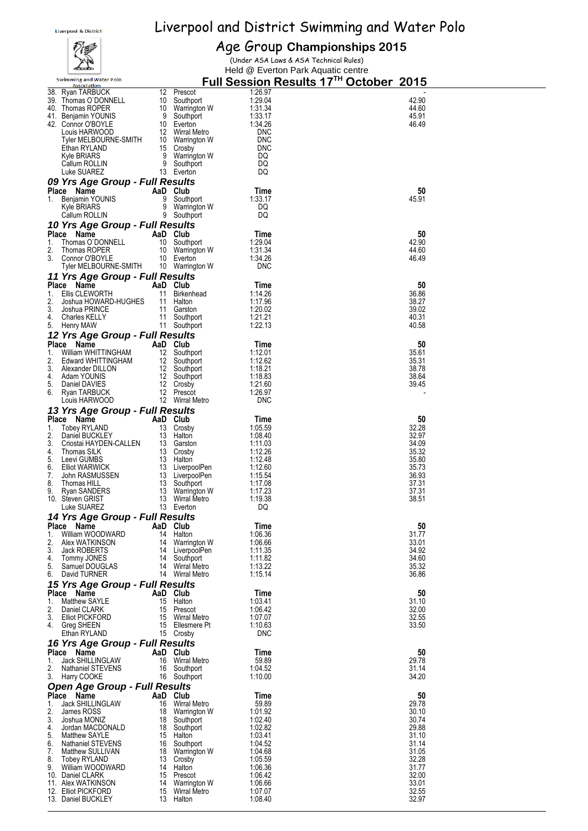## 视身

Age Group **Championships 2015** (Under ASA Laws & ASA Technical Rules)

|           | متحصكه                                               |          |                                 | Held @ Everton Park Aquatic centre                 |                |  |
|-----------|------------------------------------------------------|----------|---------------------------------|----------------------------------------------------|----------------|--|
|           | <b>Swimming and Water Polo</b><br><b>Association</b> |          |                                 | Full Session Results 17 <sup>TH</sup> October 2015 |                |  |
|           | 38. Ryan TARBUCK                                     | 12       | Prescot                         | 1:26.97                                            |                |  |
|           | 39. Thomas O'DONNELL                                 | 10       | Southport                       | 1:29.04                                            | 42.90          |  |
|           | 40. Thomas ROPER                                     | 10       | Warrington W                    | 1:31.34                                            | 44.60          |  |
|           | 41. Benjamin YOUNIS                                  | 9        | Southport                       | 1:33.17                                            | 45.91          |  |
|           | 42. Connor O'BOYLE                                   | 10       | Everton                         | 1:34.26                                            | 46.49          |  |
|           | Louis HARWOOD                                        | 12       | Wirral Metro                    | <b>DNC</b><br><b>DNC</b>                           |                |  |
|           | Tyler MELBOURNE-SMITH<br>Ethan RYLAND                | 10<br>15 | Warrington W<br>Crosby          | <b>DNC</b>                                         |                |  |
|           | Kyle BRIARS                                          | 9        | Warrington W                    | DQ                                                 |                |  |
|           | Callum ROLLIN                                        | 9        | Southport                       | DQ                                                 |                |  |
|           | Luke SUAREZ                                          | 13       | Everton                         | DQ                                                 |                |  |
|           | 09 Yrs Age Group - Full Results                      |          |                                 |                                                    |                |  |
|           | Place Name                                           | AaD Club |                                 | Time                                               | 50             |  |
| 1.        | Benjamin YOUNIS                                      | 9        | Southport                       | 1:33.17                                            | 45.91          |  |
|           | Kyle BRIARS                                          | 9        | Warrington W                    | DQ                                                 |                |  |
|           | Callum ROLLIN                                        | 9        | Southport                       | DQ                                                 |                |  |
|           | 10 Yrs Age Group - Full Results                      |          |                                 |                                                    |                |  |
|           | Place Name                                           | AaD Club |                                 | Time                                               | 50             |  |
| 1.<br>2.  | Thomas O'DONNELL<br>Thomas ROPER                     | 10       | Southport                       | 1:29.04<br>1:31.34                                 | 42.90<br>44.60 |  |
| 3.        | Connor O'BOYLE                                       |          | 10 Warrington W<br>10 Everton   | 1:34.26                                            | 46.49          |  |
|           | Tyler MELBOURNE-SMITH                                |          | 10 Warrington W                 | <b>DNC</b>                                         |                |  |
|           | 11 Yrs Age Group - Full Results                      |          |                                 |                                                    |                |  |
|           | Place Name                                           | AaD Club |                                 | Time                                               | 50             |  |
| 1.        | Ellis CLEWORTH                                       | 11       | Birkenhead                      | 1:14.26                                            | 36.86          |  |
| 2.        | Joshua HOWARD-HUGHES                                 |          | 11 Halton                       | 1:17.96                                            | 38.27          |  |
| 3.        | Joshua PRINCE                                        | 11       | Garston                         | 1:20.02                                            | 39.02          |  |
| 4.        | <b>Charles KELLY</b>                                 |          | 11 Southport                    | 1:21.21                                            | 40.31          |  |
|           | 5. Henry MAW                                         |          | 11 Southport                    | 1:22.13                                            | 40.58          |  |
|           | 12 Yrs Age Group - Full Results                      |          |                                 |                                                    |                |  |
|           | Place Name                                           | AaD Club |                                 | Time                                               | 50             |  |
| 1.<br>2.  | William WHITTINGHAM<br>Edward WHITTINGHAM            |          | 12 Southport<br>12 Southport    | 1:12.01<br>1:12.62                                 | 35.61<br>35.31 |  |
| 3.        | Alexander DILLON                                     |          | 12 Southport                    | 1:18.21                                            | 38.78          |  |
| 4.        | Adam YOUNIS                                          |          | 12 Southport                    | 1:18.83                                            | 38.64          |  |
| 5.        | Daniel DAVIES                                        | 12       | Crosby                          | 1.21.60                                            | 39.45          |  |
| 6.        | Ryan TARBUCK                                         | 12       | Prescot                         | 1:26.97                                            |                |  |
|           | Louis HARWOOD                                        |          | 12 Wirral Metro                 | <b>DNC</b>                                         |                |  |
|           | 13 Yrs Age Group - Full Results                      |          |                                 |                                                    |                |  |
|           | Place Name                                           | AaD Club |                                 | Time                                               | 50             |  |
| 1.        | Tobey RYLAND                                         |          | 13 Crosby                       | 1:05.59                                            | 32.28          |  |
| 2.<br>3.  | Daniel BUCKLEY<br>Criostai HAYDEN-CALLEN             | 13       | 13 Halton<br>Garston            | 1:08.40<br>1:11.03                                 | 32.97<br>34.09 |  |
| 4.        | Thomas SILK                                          | 13       | Crosby                          | 1:12.26                                            | 35.32          |  |
| 5.        | Leevi GUMBS                                          |          | 13 Halton                       | 1:12.48                                            | 35.80          |  |
| 6.        | <b>Elliot WARWICK</b>                                |          | 13 LiverpoolPen                 | 1:12.60                                            | 35.73          |  |
| 7.        | John RASMUSSEN                                       |          | 13 LiverpoolPen                 | 1:15.54                                            | 36.93          |  |
| 8.        | Thomas HILL                                          | 13       | Southport                       | 1:17.08                                            | 37.31          |  |
| 9.<br>10. | Ryan SANDERS<br><b>Steven GRIST</b>                  | 13       | 13 Warrington W<br>Wirral Metro | 1:17.23<br>1:19.38                                 | 37.31<br>38.51 |  |
|           | Luke SUAREZ                                          | 13       | Everton                         | DQ                                                 |                |  |
|           | 14 Yrs Age Group - Full Results                      |          |                                 |                                                    |                |  |
|           | Place Name                                           | AaD Club |                                 | Time                                               | 50             |  |
| 1.        | William WOODWARD                                     | 14       | Halton                          | 1:06.36                                            | 31.77          |  |
| 2.        | Alex WATKINSON                                       | 14       | Warrington W                    | 1:06.66                                            | 33.01          |  |
| 3.        | Jack ROBERTS                                         |          | 14 LiverpoolPen                 | 1:11.35                                            | 34.92          |  |
| 4.        | Tommy JONES                                          | 14       | Southport                       | 1:11.82                                            | 34.60          |  |
| 5.        | Samuel DOUGLAS<br>6. David TURNER                    | 14       | 14 Wirral Metro<br>Wirral Metro | 1:13.22<br>1:15.14                                 | 35.32<br>36.86 |  |
|           |                                                      |          |                                 |                                                    |                |  |
|           | 15 Yrs Age Group - Full Results                      |          | AaD Club                        | Time                                               | 50             |  |
| 1.        | Place Name<br>Matthew SAYLE                          |          | 15 Halton                       | 1:03.41                                            | 31.10          |  |
| 2.        | Daniel CLARK                                         |          | 15 Prescot                      | 1:06.42                                            | 32.00          |  |
| 3.        | <b>Elliot PICKFORD</b>                               | 15       | Wirral Metro                    | 1:07.07                                            | 32.55          |  |
| 4.        | Greg SHEEN                                           |          | 15 Ellesmere Pt                 | 1:10.63                                            | 33.50          |  |
|           | Ethan RYLAND                                         |          | 15 Crosby                       | <b>DNC</b>                                         |                |  |
|           | 16 Yrs Age Group - Full Results                      |          |                                 |                                                    |                |  |
|           | Place Name                                           |          | AaD Club                        | Time                                               | 50             |  |
| 1.        | <b>Jack SHILLINGLAW</b>                              | 16       | Wirral Metro                    | 59.89                                              | 29.78          |  |
| 2.<br>3.  | Nathaniel STEVENS<br>Harry COOKE                     |          | 16 Southport<br>16 Southport    | 1:04.52<br>1:10.00                                 | 31.14<br>34.20 |  |
|           |                                                      |          |                                 |                                                    |                |  |
|           | <b>Open Age Group - Full Results</b><br>Place Name   |          | AaD Club                        | Time                                               | 50             |  |
| 1.        | Jack SHILLINGLAW                                     | 16       | Wirral Metro                    | 59.89                                              | 29.78          |  |
| 2.        | James ROSS                                           | 18       | Warrington W                    | 1:01.92                                            | 30.10          |  |
| 3.        | Joshua MONIZ                                         | 18       | Southport                       | 1:02.40                                            | 30.74          |  |
| 4.        | Jordan MACDONALD                                     | 18       | Southport                       | 1:02.82                                            | 29.88          |  |
| 5.        | Matthew SAYLE                                        | 15       | Halton                          | 1:03.41                                            | 31.10          |  |
| 6.        | Nathaniel STEVENS                                    | 16       | Southport                       | 1:04.52                                            | 31.14          |  |
| 7.<br>8.  | Matthew SULLIVAN<br><b>Tobey RYLAND</b>              | 18<br>13 | Warrington W<br>Crosby          | 1:04.68<br>1:05.59                                 | 31.05<br>32.28 |  |
| 9.        | William WOODWARD                                     |          | 14 Halton                       | 1:06.36                                            | 31.77          |  |
|           | 10. Daniel CLARK                                     |          | 15 Prescot                      | 1:06.42                                            | 32.00          |  |
|           | 11. Alex WATKINSON                                   | 14       | Warrington W                    | 1:06.66                                            | 33.01          |  |
|           | 12. Elliot PICKFORD                                  | 15       | Wirral Metro                    | 1:07.07                                            | 32.55          |  |
|           | 13. Daniel BUCKLEY                                   |          | 13 Halton                       | 1:08.40                                            | 32.97          |  |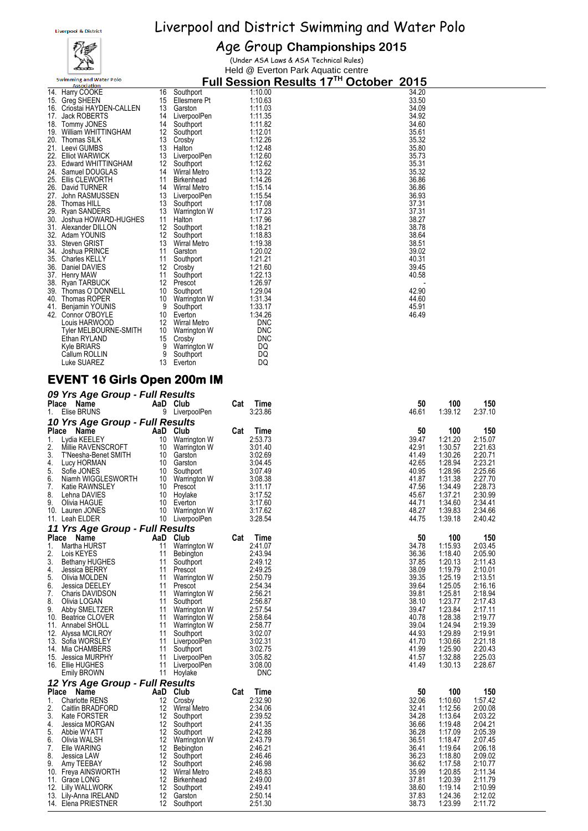## ∡ Swimming and Water Polo

### Age Group **Championships 2015**

**Full Session Results 17 TH October 2015**

(Under ASA Laws & ASA Technical Rules) Held @ Everton Park Aquatic centre

| 14. Harry COOKE<br>15. Greg SHEEN<br>16. Criostai HAYDEN-CALLEN<br>17. Jack ROBERTS<br>18. Tommy JONES<br>19. William WHITTINGHAM<br>20. Thomas SILK<br>21. Leevi GUMBS<br>22. Elliot WARWICK<br>23. Edward WHITTINGHAM<br>24. Samuel DOUGLAS<br>25. Ellis CLEWORTH<br>26. David TURNER<br>27. John RASMUSSEN<br>28. Thomas HILL<br>29. Ryan SANDERS<br>30. Joshua HOWARD-HUGHES<br>31. Alexander DILLON<br>32. Adam YOUNIS<br>33.<br>Steven GRIST<br>34. Joshua PRINCE<br>35. Charles KELLY<br>36. Daniel DAVIES<br>37. Henry MAW<br>38. Ryan TARBUCK<br>39.<br>Thomas O'DONNELL<br>40. Thomas ROPER<br>41.<br>Benjamin YOUNIS<br>42. Connor O'BOYLE<br>Louis HARWOOD<br>Tyler MELBOURNE-SMITH<br>Ethan RYLAND<br>Kyle BRIARS<br>Callum ROLLIN | 16<br>15<br>13<br>14<br>14<br>12<br>13<br>13<br>13<br>12<br>11<br>14<br>13<br>13<br>11<br>12<br>12<br>13<br>11<br>11<br>12<br>11<br>12<br>10<br>9<br>10<br>10<br>15<br>9<br>9 | Southport<br>Ellesmere Pt<br>Garston<br>LiverpoolPen<br>Southport<br>Southport<br>Crosby<br>Halton<br>LiverpoolPen<br>Southport<br>14 Wirral Metro<br>Birkenhead<br>Wirral Metro<br>LiverpoolPen<br>Southport<br>13 Warrington W<br>Halton<br>Southport<br>Southport<br>Wirral Metro<br>Garston<br>Southport<br>Crosby<br>Southport<br>Prescot<br>Southport<br>10 Warrington W<br>Southport<br>Everton<br>12 Wirral Metro<br>Warrington W<br>Crosby<br>Warrington W<br>Southport |     | 1:10.00<br>1:10.63<br>1:11.03<br>1:11.35<br>1:11.82<br>1:12.01<br>1:12.26<br>1:12.48<br>1:12.60<br>1:12.62<br>1:13.22<br>1:14.26<br>1:15.14<br>1:15.54<br>1:17.08<br>1:17.23<br>1:17.96<br>1:18.21<br>1:18.83<br>1:19.38<br>1:20.02<br>1:21.21<br>1:21.60<br>1:22.13<br>1.26.97<br>1:29.04<br>1:31.34<br>1:33.17<br>1:34.26<br><b>DNC</b><br><b>DNC</b><br><b>DNC</b><br>DQ<br>DQ | 34.20<br>33.50<br>34.09<br>34.92<br>34.60<br>35.61<br>35.32<br>35.80<br>35.73<br>35.31<br>35.32<br>36.86<br>36.86<br>36.93<br>37.31<br>37.31<br>38.27<br>38.78<br>38.64<br>38.51<br>39.02<br>40.31<br>39.45<br>40.58<br>42.90<br>44.60<br>45.91<br>46.49 |                    |                    |  |
|-------------------------------------------------------------------------------------------------------------------------------------------------------------------------------------------------------------------------------------------------------------------------------------------------------------------------------------------------------------------------------------------------------------------------------------------------------------------------------------------------------------------------------------------------------------------------------------------------------------------------------------------------------------------------------------------------------------------------------------------------|-------------------------------------------------------------------------------------------------------------------------------------------------------------------------------|----------------------------------------------------------------------------------------------------------------------------------------------------------------------------------------------------------------------------------------------------------------------------------------------------------------------------------------------------------------------------------------------------------------------------------------------------------------------------------|-----|-----------------------------------------------------------------------------------------------------------------------------------------------------------------------------------------------------------------------------------------------------------------------------------------------------------------------------------------------------------------------------------|----------------------------------------------------------------------------------------------------------------------------------------------------------------------------------------------------------------------------------------------------------|--------------------|--------------------|--|
| Luke SUAREZ<br><b>EVENT 16 Girls Open 200m IM</b>                                                                                                                                                                                                                                                                                                                                                                                                                                                                                                                                                                                                                                                                                               | 13                                                                                                                                                                            | Everton                                                                                                                                                                                                                                                                                                                                                                                                                                                                          |     | DQ                                                                                                                                                                                                                                                                                                                                                                                |                                                                                                                                                                                                                                                          |                    |                    |  |
| 09 Yrs Age Group - Full Results                                                                                                                                                                                                                                                                                                                                                                                                                                                                                                                                                                                                                                                                                                                 |                                                                                                                                                                               |                                                                                                                                                                                                                                                                                                                                                                                                                                                                                  |     |                                                                                                                                                                                                                                                                                                                                                                                   |                                                                                                                                                                                                                                                          |                    |                    |  |
| Place Name<br>Elise BRUNS<br>1.                                                                                                                                                                                                                                                                                                                                                                                                                                                                                                                                                                                                                                                                                                                 |                                                                                                                                                                               | AaD Club<br>9 LiverpoolPen                                                                                                                                                                                                                                                                                                                                                                                                                                                       | Cat | Time<br>3:23.86                                                                                                                                                                                                                                                                                                                                                                   | 50<br>46.61                                                                                                                                                                                                                                              | 100<br>1:39.12     | 150<br>2:37.10     |  |
| 10 Yrs Age Group - Full Results<br>Place Name                                                                                                                                                                                                                                                                                                                                                                                                                                                                                                                                                                                                                                                                                                   |                                                                                                                                                                               | AaD Club                                                                                                                                                                                                                                                                                                                                                                                                                                                                         | Cat | Time                                                                                                                                                                                                                                                                                                                                                                              | 50                                                                                                                                                                                                                                                       | 100                | 150                |  |
| 1.<br>Lydia KEELEY<br>2.<br>Millie RAVENSCROFT                                                                                                                                                                                                                                                                                                                                                                                                                                                                                                                                                                                                                                                                                                  | 10<br>10                                                                                                                                                                      | Warrington W<br>Warrington W                                                                                                                                                                                                                                                                                                                                                                                                                                                     |     | 2:53.73<br>3:01.40                                                                                                                                                                                                                                                                                                                                                                | 39.47<br>42.91                                                                                                                                                                                                                                           | 1:21.20<br>1:30.57 | 2:15.07<br>2:21.63 |  |
| 3.<br>T'Neesha-Benet SMITH<br>4.<br>Lucy HORMAN                                                                                                                                                                                                                                                                                                                                                                                                                                                                                                                                                                                                                                                                                                 | 10                                                                                                                                                                            | 10 Garston<br>Garston                                                                                                                                                                                                                                                                                                                                                                                                                                                            |     | 3:02.69<br>3:04.45                                                                                                                                                                                                                                                                                                                                                                | 41.49<br>42.65                                                                                                                                                                                                                                           | 1:30.26<br>1:28.94 | 2:20.71<br>2:23.21 |  |
| 5.<br>Sofie JONES<br>6.<br>Niamh WIGGLESWORTH                                                                                                                                                                                                                                                                                                                                                                                                                                                                                                                                                                                                                                                                                                   | 10                                                                                                                                                                            | Southport                                                                                                                                                                                                                                                                                                                                                                                                                                                                        |     | 3:07.49<br>3:08.38                                                                                                                                                                                                                                                                                                                                                                | 40.95<br>41.87                                                                                                                                                                                                                                           | 1:28.96<br>1:31.38 | 2:25.66<br>2:27.70 |  |
| 7.<br>Katie RAWNSLEY                                                                                                                                                                                                                                                                                                                                                                                                                                                                                                                                                                                                                                                                                                                            |                                                                                                                                                                               | 10 Warrington W<br>10 Prescot                                                                                                                                                                                                                                                                                                                                                                                                                                                    |     | 3:11.17                                                                                                                                                                                                                                                                                                                                                                           | 47.56                                                                                                                                                                                                                                                    | 1:34.49            | 2:28.73            |  |
| 8.<br>Lehna DAVIES<br>9.<br>Olivia HAGUE                                                                                                                                                                                                                                                                                                                                                                                                                                                                                                                                                                                                                                                                                                        | 10<br>10                                                                                                                                                                      | Hoylake<br>Everton                                                                                                                                                                                                                                                                                                                                                                                                                                                               |     | 3:17.52<br>3:17.60                                                                                                                                                                                                                                                                                                                                                                | 45.67<br>44.71                                                                                                                                                                                                                                           | 1:37.21<br>1:34.60 | 2:30.99<br>2:34.41 |  |
| 10. Lauren JONES                                                                                                                                                                                                                                                                                                                                                                                                                                                                                                                                                                                                                                                                                                                                | 10                                                                                                                                                                            | Warrington W                                                                                                                                                                                                                                                                                                                                                                                                                                                                     |     | 3:17.62                                                                                                                                                                                                                                                                                                                                                                           | 48.27                                                                                                                                                                                                                                                    | 1:39.83            | 2:34.66            |  |
| 11. Leah ELDER                                                                                                                                                                                                                                                                                                                                                                                                                                                                                                                                                                                                                                                                                                                                  | 10                                                                                                                                                                            | LiverpoolPen                                                                                                                                                                                                                                                                                                                                                                                                                                                                     |     | 3:28.54                                                                                                                                                                                                                                                                                                                                                                           | 44.75                                                                                                                                                                                                                                                    | 1:39.18            | 2:40.42            |  |
| 11 Yrs Age Group - Full Results<br>Place Name                                                                                                                                                                                                                                                                                                                                                                                                                                                                                                                                                                                                                                                                                                   | AaD                                                                                                                                                                           | Club                                                                                                                                                                                                                                                                                                                                                                                                                                                                             | Cat | Time                                                                                                                                                                                                                                                                                                                                                                              | 50                                                                                                                                                                                                                                                       | 100                | 150                |  |
| 1.<br>Martha HURST<br>2.<br>Lois KEYES                                                                                                                                                                                                                                                                                                                                                                                                                                                                                                                                                                                                                                                                                                          | 11<br>11                                                                                                                                                                      | Warrington W                                                                                                                                                                                                                                                                                                                                                                                                                                                                     |     | 2:41.07<br>2:43.94                                                                                                                                                                                                                                                                                                                                                                | 34.78<br>36.36                                                                                                                                                                                                                                           | 1:15.93<br>1:18.40 | 2:03.45<br>2:05.90 |  |
| 3.<br><b>Bethany HUGHES</b>                                                                                                                                                                                                                                                                                                                                                                                                                                                                                                                                                                                                                                                                                                                     | 11                                                                                                                                                                            | Bebington<br>Southport                                                                                                                                                                                                                                                                                                                                                                                                                                                           |     | 2:49.12                                                                                                                                                                                                                                                                                                                                                                           | 37.85                                                                                                                                                                                                                                                    | 1:20.13            | 2:11.43            |  |
| 4.<br>Jessica BERRY<br>5.<br>Olivia MOLDEN                                                                                                                                                                                                                                                                                                                                                                                                                                                                                                                                                                                                                                                                                                      | 11<br>11                                                                                                                                                                      | Prescot<br>Warrington W                                                                                                                                                                                                                                                                                                                                                                                                                                                          |     | 2:49.25<br>2:50.79                                                                                                                                                                                                                                                                                                                                                                | 38.09<br>39.35                                                                                                                                                                                                                                           | 1:19.79<br>1:25.19 | 2:10.01<br>2:13.51 |  |
| 6.<br>Jessica DEELEY                                                                                                                                                                                                                                                                                                                                                                                                                                                                                                                                                                                                                                                                                                                            | 11                                                                                                                                                                            | Prescot                                                                                                                                                                                                                                                                                                                                                                                                                                                                          |     | 2:54.34                                                                                                                                                                                                                                                                                                                                                                           | 39.64                                                                                                                                                                                                                                                    | 1:25.05            | 2:16.16            |  |
| 7.<br><b>Charis DAVIDSON</b>                                                                                                                                                                                                                                                                                                                                                                                                                                                                                                                                                                                                                                                                                                                    | 11<br>11                                                                                                                                                                      | Warrington W                                                                                                                                                                                                                                                                                                                                                                                                                                                                     |     | 2:56.21                                                                                                                                                                                                                                                                                                                                                                           | 39.81                                                                                                                                                                                                                                                    | 1:25.81<br>1:23.77 | 2:18.94            |  |
| 8.<br>Olivia LOGAN<br>9.<br>Abby SMELTZER                                                                                                                                                                                                                                                                                                                                                                                                                                                                                                                                                                                                                                                                                                       | 11                                                                                                                                                                            | Southport<br>Warrington W                                                                                                                                                                                                                                                                                                                                                                                                                                                        |     | 2:56.87<br>2:57.54                                                                                                                                                                                                                                                                                                                                                                | 38.10<br>39.47                                                                                                                                                                                                                                           | 1:23.84            | 2:17.43<br>2:17.11 |  |
| 10.<br>Beatrice CLOVER                                                                                                                                                                                                                                                                                                                                                                                                                                                                                                                                                                                                                                                                                                                          | 11                                                                                                                                                                            | <b>Warrington W</b>                                                                                                                                                                                                                                                                                                                                                                                                                                                              |     | 2:58.64                                                                                                                                                                                                                                                                                                                                                                           | 40.78                                                                                                                                                                                                                                                    | 1:28.38            | 2:19.77            |  |
| 11. Annabel SHOLL<br>12. Alyssa MCILROY                                                                                                                                                                                                                                                                                                                                                                                                                                                                                                                                                                                                                                                                                                         | 11<br>11                                                                                                                                                                      | <b>Warrington W</b><br>Southport                                                                                                                                                                                                                                                                                                                                                                                                                                                 |     | 2:58.77<br>3:02.07                                                                                                                                                                                                                                                                                                                                                                | 39.04<br>44.93                                                                                                                                                                                                                                           | 1:24.94<br>1:29.89 | 2:19.39<br>2:19.91 |  |
| 13. Sofia WORSLEY                                                                                                                                                                                                                                                                                                                                                                                                                                                                                                                                                                                                                                                                                                                               | 11                                                                                                                                                                            | LiverpoolPen                                                                                                                                                                                                                                                                                                                                                                                                                                                                     |     | 3:02.31                                                                                                                                                                                                                                                                                                                                                                           | 41.70                                                                                                                                                                                                                                                    | 1:30.66            | 2:21.18            |  |
| 14. Mia CHAMBERS<br>15. Jessica MURPHY                                                                                                                                                                                                                                                                                                                                                                                                                                                                                                                                                                                                                                                                                                          | 11<br>11                                                                                                                                                                      | Southport<br>LiverpoolPen                                                                                                                                                                                                                                                                                                                                                                                                                                                        |     | 3:02.75<br>3:05.82                                                                                                                                                                                                                                                                                                                                                                | 41.99<br>41.57                                                                                                                                                                                                                                           | 1:25.90<br>1:32.88 | 2:20.43<br>2:25.03 |  |
| 16. Ellie HUGHES                                                                                                                                                                                                                                                                                                                                                                                                                                                                                                                                                                                                                                                                                                                                | 11                                                                                                                                                                            | LiverpoolPen                                                                                                                                                                                                                                                                                                                                                                                                                                                                     |     | 3:08.00                                                                                                                                                                                                                                                                                                                                                                           | 41.49                                                                                                                                                                                                                                                    | 1:30.13            | 2:28.67            |  |
| Emily BROWN                                                                                                                                                                                                                                                                                                                                                                                                                                                                                                                                                                                                                                                                                                                                     | 11                                                                                                                                                                            | Hoylake                                                                                                                                                                                                                                                                                                                                                                                                                                                                          |     | <b>DNC</b>                                                                                                                                                                                                                                                                                                                                                                        |                                                                                                                                                                                                                                                          |                    |                    |  |
| 12 Yrs Age Group - Full Results<br>Place Name                                                                                                                                                                                                                                                                                                                                                                                                                                                                                                                                                                                                                                                                                                   |                                                                                                                                                                               | AaD Club                                                                                                                                                                                                                                                                                                                                                                                                                                                                         | Cat | Time                                                                                                                                                                                                                                                                                                                                                                              | 50                                                                                                                                                                                                                                                       | 100                | 150                |  |
| <b>Charlotte RENS</b><br>1.                                                                                                                                                                                                                                                                                                                                                                                                                                                                                                                                                                                                                                                                                                                     | 12                                                                                                                                                                            | Crosby                                                                                                                                                                                                                                                                                                                                                                                                                                                                           |     | 2:32.90                                                                                                                                                                                                                                                                                                                                                                           | 32.06                                                                                                                                                                                                                                                    | 1:10.60            | 1:57.42            |  |
| 2.<br><b>Caitlin BRADFORD</b><br>3.                                                                                                                                                                                                                                                                                                                                                                                                                                                                                                                                                                                                                                                                                                             | 12<br>12                                                                                                                                                                      | <b>Wirral Metro</b>                                                                                                                                                                                                                                                                                                                                                                                                                                                              |     | 2:34.06<br>2:39.52                                                                                                                                                                                                                                                                                                                                                                | 32.41<br>34.28                                                                                                                                                                                                                                           | 1:12.56<br>1:13.64 | 2:00.08<br>2:03.22 |  |
| Kate FORSTER<br>4.<br>Jessica MORGAN                                                                                                                                                                                                                                                                                                                                                                                                                                                                                                                                                                                                                                                                                                            | 12                                                                                                                                                                            | Southport<br>Southport                                                                                                                                                                                                                                                                                                                                                                                                                                                           |     | 2:41.35                                                                                                                                                                                                                                                                                                                                                                           | 36.66                                                                                                                                                                                                                                                    | 1:19.48            | 2:04.21            |  |
| 5.<br>Abbie WYATT                                                                                                                                                                                                                                                                                                                                                                                                                                                                                                                                                                                                                                                                                                                               | 12                                                                                                                                                                            | Southport                                                                                                                                                                                                                                                                                                                                                                                                                                                                        |     | 2:42.88                                                                                                                                                                                                                                                                                                                                                                           | 36.28                                                                                                                                                                                                                                                    | 1:17.09            | 2:05.39            |  |
| 6.<br>Olivia WALSH<br>7.<br>Elle WARING                                                                                                                                                                                                                                                                                                                                                                                                                                                                                                                                                                                                                                                                                                         | 12<br>12                                                                                                                                                                      | Warrington W<br>Bebington                                                                                                                                                                                                                                                                                                                                                                                                                                                        |     | 2:43.79<br>2:46.21                                                                                                                                                                                                                                                                                                                                                                | 36.51<br>36.41                                                                                                                                                                                                                                           | 1:18.47<br>1:19.64 | 2:07.45<br>2:06.18 |  |
| 8.<br>Jessica LAW                                                                                                                                                                                                                                                                                                                                                                                                                                                                                                                                                                                                                                                                                                                               | 12                                                                                                                                                                            | Southport                                                                                                                                                                                                                                                                                                                                                                                                                                                                        |     | 2:46.46                                                                                                                                                                                                                                                                                                                                                                           | 36.23                                                                                                                                                                                                                                                    | 1:18.80            | 2:09.02            |  |
| 9.<br>Amy TEEBAY                                                                                                                                                                                                                                                                                                                                                                                                                                                                                                                                                                                                                                                                                                                                | 12<br>12                                                                                                                                                                      | Southport<br><b>Wirral Metro</b>                                                                                                                                                                                                                                                                                                                                                                                                                                                 |     | 2:46.98<br>2:48.83                                                                                                                                                                                                                                                                                                                                                                | 36.62                                                                                                                                                                                                                                                    | 1:17.58            | 2:10.77            |  |
| 10. Freya AINSWORTH<br>11. Grace LONG                                                                                                                                                                                                                                                                                                                                                                                                                                                                                                                                                                                                                                                                                                           | 12                                                                                                                                                                            | Birkenhead                                                                                                                                                                                                                                                                                                                                                                                                                                                                       |     | 2:49.00                                                                                                                                                                                                                                                                                                                                                                           | 35.99<br>37.81                                                                                                                                                                                                                                           | 1:20.85<br>1:20.39 | 2:11.34<br>2:11.79 |  |
| Lilly WALLWORK<br>12.                                                                                                                                                                                                                                                                                                                                                                                                                                                                                                                                                                                                                                                                                                                           | 12                                                                                                                                                                            | Southport                                                                                                                                                                                                                                                                                                                                                                                                                                                                        |     | 2:49.41                                                                                                                                                                                                                                                                                                                                                                           | 38.60                                                                                                                                                                                                                                                    | 1:19.14            | 2:10.99            |  |
| 13. Lily-Anna IRELAND<br>14. Elena PRIESTNER                                                                                                                                                                                                                                                                                                                                                                                                                                                                                                                                                                                                                                                                                                    | 12                                                                                                                                                                            | Garston<br>12 Southport                                                                                                                                                                                                                                                                                                                                                                                                                                                          |     | 2:50.14<br>2:51.30                                                                                                                                                                                                                                                                                                                                                                | 37.83<br>38.73                                                                                                                                                                                                                                           | 1:24.36<br>1:23.99 | 2:12.02<br>2:11.72 |  |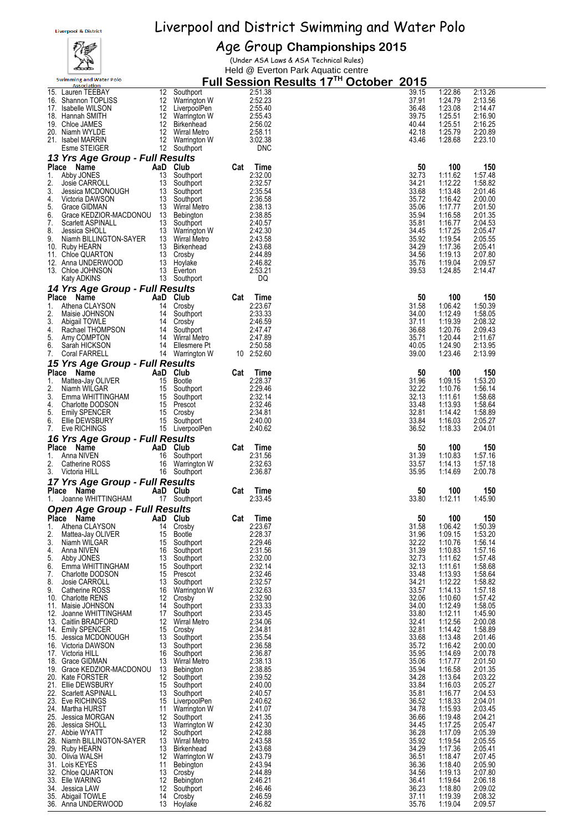### 视学  $\sum_{i=1}^n$ Swimming and Water Polo

## Age Group **Championships 2015**

(Under ASA Laws & ASA Technical Rules) Held @ Everton Park Aquatic centre

|     | <b>Association</b>                                                                                                                                                                                                                         |    |                                                                                                                                |     | <u>FUII SESSION RESUITS 17</u><br><br><b>OCLODEL</b> | <b>ZUTO</b>    |         |         |
|-----|--------------------------------------------------------------------------------------------------------------------------------------------------------------------------------------------------------------------------------------------|----|--------------------------------------------------------------------------------------------------------------------------------|-----|------------------------------------------------------|----------------|---------|---------|
|     | 15. Lauren TEEBAY                                                                                                                                                                                                                          |    | 12 Southport<br>12 Warrington W<br>12 LiverpoolPen<br>12 Warrington W<br>12 Wirral Metro<br>12 Warrington W<br>12 Warrington W |     | 2:51.38                                              | 39.15          | 1:22.86 | 2:13.26 |
|     | 16. Shannon TOPLISS                                                                                                                                                                                                                        |    |                                                                                                                                |     | 2:52.23                                              | 37.91          | 1:24.79 | 2:13.56 |
|     | 17. Isabelle WILSON                                                                                                                                                                                                                        |    |                                                                                                                                |     | 2:55.40                                              | 36.48          | 1:23.08 | 2:14.47 |
|     | 18. Hannah SMITH                                                                                                                                                                                                                           |    |                                                                                                                                |     | 2:55.43                                              | 39.75          | 1:25.51 | 2:16.90 |
|     | 19. Chloe JAMES                                                                                                                                                                                                                            |    |                                                                                                                                |     | 2:56.02                                              | 40.44          | 1:25.51 | 2:16.25 |
|     |                                                                                                                                                                                                                                            |    |                                                                                                                                |     |                                                      |                |         |         |
|     | 20. Niamh WYLDE                                                                                                                                                                                                                            |    |                                                                                                                                |     | 2:58.11                                              | 42.18          | 1:25.79 | 2:20.89 |
|     | 21. Isabel MARRIN                                                                                                                                                                                                                          |    |                                                                                                                                |     | 3:02.38                                              | 43.46          | 1:28.68 | 2:23.10 |
|     | Esme STEIGER                                                                                                                                                                                                                               |    | 12 Southport                                                                                                                   |     | <b>DNC</b>                                           |                |         |         |
|     | 13 Yrs Age Group - Full Results                                                                                                                                                                                                            |    |                                                                                                                                |     |                                                      |                |         |         |
|     |                                                                                                                                                                                                                                            |    | AaD Club                                                                                                                       |     |                                                      | 50             |         | 150     |
|     | Place Name                                                                                                                                                                                                                                 |    |                                                                                                                                | Cat | Time                                                 |                | 100     |         |
| 1.  | Abby JONES                                                                                                                                                                                                                                 | 13 | Southport                                                                                                                      |     | 2:32.00                                              | 32.73          | 1:11.62 | 1:57.48 |
| 2.  | Josie CARROLL<br>Jessica MCDONOUGH<br>Victoria DAWSON 13 Southport<br>Crace GIDMAN 13 Wiral Metro                                                                                                                                          |    |                                                                                                                                |     | 2:32.57                                              | 34.21          | 1:12.22 | 1:58.82 |
| 3.  |                                                                                                                                                                                                                                            |    |                                                                                                                                |     | 2:35.54                                              | 33.68          | 1:13.48 | 2:01.46 |
| 4.  |                                                                                                                                                                                                                                            |    |                                                                                                                                |     | 2:36.58                                              | 35.72          | 1:16.42 | 2:00.00 |
| 5.  |                                                                                                                                                                                                                                            |    |                                                                                                                                |     | 2:38.13                                              | 35.06          | 1:17.77 | 2:01.50 |
| 6.  |                                                                                                                                                                                                                                            |    |                                                                                                                                |     | 2:38.85                                              | 35.94          |         | 2:01.35 |
|     | Grace KEDZIOR-MACDONOU 13 Bebington                                                                                                                                                                                                        |    |                                                                                                                                |     |                                                      |                | 1:16.58 |         |
|     |                                                                                                                                                                                                                                            |    |                                                                                                                                |     | 2:40.57                                              | 35.81          | 1:16.77 | 2:04.53 |
|     |                                                                                                                                                                                                                                            |    |                                                                                                                                |     | 2:42.30                                              | 34.45          | 1:17.25 | 2:05.47 |
|     |                                                                                                                                                                                                                                            |    |                                                                                                                                |     | 2:43.58                                              | 35.92          | 1:19.54 | 2:05.55 |
|     |                                                                                                                                                                                                                                            |    |                                                                                                                                |     | 2:43.68                                              | 34.29          | 1:17.36 | 2:05.41 |
|     |                                                                                                                                                                                                                                            |    |                                                                                                                                |     | 2:44.89                                              | 34.56          | 1:19.13 | 2:07.80 |
|     |                                                                                                                                                                                                                                            |    |                                                                                                                                |     |                                                      |                |         |         |
|     |                                                                                                                                                                                                                                            |    |                                                                                                                                |     | 2:46.82                                              | 35.76          | 1:19.04 | 2:09.57 |
|     |                                                                                                                                                                                                                                            |    |                                                                                                                                |     | 2:53.21                                              | 39.53          | 1:24.85 | 2:14.47 |
|     | 6. Grace KEDZIOR-MACDONOU 13 Bennyon<br>7. Scarlett ASPINALL 13 Southport<br>8. Jessica SHOLL 13 Warrington W<br>9. Niamh BILLINGTON-SAYER 13 Wirral Metro<br>10. Ruby HEARN 13 Birkenhead<br>11. Chloe QUARTON 13 Crosby<br>12. Anna UNDE |    |                                                                                                                                |     | DQ                                                   |                |         |         |
|     | 14 Yrs Age Group - Full Results                                                                                                                                                                                                            |    |                                                                                                                                |     |                                                      |                |         |         |
|     | Place Name                                                                                                                                                                                                                                 |    | AaD Club                                                                                                                       |     |                                                      | 50             |         | 150     |
|     |                                                                                                                                                                                                                                            |    |                                                                                                                                | Cat | Time                                                 |                | 100     |         |
| 1.  | Athena CLAYSON                                                                                                                                                                                                                             |    | 14 Crosby                                                                                                                      |     | 2:23.67                                              | 31.58          | 1:06.42 | 1:50.39 |
| 2.  | Maisie JOHNSON                                                                                                                                                                                                                             |    |                                                                                                                                |     | 2:33.33                                              | 34.00          | 1:12.49 | 1:58.05 |
| 3.  | Abigail TOWLE                                                                                                                                                                                                                              |    | 14 Southport<br>14 Crosby                                                                                                      |     | 2:46.59                                              | 37.11          | 1:19.39 | 2:08.32 |
| 4.  | Rachael THOMPSON                                                                                                                                                                                                                           |    | 14 Southport                                                                                                                   |     | 2:47.47                                              | 36.68          | 1:20.76 | 2:09.43 |
| 5.  | Amy COMPTON                                                                                                                                                                                                                                |    | 14 Wirral Metro                                                                                                                |     | 2:47.89                                              | 35.71          | 1:20.44 | 2:11.67 |
| 6.  | Sarah HICKSON                                                                                                                                                                                                                              |    | 14 Ellesmere Pt                                                                                                                |     | 2:50.58                                              | 40.05          | 1:24.90 | 2:13.95 |
|     | Coral FARRELL                                                                                                                                                                                                                              |    | 14 Warrington W                                                                                                                |     |                                                      | 39.00          |         |         |
| 7.  |                                                                                                                                                                                                                                            |    |                                                                                                                                |     | 10 2:52.60                                           |                | 1:23.46 | 2:13.99 |
|     | 15 Yrs Age Group - Full Results                                                                                                                                                                                                            |    |                                                                                                                                |     |                                                      |                |         |         |
|     | Place Name                                                                                                                                                                                                                                 |    | AaD Club                                                                                                                       | Cat | Time                                                 | 50             | 100     | 150     |
| 1.  | Mattea-Jay OLIVER                                                                                                                                                                                                                          |    | 15 Bootle                                                                                                                      |     | 2:28.37                                              | 31.96          | 1:09.15 | 1:53.20 |
|     |                                                                                                                                                                                                                                            |    |                                                                                                                                |     |                                                      |                |         |         |
| 2.  | Niamh WILGAR                                                                                                                                                                                                                               |    | 15 Southport                                                                                                                   |     | 2:29.46                                              | 32.22          | 1:10.76 | 1:56.14 |
| 3.  | Emma WHITTINGHAM                                                                                                                                                                                                                           |    |                                                                                                                                |     | 2:32.14                                              | 32.13          | 1:11.61 | 1:58.68 |
| 4.  | Charlotte DODSON                                                                                                                                                                                                                           |    | 15 Southport<br>15 Prescot<br>15 Crosby<br>15 Southport                                                                        |     | 2:32.46                                              | 33.48          | 1:13.93 | 1:58.64 |
| 5.  | Emily SPENCER                                                                                                                                                                                                                              |    |                                                                                                                                |     | 2:34.81                                              | 32.81          | 1:14.42 | 1:58.89 |
| 6.  | Ellie DEWSBURY                                                                                                                                                                                                                             |    |                                                                                                                                |     | 2:40.00                                              | 33.84          | 1:16.03 | 2:05.27 |
| 7.  | Eve RICHINGS                                                                                                                                                                                                                               |    | 15 Southport<br>15 LiverpoolPen                                                                                                |     | 2:40.62                                              | 36.52          | 1:18.33 | 2:04.01 |
|     |                                                                                                                                                                                                                                            |    |                                                                                                                                |     |                                                      |                |         |         |
|     | 16 Yrs Age Group - Full Results                                                                                                                                                                                                            |    |                                                                                                                                |     |                                                      |                |         |         |
|     | Place Name                                                                                                                                                                                                                                 |    | AaD Club                                                                                                                       | Cat | Time                                                 | 50             | 100     | 150     |
| 1.  | Anna NIVEN                                                                                                                                                                                                                                 |    | 16 Southport                                                                                                                   |     | 2:31.56                                              | 31.39          | 1:10.83 | 1:57.16 |
| 2.  | Catherine ROSS                                                                                                                                                                                                                             |    | 16 Warrington W                                                                                                                |     | 2:32.63                                              | 33.57          | 1:14.13 | 1:57.18 |
|     | 3. Victoria HILL                                                                                                                                                                                                                           |    | 16 Southport                                                                                                                   |     | 2:36.87                                              | 35.95          | 1:14.69 | 2:00.78 |
|     |                                                                                                                                                                                                                                            |    |                                                                                                                                |     |                                                      |                |         |         |
|     | 17 Yrs Age Group - Full Results                                                                                                                                                                                                            |    |                                                                                                                                |     |                                                      |                |         |         |
|     | Place Name                                                                                                                                                                                                                                 |    | AaD Club                                                                                                                       | Cat | Time                                                 | 50             | 100     | 150     |
| 1.  | Joanne WHITTINGHAM                                                                                                                                                                                                                         |    | 17 Southport                                                                                                                   |     | 2:33.45                                              | 33.80          | 1:12.11 | 1:45.90 |
|     |                                                                                                                                                                                                                                            |    |                                                                                                                                |     |                                                      |                |         |         |
|     | <b>Open Age Group - Full Results</b>                                                                                                                                                                                                       |    |                                                                                                                                |     |                                                      |                |         |         |
|     | Place Name                                                                                                                                                                                                                                 |    | AaD Club                                                                                                                       | Cat | Time                                                 | 50             | 100     | 150     |
| 1.  | Athena CLAYSON                                                                                                                                                                                                                             | 14 | Crosby                                                                                                                         |     | 2:23.67                                              | 31.58          | 1:06.42 | 1:50.39 |
| 2.  | Mattea-Jay OLIVER                                                                                                                                                                                                                          | 15 | Bootle                                                                                                                         |     | 2:28.37                                              | 31.96          | 1:09.15 | 1:53.20 |
| 3.  | Niamh WILGAR                                                                                                                                                                                                                               | 15 | Southport                                                                                                                      |     | 2:29.46                                              |                | 1:10.76 |         |
|     |                                                                                                                                                                                                                                            |    |                                                                                                                                |     |                                                      |                |         |         |
| 4.  | Anna NIVEN                                                                                                                                                                                                                                 | 16 | Southport                                                                                                                      |     |                                                      | 32.22          |         | 1:56.14 |
| 5.  | Abby JONES                                                                                                                                                                                                                                 |    |                                                                                                                                |     | 2:31.56                                              | 31.39          | 1:10.83 | 1:57.16 |
| 6.  |                                                                                                                                                                                                                                            | 13 | Southport                                                                                                                      |     | 2:32.00                                              | 32.73          | 1:11.62 | 1:57.48 |
| 7.  | Emma WHITTINGHAM                                                                                                                                                                                                                           | 15 | Southport                                                                                                                      |     | 2:32.14                                              | 32.13          | 1:11.61 | 1:58.68 |
| 8.  | Charlotte DODSON                                                                                                                                                                                                                           | 15 | Prescot                                                                                                                        |     | 2:32.46                                              | 33.48          | 1:13.93 | 1:58.64 |
| 9.  | Josie CARROLL                                                                                                                                                                                                                              | 13 | Southport                                                                                                                      |     | 2:32.57                                              | 34.21          | 1:12.22 | 1:58.82 |
|     | Catherine ROSS                                                                                                                                                                                                                             | 16 | Warrington W                                                                                                                   |     | 2:32.63                                              | 33.57          | 1:14.13 | 1:57.18 |
|     | 10. Charlotte RENS                                                                                                                                                                                                                         |    |                                                                                                                                |     |                                                      |                |         |         |
|     |                                                                                                                                                                                                                                            | 12 | Crosby                                                                                                                         |     | 2:32.90                                              | 32.06          | 1:10.60 | 1:57.42 |
|     | 11. Maisie JOHNSON                                                                                                                                                                                                                         | 14 | Southport                                                                                                                      |     | 2:33.33                                              | 34.00          | 1:12.49 | 1:58.05 |
| 12. | Joanne WHITTINGHAM                                                                                                                                                                                                                         | 17 | Southport                                                                                                                      |     | 2:33.45                                              | 33.80          | 1:12.11 | 1:45.90 |
|     | 13. Caitlin BRADFORD                                                                                                                                                                                                                       | 12 | Wirral Metro                                                                                                                   |     | 2:34.06                                              | 32.41          | 1:12.56 | 2:00.08 |
|     | 14. Emily SPENCER                                                                                                                                                                                                                          | 15 | Crosby                                                                                                                         |     | 2:34.81                                              | 32.81          | 1:14.42 | 1:58.89 |
|     | 15. Jessica MCDONOUGH                                                                                                                                                                                                                      | 13 | Southport                                                                                                                      |     | 2:35.54                                              | 33.68          | 1:13.48 | 2:01.46 |
|     | 16. Victoria DAWSON                                                                                                                                                                                                                        | 13 | Southport                                                                                                                      |     | 2:36.58                                              | 35.72          | 1:16.42 | 2:00.00 |
|     | 17. Victoria HILL                                                                                                                                                                                                                          | 16 | Southport                                                                                                                      |     |                                                      | 35.95          | 1:14.69 | 2:00.78 |
|     | 18. Grace GIDMAN                                                                                                                                                                                                                           | 13 | Wirral Metro                                                                                                                   |     | 2:36.87<br>2:38.13                                   |                | 1:17.77 | 2:01.50 |
|     |                                                                                                                                                                                                                                            |    |                                                                                                                                |     |                                                      | 35.06          |         |         |
|     | 19. Grace KEDZIOR-MACDONOU                                                                                                                                                                                                                 | 13 | Bebington                                                                                                                      |     | 2:38.85                                              | 35.94          | 1:16.58 | 2:01.35 |
|     | 20. Kate FORSTER                                                                                                                                                                                                                           | 12 | Southport                                                                                                                      |     | 2:39.52                                              | 34.28          | 1:13.64 | 2:03.22 |
|     | 21. Ellie DEWSBURY                                                                                                                                                                                                                         | 15 | Southport                                                                                                                      |     | 2:40.00                                              | 33.84          | 1:16.03 | 2:05.27 |
|     | 22. Scarlett ASPINALL                                                                                                                                                                                                                      | 13 | Southport                                                                                                                      |     | 2:40.57                                              | 35.81          | 1:16.77 | 2:04.53 |
|     | 23. Eve RICHINGS                                                                                                                                                                                                                           | 15 | LiverpoolPen                                                                                                                   |     | 2:40.62                                              | 36.52          | 1:18.33 | 2:04.01 |
|     | 24. Martha HURST                                                                                                                                                                                                                           | 11 | Warrington W                                                                                                                   |     | 2:41.07                                              | 34.78          | 1:15.93 | 2:03.45 |
| 25. | Jessica MORGAN                                                                                                                                                                                                                             | 12 | Southport                                                                                                                      |     | 2:41.35                                              | 36.66          | 1:19.48 | 2:04.21 |
|     | 26. Jessica SHOLL                                                                                                                                                                                                                          | 13 | Warrington W                                                                                                                   |     | 2:42.30                                              | 34.45          | 1:17.25 | 2:05.47 |
|     |                                                                                                                                                                                                                                            |    |                                                                                                                                |     |                                                      |                |         |         |
|     | 27. Abbie WYATT                                                                                                                                                                                                                            | 12 | Southport                                                                                                                      |     | 2:42.88                                              | 36.28          | 1:17.09 | 2:05.39 |
| 28. | Niamh BILLINGTON-SAYER                                                                                                                                                                                                                     | 13 | <b>Wirral Metro</b>                                                                                                            |     | 2:43.58                                              | 35.92          | 1:19.54 | 2:05.55 |
|     | 29. Ruby HEARN                                                                                                                                                                                                                             | 13 | Birkenhead                                                                                                                     |     | 2:43.68                                              | 34.29          | 1:17.36 | 2:05.41 |
|     | 30. Olivia WALSH                                                                                                                                                                                                                           | 12 | Warrington W                                                                                                                   |     | 2:43.79                                              | 36.51          | 1:18.47 | 2:07.45 |
|     | 31. Lois KEYES                                                                                                                                                                                                                             | 11 | Bebington                                                                                                                      |     | 2:43.94                                              | 36.36          | 1:18.40 | 2:05.90 |
|     | 32. Chloe QUARTON                                                                                                                                                                                                                          | 13 | Crosby                                                                                                                         |     | 2:44.89                                              | 34.56          | 1:19.13 | 2:07.80 |
| 33. | Elle WARING                                                                                                                                                                                                                                | 12 | Bebington                                                                                                                      |     | 2:46.21                                              | 36.41          | 1:19.64 | 2:06.18 |
| 34. | Jessica LAW                                                                                                                                                                                                                                | 12 |                                                                                                                                |     | 2:46.46                                              | 36.23          | 1:18.80 | 2:09.02 |
|     | 35. Abigail TOWLE                                                                                                                                                                                                                          | 14 | Southport<br>Crosby                                                                                                            |     | 2:46.59                                              | 37.11<br>35.76 | 1:19.39 | 2:08.32 |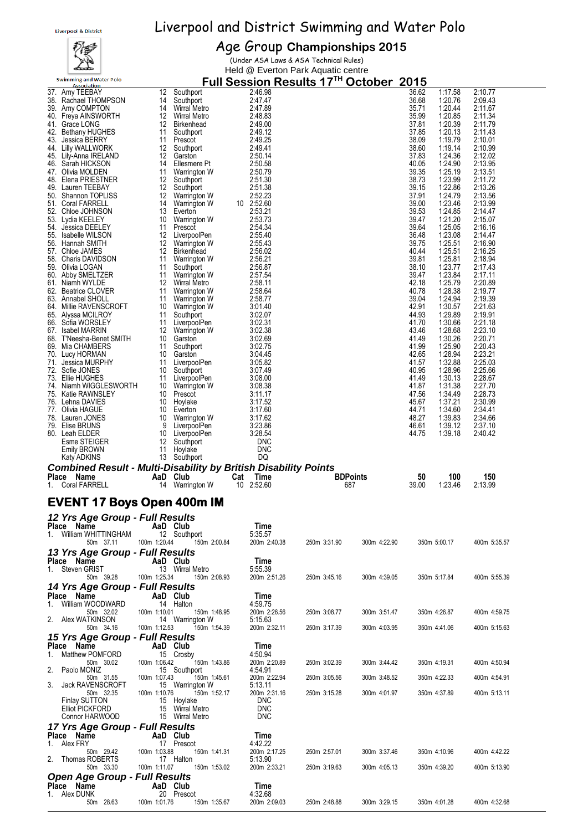## ∡

## Liverpool & District Swimming and Water Polo

#### Age Group **Championships 2015**

(Under ASA Laws & ASA Technical Rules) Held @ Everton Park Aquatic centre

| <b>Swimming and Water Polo</b><br><b>Association</b>                   |                |                                     |                              | Full Session Results 17TH October 2015 |              |                |                    |                    |  |
|------------------------------------------------------------------------|----------------|-------------------------------------|------------------------------|----------------------------------------|--------------|----------------|--------------------|--------------------|--|
| 37. Amy TEEBAY                                                         | 12             | Southport                           | 2:46.98                      |                                        |              | 36.62          | 1:17.58            | 2:10.77            |  |
| 38. Rachael THOMPSON<br>39. Amy COMPTON                                | 14<br>14       | Southport<br>Wirral Metro           | 2:47.47<br>2:47.89           |                                        |              | 36.68<br>35.71 | 1:20.76<br>1:20.44 | 2:09.43<br>2:11.67 |  |
| 40. Freya AINSWORTH                                                    | 12             | <b>Wirral Metro</b>                 | 2:48.83                      |                                        |              | 35.99          | 1:20.85            | 2:11.34            |  |
| 41. Grace LONG                                                         | 12             | Birkenhead                          | 2:49.00                      |                                        |              | 37.81          | 1:20.39            | 2:11.79            |  |
| 42.<br><b>Bethany HUGHES</b>                                           | 11             | Southport<br>Prescot                | 2:49.12<br>2:49.25           |                                        |              | 37.85<br>38.09 | 1:20.13<br>1:19.79 | 2:11.43<br>2:10.01 |  |
| Jessica BERRY<br>43.<br>44. Lilly WALLWORK                             | 11<br>12       | Southport                           | 2:49.41                      |                                        |              | 38.60          | 1:19.14            | 2:10.99            |  |
| 45. Lily-Anna IRELAND                                                  | 12             | Garston                             | 2:50.14                      |                                        |              | 37.83          | 1:24.36            | 2:12.02            |  |
| 46. Sarah HICKSON<br>47. Olivia MOLDEN                                 | 14<br>11       | Ellesmere Pt<br>Warrington W        | 2:50.58<br>2:50.79           |                                        |              | 40.05<br>39.35 | 1:24.90<br>1:25.19 | 2:13.95<br>2:13.51 |  |
| Elena PRIESTNER<br>48.                                                 | 12             | Southport                           | 2:51.30                      |                                        |              | 38.73          | 1:23.99            | 2:11.72            |  |
| Lauren TEEBAY<br>49.                                                   | 12             | Southport                           | 2:51.38                      |                                        |              | 39.15          | 1:22.86            | 2:13.26            |  |
| 50. Shannon TOPLISS                                                    | 12<br>14       | Warrington W<br><b>Warrington W</b> | 2:52.23                      |                                        |              | 37.91<br>39.00 | 1:24.79<br>1:23.46 | 2:13.56<br>2:13.99 |  |
| 51. Coral FARRELL<br>Chloe JOHNSON<br>52.                              | 13             | Everton                             | 10 2:52.60<br>2:53.21        |                                        |              | 39.53          | 1:24.85            | 2:14.47            |  |
| 53.<br>Lydia KEELEY                                                    | 10             | Warrington W                        | 2:53.73                      |                                        |              | 39.47          | 1:21.20            | 2:15.07            |  |
| 54.<br>Jessica DEELEY<br>55. Isabelle WILSON                           | 11<br>12       | Prescot<br>LiverpoolPen             | 2:54.34<br>2:55.40           |                                        |              | 39.64<br>36.48 | 1:25.05<br>1:23.08 | 2:16.16<br>2:14.47 |  |
| 56. Hannah SMITH                                                       | 12             | Warrington W                        | 2:55.43                      |                                        |              | 39.75          | 1:25.51            | 2:16.90            |  |
| 57. Chloe JAMES                                                        | 12             | Birkenhead                          | 2:56.02                      |                                        |              | 40.44          | 1:25.51            | 2:16.25            |  |
| 58. Charis DAVIDSON<br>59. Olivia LOGAN                                | 11<br>11       | Warrington W<br>Southport           | 2:56.21<br>2:56.87           |                                        |              | 39.81<br>38.10 | 1:25.81<br>1:23.77 | 2:18.94<br>2:17.43 |  |
| Abby SMELTZER<br>60.                                                   | 11             | <b>Warrington W</b>                 | 2:57.54                      |                                        |              | 39.47          | 1:23.84            | 2:17.11            |  |
| 61.<br>Niamh WYLDE                                                     | 12             | <b>Wirral Metro</b>                 | 2:58.11                      |                                        |              | 42.18          | 1:25.79            | 2:20.89            |  |
| 62.<br><b>Beatrice CLOVER</b><br>63. Annabel SHOLL                     | 11<br>11       | Warrington W<br>Warrington W        | 2:58.64<br>2:58.77           |                                        |              | 40.78<br>39.04 | 1:28.38<br>1:24.94 | 2:19.77<br>2:19.39 |  |
| Millie RAVENSCROFT<br>64.                                              | 10             | Warrington W                        | 3:01.40                      |                                        |              | 42.91          | 1:30.57            | 2:21.63            |  |
| 65.<br>Alyssa MCILROY                                                  | 11             | Southport                           | 3:02.07                      |                                        |              | 44.93          | 1:29.89            | 2:19.91            |  |
| 66. Sofia WORSLEY<br>67. Isabel MARRIN                                 | 11<br>12       | LiverpoolPen<br>Warrington W        | 3:02.31<br>3:02.38           |                                        |              | 41.70<br>43.46 | 1:30.66<br>1:28.68 | 2:21.18<br>2:23.10 |  |
| 68. T'Neesha-Benet SMITH                                               | 10             | Garston                             | 3:02.69                      |                                        |              | 41.49          | 1:30.26            | 2:20.71            |  |
| 69. Mia CHAMBERS                                                       | 11             | Southport                           | 3:02.75                      |                                        |              | 41.99          | 1:25.90            | 2:20.43            |  |
| 70.<br>Lucy HORMAN<br>Jessica MURPHY<br>71.                            | 10<br>11       | Garston<br>LiverpoolPen             | 3:04.45<br>3:05.82           |                                        |              | 42.65<br>41.57 | 1:28.94<br>1:32.88 | 2:23.21<br>2:25.03 |  |
| 72. Sofie JONES                                                        | 10             | Southport                           | 3:07.49                      |                                        |              | 40.95          | 1:28.96            | 2:25.66            |  |
| 73.<br>Ellie HUGHES<br>Niamh WIGGLESWORTH<br>74.                       | 11<br>10       | LiverpoolPen                        | 3:08.00<br>3:08.38           |                                        |              | 41.49<br>41.87 | 1:30.13<br>1:31.38 | 2:28.67<br>2:27.70 |  |
| <b>Katie RAWNSLEY</b><br>75.                                           | 10             | Warrington W<br>Prescot             | 3:11.17                      |                                        |              | 47.56          | 1:34.49            | 2:28.73            |  |
| 76. Lehna DAVIES                                                       | 10             | Hoylake                             | 3:17.52                      |                                        |              | 45.67          | 1:37.21            | 2:30.99            |  |
| 77. Olivia HAGUE<br>Lauren JONES<br>78.                                | 10<br>10       | Everton<br>Warrington W             | 3:17.60<br>3:17.62           |                                        |              | 44.71<br>48.27 | 1:34.60<br>1:39.83 | 2:34.41<br>2:34.66 |  |
| 79. Elise BRUNS                                                        | 9              | LiverpoolPen                        | 3:23.86                      |                                        |              | 46.61          | 1:39.12            | 2:37.10            |  |
| 80. Leah ELDER                                                         | 10             | LiverpoolPen                        | 3:28.54                      |                                        |              | 44.75          | 1:39.18            | 2:40.42            |  |
|                                                                        |                |                                     |                              |                                        |              |                |                    |                    |  |
| Esme STEIGER                                                           | 12             | Southport                           | <b>DNC</b>                   |                                        |              |                |                    |                    |  |
| Emily BROWN<br><b>Katy ADKINS</b>                                      | 11             | Hoylake<br>13 Southport             | <b>DNC</b><br>DQ             |                                        |              |                |                    |                    |  |
| <b>Combined Result - Multi-Disability by British Disability Points</b> |                |                                     |                              |                                        |              |                |                    |                    |  |
| Place Name<br>1.<br><b>Coral FARRELL</b>                               | AaD Club<br>14 | Warrington W                        | Time<br>Cat<br>10<br>2:52.60 | <b>BDPoints</b><br>687                 |              | 50<br>39.00    | 100<br>1:23.46     | 150<br>2:13.99     |  |
|                                                                        |                |                                     |                              |                                        |              |                |                    |                    |  |
| <b>EVENT 17 Boys Open 400m IM</b>                                      |                |                                     |                              |                                        |              |                |                    |                    |  |
| 12 Yrs Age Group - Full Results                                        |                |                                     |                              |                                        |              |                |                    |                    |  |
| Place Name                                                             | AaD Club       |                                     | Time                         |                                        |              |                |                    |                    |  |
| 1. William WHITTINGHAM<br>50m 37.11                                    | 100m 1:20.44   | 12 Southport<br>150m 2:00.84        | 5:35.57<br>200m 2:40.38      | 250m 3:31.90                           | 300m 4:22.90 |                | 350m 5:00.17       | 400m 5:35.57       |  |
| 13 Yrs Age Group - Full Results                                        |                |                                     |                              |                                        |              |                |                    |                    |  |
| Place Name                                                             | AaD Club       |                                     | Time                         |                                        |              |                |                    |                    |  |
| 1. Steven GRIST                                                        | 100m 1:25.34   | 13 Wirral Metro<br>150m 2:08.93     | 5:55.39<br>200m 2:51.26      | 250m 3:45.16                           | 300m 4:39.05 |                | 350m 5:17.84       | 400m 5:55.39       |  |
| 50m 39.28<br>14 Yrs Age Group - Full Results                           |                |                                     |                              |                                        |              |                |                    |                    |  |
| Place Name                                                             | AaD Club       |                                     | Time                         |                                        |              |                |                    |                    |  |
| William WOODWARD<br>1.                                                 |                | 14 Halton                           | 4:59.75                      |                                        |              |                |                    |                    |  |
| 50m 32.02<br>2. Alex WATKINSON                                         | 100m 1:10.01   | 150m 1:48.95<br>14 Warrington W     | 200m 2:26.56<br>5:15.63      | 250m 3:08.77                           | 300m 3:51.47 |                | 350m 4:26.87       | 400m 4:59.75       |  |
| 50m 34.16                                                              | 100m 1:12.53   | 150m 1:54.39                        | 200m 2:32.11                 | 250m 3:17.39                           | 300m 4:03.95 |                | 350m 4:41.06       | 400m 5:15.63       |  |
| 15 Yrs Age Group - Full Results                                        |                |                                     |                              |                                        |              |                |                    |                    |  |
| Place Name<br>Matthew POMFORD<br>1.                                    | AaD Club       | 15 Crosby                           | Time<br>4:50.94              |                                        |              |                |                    |                    |  |
| 50m 30.02                                                              | 100m 1:06.42   | 150m 1:43.86                        | 200m 2:20.89                 | 250m 3:02.39                           | 300m 3:44.42 |                | 350m 4:19.31       | 400m 4:50.94       |  |
| Paolo MONIZ<br>2.<br>50m 31.55                                         | 100m 1:07.43   | 15 Southport<br>150m 1:45.61        | 4:54.91<br>200m 2:22.94      | 250m 3:05.56                           | 300m 3:48.52 |                | 350m 4:22.33       | 400m 4:54.91       |  |
| <b>Jack RAVENSCROFT</b><br>3.                                          |                | 15 Warrington W                     | 5:13.11                      |                                        |              |                |                    |                    |  |
| 50m 32.35<br><b>Finlay SUTTON</b>                                      | 100m 1:10.76   | 150m 1:52.17<br>15 Hoylake          | 200m 2:31.16<br><b>DNC</b>   | 250m 3:15.28                           | 300m 4:01.97 |                | 350m 4:37.89       | 400m 5:13.11       |  |
| <b>Elliot PICKFORD</b>                                                 |                | 15 Wirral Metro                     | <b>DNC</b>                   |                                        |              |                |                    |                    |  |
| Connor HARWOOD                                                         |                | 15 Wirral Metro                     | <b>DNC</b>                   |                                        |              |                |                    |                    |  |
| 17 Yrs Age Group - Full Results<br>Place Name                          | AaD Club       |                                     | Time                         |                                        |              |                |                    |                    |  |
| 1. Alex FRY                                                            |                | 17 Prescot                          | 4:42.22                      |                                        |              |                |                    |                    |  |
| 50m 29.42<br>2. Thomas ROBERTS                                         | 100m 1:03.88   | 150m 1:41.31<br>17 Halton           | 200m 2:17.25<br>5:13.90      | 250m 2:57.01                           | 300m 3:37.46 |                | 350m 4:10.96       | 400m 4:42.22       |  |
| 50m 33.30                                                              | 100m 1:11.07   | 150m 1:53.02                        | 200m 2:33.21                 | 250m 3:19.63                           | 300m 4:05.13 |                | 350m 4:39.20       | 400m 5:13.90       |  |
| <b>Open Age Group - Full Results</b>                                   |                |                                     |                              |                                        |              |                |                    |                    |  |
| Place Name<br>1. Alex DUNK                                             | AaD Club       | 20 Prescot                          | Time<br>4:32.68              |                                        |              |                |                    |                    |  |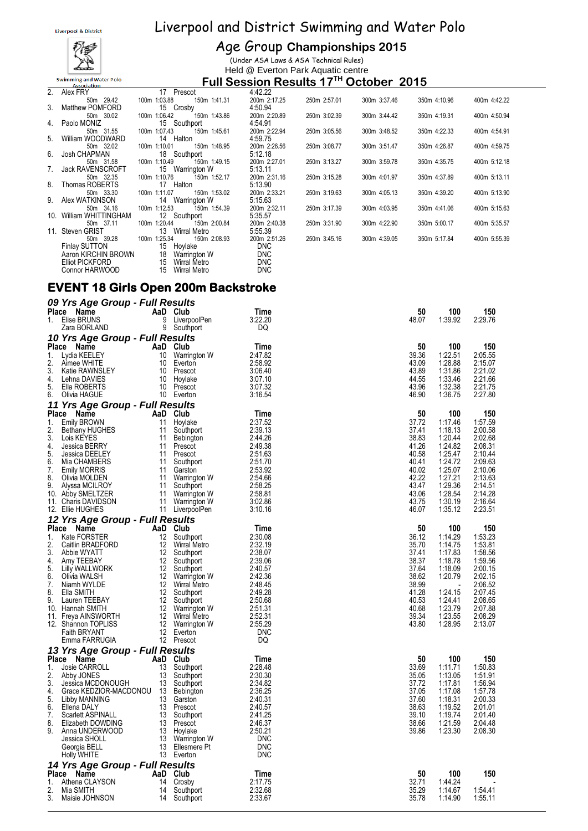

| <b>8</b> District |  | Liverpool and District Swimming and Water Polo |  |  |
|-------------------|--|------------------------------------------------|--|--|
|                   |  |                                                |  |  |

#### Age Group **Championships 2015**

(Under ASA Laws & ASA Technical Rules) Held @ Everton Park Aquatic centre

#### **Full Session Results 17 TH October 2015**

| 2. | Alex FRY                | 17 Prescot                      | 4:42.22      |              |              |              |              |
|----|-------------------------|---------------------------------|--------------|--------------|--------------|--------------|--------------|
|    | 50m 29.42               | 100m 1:03.88<br>150m 1:41.31    | 200m 2:17.25 | 250m 2:57.01 | 300m 3:37.46 | 350m 4:10.96 | 400m 4:42.22 |
| 3. | <b>Matthew POMFORD</b>  | 15 Crosby                       | 4:50.94      |              |              |              |              |
|    | 50m 30.02               | 100m 1:06.42<br>150m 1:43.86    | 200m 2:20.89 | 250m 3:02.39 | 300m 3:44.42 | 350m 4:19.31 | 400m 4:50.94 |
|    | 4. Paolo MONIZ          | 15 Southport                    | 4:54.91      |              |              |              |              |
|    | 50m 31.55               | 100m 1:07.43<br>150m 1:45.61    | 200m 2:22.94 | 250m 3:05.56 | 300m 3:48.52 | 350m 4:22.33 | 400m 4:54.91 |
| 5. | William WOODWARD        | 14 Halton                       | 4:59.75      |              |              |              |              |
|    | 50m 32.02               | 1:10.01<br>150m 1:48.95<br>100m | 200m 2:26.56 | 250m 3:08.77 | 300m 3:51.47 | 350m 4:26.87 | 400m 4:59.75 |
|    | 6. Josh CHAPMAN         | 18 Southport                    | 5:12.18      |              |              |              |              |
|    | 50m 31.58               | 100m 1:10.49<br>150m 1:49.15    | 200m 2:27.01 | 250m 3:13.27 | 300m 3:59.78 | 350m 4:35.75 | 400m 5:12.18 |
| 7. | <b>Jack RAVENSCROFT</b> | 15<br>Warrington W              | 5:13.11      |              |              |              |              |
|    | 50m 32.35               | 100m 1:10.76<br>150m 1:52.17    | 200m 2:31.16 | 250m 3:15.28 | 300m 4:01.97 | 350m 4:37.89 | 400m 5:13.11 |
|    | 8. Thomas ROBERTS       | 17 Halton                       | 5:13.90      |              |              |              |              |
|    | 50m 33.30               | 100m 1:11.07<br>150m 1:53.02    | 200m 2:33.21 | 250m 3:19.63 | 300m 4:05.13 | 350m 4:39.20 | 400m 5:13.90 |
|    | 9. Alex WATKINSON       | 14 Warrington W                 | 5:15.63      |              |              |              |              |
|    | 50m 34.16               | 100m 1:12.53<br>150m 1:54.39    | 200m 2:32.11 | 250m 3:17.39 | 300m 4:03.95 | 350m 4:41.06 | 400m 5:15.63 |
|    | 10. William WHITTINGHAM | 12 Southport                    | 5:35.57      |              |              |              |              |
|    | 50m 37.11               | 100m 1:20.44<br>150m 2:00.84    | 200m 2:40.38 | 250m 3:31.90 | 300m 4:22.90 | 350m 5:00.17 | 400m 5:35.57 |
|    | 11. Steven GRIST        | 13 Wirral Metro                 | 5:55.39      |              |              |              |              |
|    | 50m 39.28               | 100m 1:25.34<br>150m 2:08.93    | 200m 2:51.26 | 250m 3:45.16 | 300m 4:39.05 | 350m 5:17.84 | 400m 5:55.39 |
|    | Finlay SUTTON           | 15 Hoylake                      | DNC.         |              |              |              |              |
|    | Aaron KIRCHIN BROWN     | 18 Warrington W                 | DNC          |              |              |              |              |
|    | Elliot PICKFORD         | 15 Wirral Metro                 | <b>DNC</b>   |              |              |              |              |

#### Connor HARWOOD 15 Wirral Metro DNC **EVENT 18 Girls Open 200m Backstroke**

|              | 09 Yrs Age Group - Full Results          |                |                                     |                    |                |                    |                    |
|--------------|------------------------------------------|----------------|-------------------------------------|--------------------|----------------|--------------------|--------------------|
|              | Place Name                               | AaD Club       |                                     | Time               | 50             | 100                | 150                |
| 1.           | Elise BRUNS                              | 9<br>9         | LiverpoolPen                        | 3:22.20            | 48.07          | 1.39.92            | 2:29.76            |
|              | Zara BORLAND                             |                | Southport                           | DQ                 |                |                    |                    |
|              | 10 Yrs Age Group - Full Results          |                |                                     |                    | 50             | 100                |                    |
| Place<br>1.  | Name<br>Lydia KEELEY                     | AaD Club<br>10 | Warrington W                        | Time<br>2:47.82    | 39.36          | 1:22.51            | 150<br>2:05.55     |
| 2.           | Aimee WHITE                              | 10             | Everton                             | 2:58.92            | 43.09          | 1:28.88            | 2:15.07            |
| 3.           | Katie RAWNSLEY                           |                | 10 Prescot                          | 3:06.40            | 43.89          | 1:31.86            | 2:21.02            |
| 4.           | Lehna DAVIES                             | 10             | Hoylake                             | 3:07.10            | 44.55          | 1:33.46            | 2:21.66            |
| 5.           | Ella ROBERTS                             | 10             | Prescot                             | 3:07.32            | 43.96          | 1:32.38            | 2:21.75            |
| 6.           | Olivia HAGUE                             |                | 10 Everton                          | 3:16.54            | 46.90          | 1:36.75            | 2:27.80            |
|              | 11 Yrs Age Group - Full Results          |                |                                     |                    |                |                    |                    |
| Place        | Name                                     | AaD Club       |                                     | Time               | 50             | 100                | 150                |
| 1.<br>2.     | Emily BROWN                              | 11             | Hoylake                             | 2:37.52            | 37.72          | 1:17.46            | 1:57.59            |
| 3.           | <b>Bethany HUGHES</b><br>Lois KEYES      | 11<br>11       | Southport<br>Bebington              | 2:39.13<br>2:44.26 | 37.41<br>38.83 | 1:18.13<br>1.20.44 | 2:00.58<br>2:02.68 |
| 4.           | Jessica BERRY                            | 11             | Prescot                             | 2:49.38            | 41.26          | 1:24.82            | 2:08.31            |
| 5.           | Jessica DEELEY                           | 11             | Prescot                             | 2:51.63            | 40.58          | 1:25.47            | 2:10.44            |
| 6.           | Mia CHAMBERS                             | 11             | Southport                           | 2:51.70            | 40.41          | 1:24.72            | 2:09.63            |
| 7.           | <b>Emily MORRIS</b>                      | 11             | Garston                             | 2:53.92            | 40.02          | 1:25.07            | 2:10.06            |
| 8.           | Olivia MOLDEN                            | 11             | Warrington W                        | 2:54.66            | 42.22          | 1:27.21            | 2:13.63            |
| 9.           | Alyssa MCILROY                           | 11<br>11       | Southport                           | 2:58.25            | 43.47<br>43.06 | 1:29.36<br>1:28.54 | 2:14.51            |
|              | 10. Abby SMELTZER<br>11. Charis DAVIDSON | 11             | Warrington W<br>Warrington W        | 2:58.81<br>3:02.86 | 43.75          | 1:30.19            | 2:14.28<br>2:16.64 |
|              | 12. Ellie HUGHES                         | 11             | LiverpoolPen                        | 3:10.16            | 46.07          | 1:35.12            | 2:23.51            |
|              | 12 Yrs Age Group - Full Results          |                |                                     |                    |                |                    |                    |
| Place        | Name                                     | AaD            | Club                                | Time               | 50             | 100                | 150                |
| 1.           | Kate FORSTER                             | 12             | Southport                           | 2:30.08            | 36.12          | 1:14.29            | 1:53.23            |
| 2.           | Caitlin BRADFORD                         | 12             | Wirral Metro                        | 2:32.19            | 35.70          | 1:14.75            | 1:53.81            |
| 3.           | Abbie WYATT                              | 12             | Southport                           | 2:38.07            | 37.41          | 1:17.83            | 1:58.56            |
| 4.           | Amy TEEBAY                               | 12             | Southport                           | 2:39.06            | 38.37          | 1:18.78            | 1:59.56            |
| 5.           | Lilly WALLWORK                           | 12             | Southport                           | 2:40.57            | 37.64          | 1:18.09            | 2:00.15            |
| 6.<br>7.     | Olivia WALSH<br>Niamh WYLDE              | 12<br>12       | Warrington W<br><b>Wirral Metro</b> | 2:42.36<br>2:48.45 | 38.62<br>38.99 | 1:20.79            | 2:02.15<br>2:06.52 |
| 8.           | Ella SMITH                               | 12             | Southport                           | 2:49.28            | 41.28          | 1:24.15            | 2:07.45            |
| 9.           | Lauren TEEBAY                            | 12             | Southport                           | 2:50.68            | 40.53          | 1:24.41            | 2:08.65            |
|              | 10. Hannah SMITH                         | 12             | Warrington W                        | 2:51.31            | 40.68          | 1:23.79            | 2:07.88            |
|              | 11. Freya AINSWORTH                      | 12             | Wirral Metro                        | 2:52.31            | 39.34          | 1:23.55            | 2:08.29            |
|              | 12. Shannon TOPLISS                      | 12             | Warrington W                        | 2:55.29            | 43.80          | 1:28.95            | 2:13.07            |
|              | <b>Faith BRYANT</b>                      | 12             | Everton                             | <b>DNC</b>         |                |                    |                    |
|              | Emma FARRUGIA                            |                | 12 Prescot                          | DQ                 |                |                    |                    |
|              | 13 Yrs Age Group - Full Results          |                |                                     |                    |                |                    |                    |
| 1.           | Place Name<br>Josie CARROLL              | AaD.<br>13     | Club                                | Time<br>2:28.48    | 50<br>33.69    | 100<br>1:11.71     | 150<br>1:50.83     |
| 2.           | Abby JONES                               | 13             | Southport<br>Southport              | 2:30.30            | 35.05          | 1:13.05            | 1:51.91            |
| 3.           | Jessica MCDONOUGH                        | 13             | Southport                           | 2:34.82            | 37.72          | 1:17.81            | 1:56.94            |
| 4.           | Grace KEDZIOR-MACDONOU                   | - 13           | Bebington                           | 2:36.25            | 37.05          | 1:17.08            | 1:57.78            |
| 5.           | Libby MANNING                            | 13             | Garston                             | 2:40.31            | 37.60          | 1:18.31            | 2:00.33            |
| 6.           | Ellena DALY                              | 13             | Prescot                             | 2:40.57            | 38.63          | 1:19.52            | 2:01.01            |
| 7.           | Scarlett ASPINALL                        | 13             | Southport                           | 2:41.25            | 39.10          | 1:19.74            | 2:01.40            |
| 8.<br>9.     | Elizabeth DOWDING                        | 13             | Prescot<br>13 Hoylake               | 2:46.37<br>2:50.21 | 38.66<br>39.86 | 1:21.59            | 2:04.48<br>2:08.30 |
|              | Anna UNDERWOOD<br>Jessica SHOLL          | 13             | Warrington W                        | <b>DNC</b>         |                | 1:23.30            |                    |
|              | Georgia BELL                             | 13             | Ellesmere Pt                        | <b>DNC</b>         |                |                    |                    |
|              | Holly WHITE                              |                | 13 Everton                          | <b>DNC</b>         |                |                    |                    |
|              | 14 Yrs Age Group - Full Results          |                |                                     |                    |                |                    |                    |
| <b>Place</b> | Name                                     | AaD            | Club                                | Time               | 50             | 100                | 150                |
| 1.           | Athena CLAYSON                           | 14             | Crosby                              | 2:17.75            | 32.71          | 1:44.24            |                    |
| 2.           | Mia SMITH                                | 14             | Southport                           | 2:32.68            | 35.29          | 1:14.67            | 1:54.41            |
| 3.           | Maisie JOHNSON                           | 14             | Southport                           | 2:33.67            | 35.78          | 1:14.90            | 1:55.11            |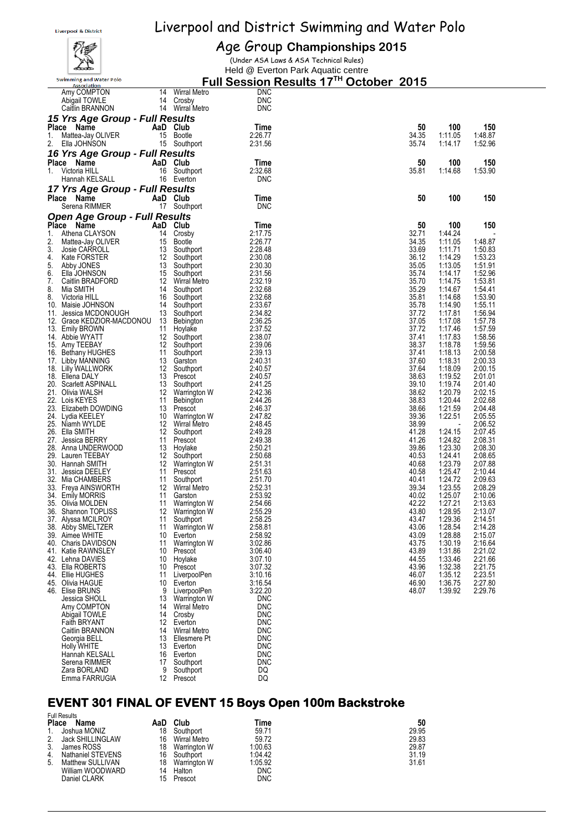

#### Age Group **Championships 2015**

(Under ASA Laws & ASA Technical Rules)

Held @ Everton Park Aquatic centre

|          | <b>Swimming and Water Polo</b><br>Association |          |                                 |                          | Full Session Results 17 <sup>™</sup> October 2015 |                    |                    |
|----------|-----------------------------------------------|----------|---------------------------------|--------------------------|---------------------------------------------------|--------------------|--------------------|
|          | Amy COMPTON                                   | 14       | <b>Wirral Metro</b>             | <b>DNC</b>               |                                                   |                    |                    |
|          | Abigail TOWLE                                 |          | 14 Crosby                       | <b>DNC</b>               |                                                   |                    |                    |
|          | Caitlin BRANNON                               |          | 14 Wirral Metro                 | <b>DNC</b>               |                                                   |                    |                    |
|          | 15 Yrs Age Group - Full Results<br>Place Name |          | AaD Club                        | Time                     | 50                                                | 100                | 150                |
| 1.       | Mattea-Jay OLIVER                             |          | 15 Bootle                       | 2:26.77                  | 34.35                                             | 1:11.05            | 1:48.87            |
| 2.       | Ella JOHNSON                                  |          | 15 Southport                    | 2:31.56                  | 35.74                                             | 1:14.17            | 1:52.96            |
|          | 16 Yrs Age Group - Full Results               |          |                                 |                          |                                                   |                    |                    |
|          | Place Name                                    |          | AaD Club                        | Time                     | 50                                                | 100                | 150                |
| 1.       | Victoria HILL                                 |          | 16 Southport                    | 2:32.68                  | 35.81                                             | 1:14.68            | 1:53.90            |
|          | Hannah KELSALL                                |          | 16 Everton                      | <b>DNC</b>               |                                                   |                    |                    |
|          | 17 Yrs Age Group - Full Results               |          |                                 |                          |                                                   | 100                |                    |
|          | Place Name<br>Serena RIMMER                   |          | AaD Club<br>17 Southport        | Time<br><b>DNC</b>       | 50                                                |                    | 150                |
|          | <b>Open Age Group - Full Results</b>          |          |                                 |                          |                                                   |                    |                    |
|          | Place Name                                    |          | AaD Club                        | Time                     | 50                                                | 100                | 150                |
| 1.       | Athena CLAYSON                                |          | 14 Crosby                       | 2:17.75                  | 32.71                                             | 1:44.24            |                    |
| 2.       | Mattea-Jay OLIVER                             | 15       | Bootle                          | 2:26.77                  | 34.35                                             | 1:11.05            | 1:48.87            |
| 3.<br>4. | Josie CARROLL<br>Kate FORSTER                 | 13<br>12 | Southport                       | 2:28.48<br>2:30.08       | 33.69<br>36.12                                    | 1:11.71<br>1:14.29 | 1:50.83<br>1:53.23 |
| 5.       | Abby JONES                                    | 13       | Southport<br>Southport          | 2:30.30                  | 35.05                                             | 1:13.05            | 1:51.91            |
| 6.       | Ella JOHNSON                                  |          | 15 Southport                    | 2:31.56                  | 35.74                                             | 1:14.17            | 1:52.96            |
| 7.       | Caitlin BRADFORD                              | 12       | Wirral Metro                    | 2:32.19                  | 35.70                                             | 1:14.75            | 1:53.81            |
| 8.<br>8. | Mia SMITH<br>Victoria HILL                    | 14<br>16 | Southport                       | 2:32.68<br>2:32.68       | 35.29<br>35.81                                    | 1:14.67<br>1:14.68 | 1:54.41            |
|          | 10. Maisie JOHNSON                            | 14       | Southport<br>Southport          | 2:33.67                  | 35.78                                             | 1:14.90            | 1:53.90<br>1:55.11 |
|          | 11. Jessica MCDONOUGH                         | 13       | Southport                       | 2:34.82                  | 37.72                                             | 1:17.81            | 1:56.94            |
|          | 12. Grace KEDZIOR-MACDONOU                    | 13       | Bebington                       | 2:36.25                  | 37.05                                             | 1:17.08            | 1:57.78            |
|          | 13. Emily BROWN                               | 11       | Hoylake                         | 2:37.52                  | 37.72                                             | 1:17.46            | 1:57.59            |
|          | 14.Abbie WYATT<br>15. Amy TEEBAY              | 12<br>12 | Southport<br>Southport          | 2:38.07<br>2:39.06       | 37.41<br>38.37                                    | 1:17.83<br>1:18.78 | 1:58.56<br>1:59.56 |
|          | 16. Bethany HUGHES                            | 11       | Southport                       | 2:39.13                  | 37.41                                             | 1:18.13            | 2:00.58            |
|          | 17. Libby MANNING                             | 13       | Garston                         | 2:40.31                  | 37.60                                             | 1:18.31            | 2:00.33            |
|          | 18. Lilly WALLWORK                            | 12       | Southport                       | 2:40.57                  | 37.64                                             | 1:18.09            | 2:00.15            |
|          | 18. Ellena DALY<br>20. Scarlett ASPINALL      | 13       | 13 Prescot<br>Southport         | 2:40.57<br>2:41.25       | 38.63<br>39.10                                    | 1:19.52<br>1:19.74 | 2:01.01<br>2:01.40 |
|          | 21.   Olivia WALSH                            | 12       | Warrington W                    | 2:42.36                  | 38.62                                             | 1:20.79            | 2:02.15            |
|          | 22. Lois KEYES                                | 11       | Bebington                       | 2:44.26                  | 38.83                                             | 1:20.44            | 2:02.68            |
|          | 23. Elizabeth DOWDING                         | 13       | Prescot                         | 2:46.37                  | 38.66                                             | 1:21.59            | 2:04.48            |
|          | 24. Lydia KEELEY<br>25. Niamh WYLDE           | 10       | Warrington W<br>12 Wirral Metro | 2:47.82<br>2:48.45       | 39.36<br>38.99                                    | 1:22.51            | 2:05.55<br>2:06.52 |
|          | 26. Ella SMITH                                | 12       | Southport                       | 2:49.28                  | 41.28                                             | 1:24.15            | 2:07.45            |
|          | 27. Jessica BERRY                             | 11       | Prescot                         | 2:49.38                  | 41.26                                             | 1:24.82            | 2:08.31            |
|          | 28. Anna UNDERWOOD                            | 13       | Hoylake                         | 2:50.21                  | 39.86                                             | 1:23.30            | 2:08.30            |
|          | 29. Lauren TEEBAY<br>30. Hannah SMITH         | 12<br>12 | Southport<br>Warrington W       | 2:50.68<br>2:51.31       | 40.53<br>40.68                                    | 1:24.41<br>1:23.79 | 2:08.65<br>2:07.88 |
|          | 31. Jessica DEELEY                            | 11       | Prescot                         | 2:51.63                  | 40.58                                             | 1:25.47            | 2:10.44            |
|          | 32. Mia CHAMBERS                              | 11       | Southport                       | 2:51.70                  | 40.41                                             | 1:24.72            | 2:09.63            |
|          | 33. Freya AINSWORTH                           | 12       | Wirral Metro                    | 2:52.31                  | 39.34                                             | 1:23.55            | 2:08.29            |
|          | 34. Emily MORRIS<br>35. Olivia MOLDEN         | 11<br>11 | Garston                         | 2:53.92<br>2:54.66       | 40.02<br>42.22                                    | 1:25.07<br>1:27.21 | 2:10.06<br>2:13.63 |
|          | 36. Shannon TOPLISS                           | 12       | Warrington W<br>Warrington W    | 2:55.29                  | 43.80                                             | 1:28.95            | 2:13.07            |
|          | 37. Alyssa MCILROY                            |          | 11 Southport                    | 2:58.25                  | 43.47                                             | 1:29.36            | 2:14.51            |
|          | 38.Abby SMELTZER                              | 11       | Warrington W                    | 2:58.81                  | 43.06                                             | 1:28.54            | 2:14.28            |
|          | 39. Aimee WHITE                               | 10       | Everton                         | 2:58.92                  | 43.09                                             | 1:28.88            | 2:15.07            |
|          | 40. Charis DAVIDSON<br>41. Katie RAWNSLEY     | 11<br>10 | Warrington W<br>Prescot         | 3:02.86<br>3:06.40       | 43.75<br>43.89                                    | 1:30.19<br>1:31.86 | 2:16.64<br>2:21.02 |
|          | 42. Lehna DAVIES                              | 10       | Hoylake                         | 3:07.10                  | 44.55                                             | 1:33.46            | 2:21.66            |
|          | 43. Ella ROBERTS                              | 10       | Prescot                         | 3:07.32                  | 43.96                                             | 1:32.38            | 2:21.75            |
|          | 44. Ellie HUGHES                              | 11       | LiverpoolPen                    | 3:10.16                  | 46.07                                             | 1:35.12            | 2:23.51            |
|          | 45. Olivia HAGUE<br>46. Elise BRUNS           | 10<br>9  | Everton<br>LiverpoolPen         | 3:16.54<br>3:22.20       | 46.90<br>48.07                                    | 1:36.75<br>1:39.92 | 2:27.80<br>2:29.76 |
|          | Jessica SHOLL                                 | 13       | <b>Warrington W</b>             | <b>DNC</b>               |                                                   |                    |                    |
|          | Amy COMPTON                                   | 14       | <b>Wirral Metro</b>             | <b>DNC</b>               |                                                   |                    |                    |
|          | Abigail TOWLE                                 | 14       | Crosby                          | <b>DNC</b>               |                                                   |                    |                    |
|          | Faith BRYANT<br>Caitlin BRANNON               | 12<br>14 | Everton<br><b>Wirral Metro</b>  | <b>DNC</b><br><b>DNC</b> |                                                   |                    |                    |
|          | Georgia BELL                                  | 13       | Ellesmere Pt                    | <b>DNC</b>               |                                                   |                    |                    |
|          | <b>Holly WHITE</b>                            | 13       | Everton                         | <b>DNC</b>               |                                                   |                    |                    |
|          | Hannah KELSALL                                | 16       | Everton                         | <b>DNC</b>               |                                                   |                    |                    |
|          | Serena RIMMER                                 | 17       | Southport                       | <b>DNC</b>               |                                                   |                    |                    |
|          | Zara BORLAND<br>Emma FARRUGIA                 | 9        | Southport<br>12 Prescot         | DQ<br>DQ                 |                                                   |                    |                    |
|          |                                               |          |                                 |                          |                                                   |                    |                    |

#### **EVENT 301 FINAL OF EVENT 15 Boys Open 100m Backstroke**  Full Results

| <b>Place</b> | Name                | AaD | Club         | Time       | 50    |
|--------------|---------------------|-----|--------------|------------|-------|
| 1.           | Joshua MONIZ        | 18  | Southport    | 59.71      | 29.95 |
|              | 2. Jack SHILLINGLAW | 16  | Wirral Metro | 59.72      | 29.83 |
| 3.           | James ROSS          | 18  | Warrington W | 1:00.63    | 29.87 |
| 4.           | Nathaniel STEVENS   |     | 16 Southport | 1:04.42    | 31.19 |
| 5.           | Matthew SULLIVAN    | 18  | Warrington W | 1:05.92    | 31.61 |
|              | William WOODWARD    | 14  | Halton       | <b>DNC</b> |       |
|              | Daniel CLARK        | 15  | Prescot      | <b>DNC</b> |       |